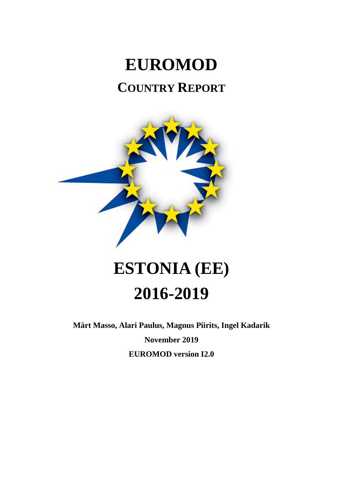## **EUROMOD COUNTRY REPORT**



# **ESTONIA (EE) 2016-2019**

**Märt Masso, Alari Paulus, Magnus Piirits, Ingel Kadarik**

**November 2019**

**EUROMOD version I2.0**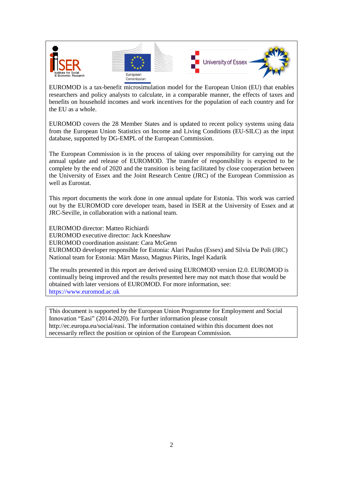

EUROMOD is a tax-benefit microsimulation model for the European Union (EU) that enables researchers and policy analysts to calculate, in a comparable manner, the effects of taxes and benefits on household incomes and work incentives for the population of each country and for the EU as a whole.

EUROMOD covers the 28 Member States and is updated to recent policy systems using data from the European Union Statistics on Income and Living Conditions (EU-SILC) as the input database, supported by DG-EMPL of the European Commission.

The European Commission is in the process of taking over responsibility for carrying out the annual update and release of EUROMOD. The transfer of responsibility is expected to be complete by the end of 2020 and the transition is being facilitated by close cooperation between the University of Essex and the Joint Research Centre (JRC) of the European Commission as well as Eurostat.

This report documents the work done in one annual update for Estonia. This work was carried out by the EUROMOD core developer team, based in ISER at the University of Essex and at JRC-Seville, in collaboration with a national team.

EUROMOD director: Matteo Richiardi EUROMOD executive director: Jack Kneeshaw EUROMOD coordination assistant: Cara McGenn EUROMOD developer responsible for Estonia: Alari Paulus (Essex) and Silvia De Poli (JRC) National team for Estonia: Märt Masso, Magnus Piirits, Ingel Kadarik

The results presented in this report are derived using EUROMOD version I2.0. EUROMOD is continually being improved and the results presented here may not match those that would be obtained with later versions of EUROMOD. For more information, see: https://www.euromod.ac.uk

This document is supported by the European Union Programme for Employment and Social Innovation "Easi" (2014-2020). For further information please consult http://ec.europa.eu/social/easi. The information contained within this document does not necessarily reflect the position or opinion of the European Commission.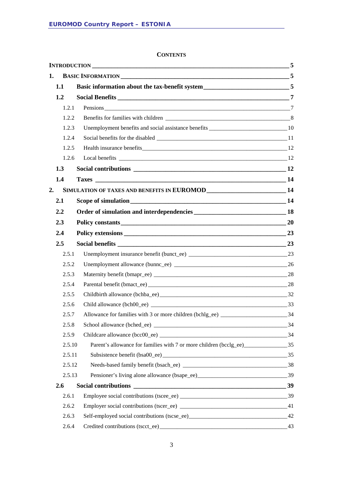#### **CONTENTS**

| 1.      |                                                                                            |       |
|---------|--------------------------------------------------------------------------------------------|-------|
| 1.1     |                                                                                            |       |
| 1.2     |                                                                                            |       |
| 1.2.1   |                                                                                            |       |
| 1.2.2   |                                                                                            |       |
| 1.2.3   |                                                                                            |       |
| 1.2.4   |                                                                                            |       |
| 1.2.5   |                                                                                            |       |
| 1.2.6   |                                                                                            |       |
| 1.3     |                                                                                            |       |
| 1.4     |                                                                                            |       |
| 2.      | SIMULATION OF TAXES AND BENEFITS IN EUROMOD ___________________________14                  |       |
| 2.1     |                                                                                            |       |
| $2.2\,$ |                                                                                            |       |
| 2.3     | Policy constants 20                                                                        |       |
| 2.4     |                                                                                            |       |
| 2.5     |                                                                                            |       |
| 2.5.1   |                                                                                            |       |
| 2.5.2   |                                                                                            |       |
| 2.5.3   |                                                                                            |       |
| 2.5.4   |                                                                                            |       |
| 2.5.5   |                                                                                            |       |
| 2.5.6   |                                                                                            |       |
| 2.5.7   | Allowance for families with 3 or more children (bchlg_ee) _________________________34      |       |
| 2.5.8   |                                                                                            |       |
| 2.5.9   |                                                                                            |       |
| 2.5.10  | Parent's allowance for families with 7 or more children (bcclg_ee)______________________35 |       |
| 2.5.11  |                                                                                            |       |
| 2.5.12  |                                                                                            |       |
| 2.5.13  |                                                                                            |       |
| 2.6     |                                                                                            |       |
| 2.6.1   |                                                                                            |       |
| 2.6.2   |                                                                                            |       |
| 2.6.3   |                                                                                            |       |
| 2.6.4   |                                                                                            | $-43$ |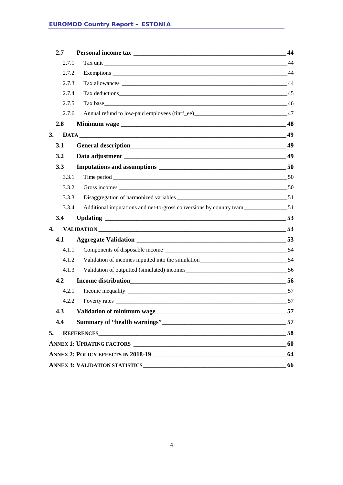|    | 2.7   |                                                                                     | 44 |
|----|-------|-------------------------------------------------------------------------------------|----|
|    | 2.7.1 |                                                                                     | 44 |
|    | 2.7.2 |                                                                                     |    |
|    | 2.7.3 |                                                                                     | 44 |
|    | 2.7.4 |                                                                                     |    |
|    | 2.7.5 | Tax base 46                                                                         |    |
|    | 2.7.6 |                                                                                     |    |
|    | 2.8   |                                                                                     |    |
| 3. |       |                                                                                     |    |
|    | 3.1   |                                                                                     | 49 |
|    | 3.2   |                                                                                     |    |
|    | 3.3   |                                                                                     |    |
|    | 3.3.1 | Time period 50                                                                      |    |
|    | 3.3.2 |                                                                                     |    |
|    | 3.3.3 |                                                                                     |    |
|    | 3.3.4 |                                                                                     |    |
|    | 3.4   |                                                                                     |    |
| 4. |       | VALIDATION 53                                                                       |    |
|    | 4.1   |                                                                                     |    |
|    | 4.1.1 |                                                                                     |    |
|    | 4.1.2 | Validation of incomes inputted into the simulation_______________________________54 |    |
|    | 4.1.3 |                                                                                     |    |
|    | 4.2   |                                                                                     |    |
|    | 4.2.1 |                                                                                     |    |
|    | 4.2.2 |                                                                                     |    |
|    | 4.3   |                                                                                     | 57 |
|    | 4.4   |                                                                                     | 57 |
|    | 5.    |                                                                                     | 58 |
|    |       |                                                                                     | 60 |
|    |       |                                                                                     | 64 |
|    |       |                                                                                     | 66 |
|    |       |                                                                                     |    |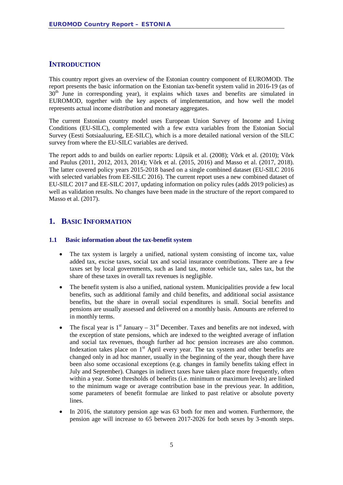#### <span id="page-4-0"></span>**INTRODUCTION**

This country report gives an overview of the Estonian country component of EUROMOD. The report presents the basic information on the Estonian tax-benefit system valid in 2016-19 (as of 30<sup>th</sup> June in corresponding year), it explains which taxes and benefits are simulated in EUROMOD, together with the key aspects of implementation, and how well the model represents actual income distribution and monetary aggregates.

The current Estonian country model uses European Union Survey of Income and Living Conditions (EU-SILC), complemented with a few extra variables from the Estonian Social Survey (Eesti Sotsiaaluuring, EE-SILC), which is a more detailed national version of the SILC survey from where the EU-SILC variables are derived.

The report adds to and builds on earlier reports: Lüpsik et al. (2008); Võrk et al. (2010); Võrk and Paulus (2011, 2012, 2013, 2014); Võrk et al. (2015, 2016) and Masso et al. (2017, 2018). The latter covered policy years 2015-2018 based on a single combined dataset (EU-SILC 2016 with selected variables from EE-SILC 2016). The current report uses a new combined dataset of EU-SILC 2017 and EE-SILC 2017, updating information on policy rules (adds 2019 policies) as well as validation results. No changes have been made in the structure of the report compared to Masso et al. (2017).

### <span id="page-4-1"></span>**1. BASIC INFORMATION**

#### <span id="page-4-2"></span>**1.1 Basic information about the tax-benefit system**

- The tax system is largely a unified, national system consisting of income tax, value added tax, excise taxes, social tax and social insurance contributions. There are a few taxes set by local governments, such as land tax*,* motor vehicle tax*,* sales tax, but the share of these taxes in overall tax revenues is negligible.
- The benefit system is also a unified, national system. Municipalities provide a few local benefits, such as additional family and child benefits, and additional social assistance benefits*,* but the share in overall social expenditures is small. Social benefits and pensions are usually assessed and delivered on a monthly basis. Amounts are referred to in monthly terms.
- The fiscal year is  $1<sup>st</sup>$  January  $31<sup>st</sup>$  December. Taxes and benefits are not indexed, with the exception of state pensions, which are indexed to the weighted average of inflation and social tax revenues, though further ad hoc pension increases are also common. Indexation takes place on  $1<sup>st</sup>$  April every year. The tax system and other benefits are changed only in ad hoc manner, usually in the beginning of the year, though there have been also some occasional exceptions (e.g. changes in family benefits taking effect in July and September). Changes in indirect taxes have taken place more frequently, often within a year. Some thresholds of benefits (i.e. minimum or maximum levels) are linked to the minimum wage or average contribution base in the previous year. In addition, some parameters of benefit formulae are linked to past relative or absolute poverty lines.
- In 2016, the statutory pension age was 63 both for men and women. Furthermore, the pension age will increase to 65 between 2017-2026 for both sexes by 3-month steps.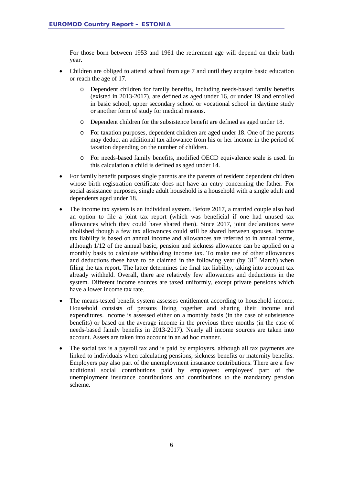For those born between 1953 and 1961 the retirement age will depend on their birth year.

- Children are obliged to attend school from age 7 and until they acquire basic education or reach the age of 17.
	- o Dependent children for family benefits, including needs-based family benefits (existed in 2013-2017), are defined as aged under 16, or under 19 and enrolled in basic school, upper secondary school or vocational school in daytime study or another form of study for medical reasons.
	- o Dependent children for the subsistence benefit are defined as aged under 18.
	- o For taxation purposes, dependent children are aged under 18. One of the parents may deduct an additional tax allowance from his or her income in the period of taxation depending on the number of children.
	- o For needs-based family benefits, modified OECD equivalence scale is used. In this calculation a child is defined as aged under 14.
- For family benefit purposes single parents are the parents of resident dependent children whose birth registration certificate does not have an entry concerning the father. For social assistance purposes, single adult household is a household with a single adult and dependents aged under 18.
- The income tax system is an individual system. Before 2017, a married couple also had an option to file a joint tax report (which was beneficial if one had unused tax allowances which they could have shared then). Since 2017, joint declarations were abolished though a few tax allowances could still be shared between spouses. Income tax liability is based on annual income and allowances are referred to in annual terms, although 1/12 of the annual basic, pension and sickness allowance can be applied on a monthly basis to calculate withholding income tax. To make use of other allowances and deductions these have to be claimed in the following year (by  $31<sup>st</sup>$  March) when filing the tax report. The latter determines the final tax liability, taking into account tax already withheld. Overall, there are relatively few allowances and deductions in the system. Different income sources are taxed uniformly, except private pensions which have a lower income tax rate.
- The means-tested benefit system assesses entitlement according to household income. Household consists of persons living together and sharing their income and expenditures. Income is assessed either on a monthly basis (in the case of subsistence benefits) or based on the average income in the previous three months (in the case of needs-based family benefits in 2013-2017). Nearly all income sources are taken into account. Assets are taken into account in an ad hoc manner.
- The social tax is a payroll tax and is paid by employers, although all tax payments are linked to individuals when calculating pensions, sickness benefits or maternity benefits. Employers pay also part of the unemployment insurance contributions. There are a few additional social contributions paid by employees: employees' part of the unemployment insurance contributions and contributions to the mandatory pension scheme.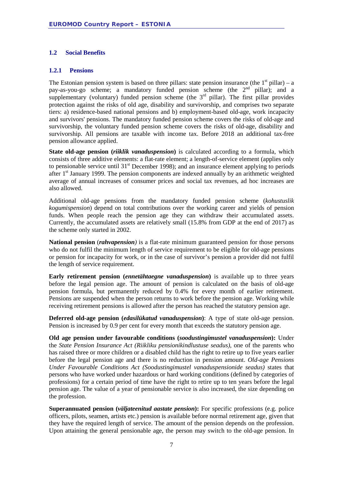#### <span id="page-6-0"></span>**1.2 Social Benefits**

#### <span id="page-6-1"></span>**1.2.1 Pensions**

The Estonian pension system is based on three pillars: state pension insurance (the  $1<sup>st</sup>$  pillar) – a pay-as-you-go scheme; a mandatory funded pension scheme (the  $2<sup>nd</sup>$  pillar); and a supplementary (voluntary) funded pension scheme (the  $3<sup>rd</sup>$  pillar). The first pillar provides protection against the risks of old age, disability and survivorship, and comprises two separate tiers: a) residence-based national pensions and b) employment-based old-age, work incapacity and survivors' pensions. The mandatory funded pension scheme covers the risks of old-age and survivorship, the voluntary funded pension scheme covers the risks of old-age, disability and survivorship. All pensions are taxable with income tax. Before 2018 an additional tax-free pension allowance applied.

**State old-age pension (***riiklik vanaduspension***)** is calculated according to a formula, which consists of three additive elements: a flat-rate element; a length-of-service element (applies only to pensionable service until  $31<sup>st</sup>$  December 1998); and an insurance element applying to periods after  $1<sup>st</sup>$  January 1999. The pension components are indexed annually by an arithmetic weighted average of annual increases of consumer prices and social tax revenues, ad hoc increases are also allowed.

Additional old-age pensions from the mandatory funded pension scheme (*kohustuslik kogumispension*) depend on total contributions over the working career and yields of pension funds. When people reach the pension age they can withdraw their accumulated assets. Currently, the accumulated assets are relatively small (15.8% from GDP at the end of 2017) as the scheme only started in 2002.

**National pension** (*rahvapension)* is a flat-rate minimum guaranteed pension for those persons who do not fulfil the minimum length of service requirement to be eligible for old-age pensions or pension for incapacity for work, or in the case of survivor's pension a provider did not fulfil the length of service requirement.

**Early retirement pension (***ennetähtaegne vanaduspension***)** is available up to three years before the legal pension age. The amount of pension is calculated on the basis of old-age pension formula, but permanently reduced by 0.4% for every month of earlier retirement. Pensions are suspended when the person returns to work before the pension age. Working while receiving retirement pensions is allowed after the person has reached the statutory pension age.

**Deferred old-age pension (***edasilükatud vanaduspension***)**: A type of state old-age pension. Pension is increased by 0.9 per cent for every month that exceeds the statutory pension age.

**Old age pension under favourable conditions (***soodustingimustel vanaduspension***):** Under the *State Pension Insurance Act (Riikliku pensionikindlustuse seadus)*, one of the parents who has raised three or more children or a disabled child has the right to retire up to five years earlier before the legal pension age and there is no reduction in pension amount. *Old-age Pensions Under Favourable Conditions Act (Soodustingimustel vanaduspensionide seadus)* states that persons who have worked under hazardous or hard working conditions (defined by categories of professions) for a certain period of time have the right to retire up to ten years before the legal pension age. The value of a year of pensionable service is also increased, the size depending on the profession.

**Superannuated pension (***väljateenitud aastate pension***):** For specific professions (e.g. police officers, pilots, seamen, artists etc.) pension is available before normal retirement age, given that they have the required length of service. The amount of the pension depends on the profession. Upon attaining the general pensionable age, the person may switch to the old-age pension. In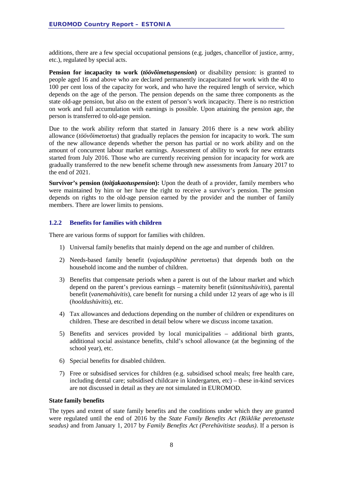additions, there are a few special occupational pensions (e.g. judges, chancellor of justice, army, etc.), regulated by special acts.

**Pension for incapacity to work** *(töövõimetuspension)* or disability pension: is granted to people aged 16 and above who are declared permanently incapacitated for work with the 40 to 100 per cent loss of the capacity for work, and who have the required length of service, which depends on the age of the person. The pension depends on the same three components as the state old-age pension, but also on the extent of person's work incapacity. There is no restriction on work and full accumulation with earnings is possible. Upon attaining the pension age, the person is transferred to old-age pension.

Due to the work ability reform that started in January 2016 there is a new work ability allowance (*töövõimetoetus*) that gradually replaces the pension for incapacity to work. The sum of the new allowance depends whether the person has partial or no work ability and on the amount of concurrent labour market earnings. Assessment of ability to work for new entrants started from July 2016. Those who are currently receiving pension for incapacity for work are gradually transferred to the new benefit scheme through new assessments from January 2017 to the end of 2021.

**Survivor's pension (***toitjakaotuspension***):** Upon the death of a provider, family members who were maintained by him or her have the right to receive a survivor's pension. The pension depends on rights to the old-age pension earned by the provider and the number of family members. There are lower limits to pensions.

#### <span id="page-7-0"></span>**1.2.2 Benefits for families with children**

There are various forms of support for families with children.

- 1) Universal family benefits that mainly depend on the age and number of children.
- 2) Needs-based family benefit (*vajaduspõhine peretoetus*) that depends both on the household income and the number of children.
- 3) Benefits that compensate periods when a parent is out of the labour market and which depend on the parent's previous earnings – maternity benefit (*sünnitushüvitis*), parental benefit (*vanemahüvitis*), care benefit for nursing a child under 12 years of age who is ill (*hooldushüvitis*), etc.
- 4) Tax allowances and deductions depending on the number of children or expenditures on children. These are described in detail below where we discuss income taxation.
- 5) Benefits and services provided by local municipalities additional birth grants, additional social assistance benefits, child's school allowance (at the beginning of the school year), etc.
- 6) Special benefits for disabled children.
- 7) Free or subsidised services for children (e.g. subsidised school meals; free health care, including dental care; subsidised childcare in kindergarten, etc) – these in-kind services are not discussed in detail as they are not simulated in EUROMOD.

#### **State family benefits**

The types and extent of state family benefits and the conditions under which they are granted were regulated until the end of 2016 by the *State Family Benefits Act (Riiklike peretoetuste seadus)* and from January 1, 2017 by *Family Benefits Act (Perehüvitiste seadus)*. If a person is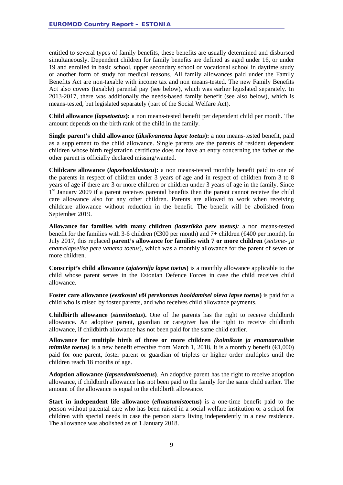entitled to several types of family benefits, these benefits are usually determined and disbursed simultaneously. Dependent children for family benefits are defined as aged under 16, or under 19 and enrolled in basic school, upper secondary school or vocational school in daytime study or another form of study for medical reasons. All family allowances paid under the Family Benefits Act are non-taxable with income tax and non means-tested. The new Family Benefits Act also covers (taxable) parental pay (see below), which was earlier legislated separately. In 2013-2017, there was additionally the needs-based family benefit (see also below), which is means-tested, but legislated separately (part of the Social Welfare Act).

**Child allowance (***lapsetoetus***):** a non means-tested benefit per dependent child per month. The amount depends on the birth rank of the child in the family.

**Single parent's child allowance (***üksikvanema lapse toetus***):** a non means-tested benefit, paid as a supplement to the child allowance. Single parents are the parents of resident dependent children whose birth registration certificate does not have an entry concerning the father or the other parent is officially declared missing/wanted.

**Childcare allowance (***lapsehooldustasu***):** a non means-tested monthly benefit paid to one of the parents in respect of children under 3 years of age and in respect of children from 3 to 8 years of age if there are 3 or more children or children under 3 years of age in the family. Since 1<sup>st</sup> January 2009 if a parent receives parental benefits then the parent cannot receive the child care allowance also for any other children. Parents are allowed to work when receiving childcare allowance without reduction in the benefit. The benefit will be abolished from September 2019.

**Allowance for families with many children** *(lasterikka pere toetus):* a non means-tested benefit for the families with 3-6 children ( $\text{\textsterling}300$  per month) and 7+ children ( $\text{\textsterling}400$  per month). In July 2017, this replaced **parent's allowance for families with 7 or more children** (*seitsme- ja enamalapselise pere vanema toetus*), which was a monthly allowance for the parent of seven or more children.

**Conscript's child allowance (***ajateenija lapse toetus***)** is a monthly allowance applicable to the child whose parent serves in the Estonian Defence Forces in case the child receives child allowance.

**Foster care allowance (***eestkostel või perekonnas hooldamisel oleva lapse toetus***)** is paid for a child who is raised by foster parents, and who receives child allowance payments.

**Childbirth allowance** (*sünnitoetus***).** One of the parents has the right to receive childbirth allowance. An adoptive parent, guardian or caregiver has the right to receive childbirth allowance, if childbirth allowance has not been paid for the same child earlier.

**Allowance for multiple birth of three or more children** *(kolmikute ja enamaarvuliste mitmike toetus*) is a new benefit effective from March 1, 2018. It is a monthly benefit ( $\in$ 1,000) paid for one parent, foster parent or guardian of triplets or higher order multiples until the children reach 18 months of age.

**Adoption allowance (***lapsendamistoetus***)***.* An adoptive parent has the right to receive adoption allowance, if childbirth allowance has not been paid to the family for the same child earlier. The amount of the allowance is equal to the childbirth allowance.

**Start in independent life allowance (***elluastumistoetus***)** is a one-time benefit paid to the person without parental care who has been raised in a social welfare institution or a school for children with special needs in case the person starts living independently in a new residence. The allowance was abolished as of 1 January 2018.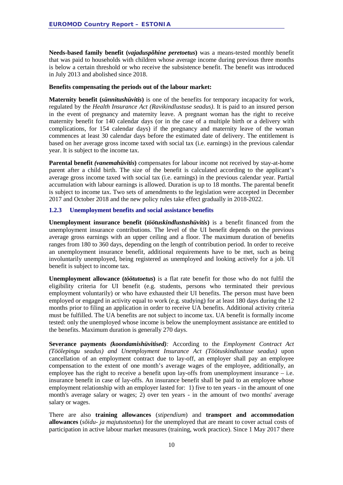**Needs-based family benefit (***vajaduspõhine peretoetus***)** was a means-tested monthly benefit that was paid to households with children whose average income during previous three months is below a certain threshold or who receive the subsistence benefit. The benefit was introduced in July 2013 and abolished since 2018.

#### **Benefits compensating the periods out of the labour market:**

**Maternity benefit (***sünnitushüvitis***)** is one of the benefits for temporary incapacity for work, regulated by the *Health Insurance Act (Ravikindlustuse seadus)*. It is paid to an insured person in the event of pregnancy and maternity leave. A pregnant woman has the right to receive maternity benefit for 140 calendar days (or in the case of a multiple birth or a delivery with complications, for 154 calendar days) if the pregnancy and maternity leave of the woman commences at least 30 calendar days before the estimated date of delivery. The entitlement is based on her average gross income taxed with social tax (i.e. earnings) in the previous calendar year. It is subject to the income tax.

**Parental benefit** *(vanemahüvitis***)** compensates for labour income not received by stay-at-home parent after a child birth. The size of the benefit is calculated according to the applicant's average gross income taxed with social tax (i.e. earnings) in the previous calendar year. Partial accumulation with labour earnings is allowed. Duration is up to 18 months. The parental benefit is subject to income tax. Two sets of amendments to the legislation were accepted in December 2017 and October 2018 and the new policy rules take effect gradually in 2018-2022.

#### <span id="page-9-0"></span>**1.2.3 Unemployment benefits and social assistance benefits**

**Unemployment insurance benefit (***töötuskindlustushüvitis***)** is a benefit financed from the unemployment insurance contributions. The level of the UI benefit depends on the previous average gross earnings with an upper ceiling and a floor. The maximum duration of benefits ranges from 180 to 360 days, depending on the length of contribution period. In order to receive an unemployment insurance benefit, additional requirements have to be met, such as being involuntarily unemployed, being registered as unemployed and looking actively for a job. UI benefit is subject to income tax.

**Unemployment allowance (***töötutoetus***)** is a flat rate benefit for those who do not fulfil the eligibility criteria for UI benefit (e.g. students, persons who terminated their previous employment voluntarily) or who have exhausted their UI benefits. The person must have been employed or engaged in activity equal to work (e.g. studying) for at least 180 days during the 12 months prior to filing an application in order to receive UA benefits. Additional activity criteria must be fulfilled. The UA benefits are not subject to income tax. UA benefit is formally income tested: only the unemployed whose income is below the unemployment assistance are entitled to the benefits. Maximum duration is generally 270 days.

**Severance payments** *(koondamishüvitised):* According to the *Employment Contract Act (Töölepingu seadus) and Unemployment Insurance Act (Töötuskindlustuse seadus)* upon cancellation of an employment contract due to lay-off, an employer shall pay an employee compensation to the extent of one month's average wages of the employee, additionally, an employee has the right to receive a benefit upon lay-offs from unemployment insurance  $-$  i.e. insurance benefit in case of lay-offs. An insurance benefit shall be paid to an employee whose employment relationship with an employer lasted for: 1) five to ten years - in the amount of one month's average salary or wages; 2) over ten years - in the amount of two months' average salary or wages.

There are also **training allowances** (*stipendium*) and **transport and accommodation allowances** (*sõidu- ja majutustoetus*) for the unemployed that are meant to cover actual costs of participation in active labour market measures (training, work practice). Since 1 May 2017 there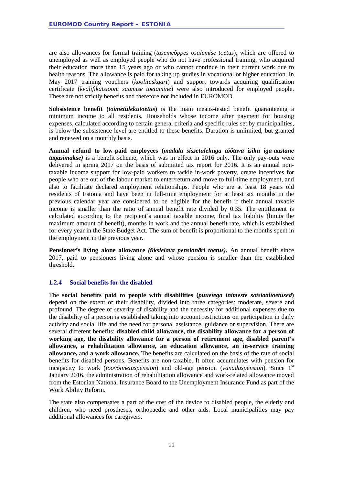are also allowances for formal training (*tasemeõppes osalemise toetus*), which are offered to unemployed as well as employed people who do not have professional training, who acquired their education more than 15 years ago or who cannot continue in their current work due to health reasons. The allowance is paid for taking up studies in vocational or higher education. In May 2017 training vouchers (*koolituskaart*) and support towards acquiring qualification certificate (*kvalifikatsiooni saamise toetamine*) were also introduced for employed people. These are not strictly benefits and therefore not included in EUROMOD.

**Subsistence benefit (***toimetulekutoetus***)** is the main means-tested benefit guaranteeing a minimum income to all residents. Households whose income after payment for housing expenses, calculated according to certain general criteria and specific rules set by municipalities, is below the subsistence level are entitled to these benefits. Duration is unlimited, but granted and renewed on a monthly basis.

**Annual refund to low-paid employees (***madala sissetulekuga töötava isiku iga-aastane tagasimakse)* is a benefit scheme, which was in effect in 2016 only. The only pay-outs were delivered in spring 2017 on the basis of submitted tax report for 2016. It is an annual nontaxable income support for low-paid workers to tackle in-work poverty, create incentives for people who are out of the labour market to enter/return and move to full-time employment, and also to facilitate declared employment relationships. People who are at least 18 years old residents of Estonia and have been in full-time employment for at least six months in the previous calendar year are considered to be eligible for the benefit if their annual taxable income is smaller than the ratio of annual benefit rate divided by 0.35. The entitlement is calculated according to the recipient's annual taxable income, final tax liability (limits the maximum amount of benefit), months in work and the annual benefit rate, which is established for every year in the State Budget Act. The sum of benefit is proportional to the months spent in the employment in the previous year.

**Pensioner's living alone allowance** *(üksielava pensionäri toetus)***.** An annual benefit since 2017, paid to pensioners living alone and whose pension is smaller than the established threshold.

#### <span id="page-10-0"></span>**1.2.4 Social benefits for the disabled**

The **social benefits paid to people with disabilities (***puuetega inimeste sotsiaaltoetused***)** depend on the extent of their disability, divided into three categories: moderate, severe and profound. The degree of severity of disability and the necessity for additional expenses due to the disability of a person is established taking into account restrictions on participation in daily activity and social life and the need for personal assistance, guidance or supervision. There are several different benefits: **disabled child allowance, the disability allowance for a person of working age, the disability allowance for a person of retirement age, disabled parent's allowance, a rehabilitation allowance, an education allowance, an in-service training allowance,** and **a work allowance.** The benefits are calculated on the basis of the rate of social benefits for disabled persons. Benefits are non-taxable. It often accumulates with pension for incapacity to work (*töövõimetuspension*) and old-age pension (*vanaduspension*). Since 1st January 2016, the administration of rehabilitation allowance and work-related allowance moved from the Estonian National Insurance Board to the Unemployment Insurance Fund as part of the Work Ability Reform.

The state also compensates a part of the cost of the device to disabled people, the elderly and children, who need prostheses, orthopaedic and other aids. Local municipalities may pay additional allowances for caregivers.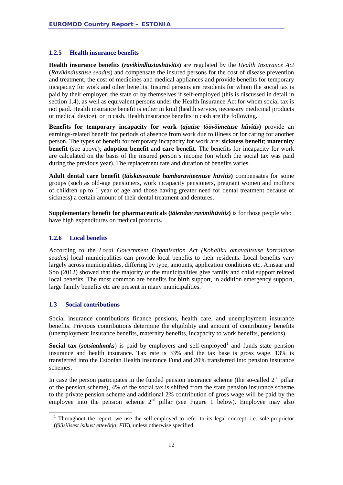#### <span id="page-11-0"></span>**1.2.5 Health insurance benefits**

**Health insurance benefits (***ravikindlustushüvitis***)** are regulated by the *Health Insurance Act*  (*Ravikindlustuse seadus*) and compensate the insured persons for the cost of disease prevention and treatment, the cost of medicines and medical appliances and provide benefits for temporary incapacity for work and other benefits. Insured persons are residents for whom the social tax is paid by their employer, the state or by themselves if self-employed (this is discussed in detail in section 1.4), as well as equivalent persons under the Health Insurance Act for whom social tax is not paid. Health insurance benefit is either in kind (health service, necessary medicinal products or medical device), or in cash. Health insurance benefits in cash are the following.

**Benefits for temporary incapacity for work (***ajutise töövõimetuse hüvitis***)** provide an earnings-related benefit for periods of absence from work due to illness or for caring for another person. The types of benefit for temporary incapacity for work are: **sickness benefit**; **maternity benefit** (see above); **adoption benefit** and **care benefit**. The benefits for incapacity for work are calculated on the basis of the insured person's income (on which the social tax was paid during the previous year). The replacement rate and duration of benefits varies.

**Adult dental care benefit (***täiskasvanute hambaraviteenuse hüvitis***)** compensates for some groups (such as old-age pensioners, work incapacity pensioners, pregnant women and mothers of children up to 1 year of age and those having greater need for dental treatment because of sickness) a certain amount of their dental treatment and dentures.

**Supplementary benefit for pharmaceuticals (***täiendav ravimihüvitis***)** is for those people who have high expenditures on medical products.

#### <span id="page-11-1"></span>**1.2.6 Local benefits**

According to the *Local Government Organisation Act (Kohaliku omavalitsuse korralduse seadus)* local municipalities can provide local benefits to their residents. Local benefits vary largely across municipalities, differing by type, amounts, application conditions etc. Ainsaar and Soo (2012) showed that the majority of the municipalities give family and child support related local benefits. The most common are benefits for birth support, in addition emergency support, large family benefits etc are present in many municipalities.

#### <span id="page-11-2"></span>**1.3 Social contributions**

Social insurance contributions finance pensions, health care, and unemployment insurance benefits. Previous contributions determine the eligibility and amount of contributory benefits (unemployment insurance benefits, maternity benefits, incapacity to work benefits, pensions).

**Social tax** (*sotsiaalmaks*) is paid by employers and self-employed<sup>[1](#page-11-3)</sup> and funds state pension insurance and health insurance. Tax rate is 33% and the tax base is gross wage. 13% is transferred into the Estonian Health Insurance Fund and 20% transferred into pension insurance schemes.

In case the person participates in the funded pension insurance scheme (the so-called  $2<sup>nd</sup>$  pillar of the pension scheme), 4% of the social tax is shifted from the state pension insurance scheme to the private pension scheme and additional 2% contribution of gross wage will be paid by the employee into the pension scheme  $2<sup>nd</sup>$  pillar (see [Figure 1](#page-12-0) below). Employee may also

<span id="page-11-3"></span><sup>&</sup>lt;sup>1</sup> Throughout the report, we use the self-employed to refer to its legal concept, i.e. sole-proprietor (*füüsilisest isikust ettevõtja, FIE*), unless otherwise specified.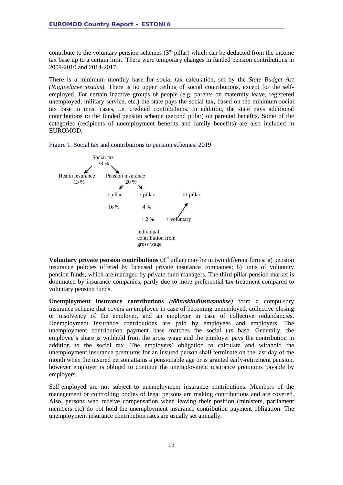contribute to the voluntary pension schemes  $(3<sup>rd</sup>$  pillar) which can be deducted from the income tax base up to a certain limit. There were temporary changes in funded pension contributions in 2009-2010 and 2014-2017.

There is a minimum monthly base for social tax calculation, set by the *State Budget Act (Riigieelarve seadus)*. There is no upper ceiling of social contributions, except for the selfemployed. For certain inactive groups of people (e.g. parents on maternity leave, registered unemployed, military service, etc.) the state pays the social tax, based on the minimum social tax base in most cases, i.e. credited contributions. In addition, the state pays additional contributions to the funded pension scheme (second pillar) on parental benefits. Some of the categories (recipients of unemployment benefits and family benefits) are also included in EUROMOD.

<span id="page-12-0"></span>Figure 1. Social tax and contributions to pension schemes, 2019



**Voluntary private pension contributions**  $(3<sup>rd</sup>$  pillar) may be in two different forms: a) pension insurance policies offered by licensed private insurance companies; b) units of voluntary pension funds, which are managed by private fund managers. The third pillar pension market is dominated by insurance companies, partly due to more preferential tax treatment compared to voluntary pension funds.

**Unemployment insurance contributions** *(töötuskindlustusmakse)* form a compulsory insurance scheme that covers an employee in case of becoming unemployed, collective closing or insolvency of the employer, and an employer in case of collective redundancies. Unemployment insurance contributions are paid by employees and employers. The unemployment contribution payment base matches the social tax base. Generally, the employee's share is withheld from the gross wage and the employer pays the contribution in addition to the social tax. The employers' obligation to calculate and withhold the unemployment insurance premiums for an insured person shall terminate on the last day of the month when the insured person attains a pensionable age or is granted early-retirement pension, however employer is obliged to continue the unemployment insurance premiums payable by employers.

Self-employed are not subject to unemployment insurance contributions. Members of the management or controlling bodies of legal persons are making contributions and are covered. Also, persons who receive compensation when leaving their position (ministers, parliament members etc) do not hold the unemployment insurance contribution payment obligation. The unemployment insurance contribution rates are usually set annually.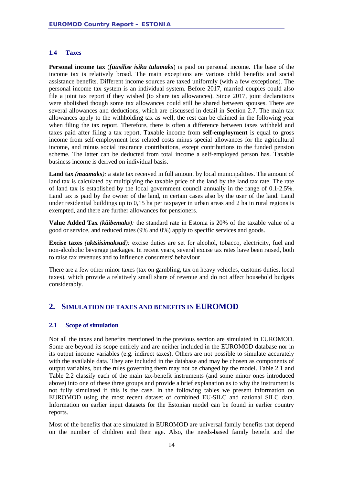#### <span id="page-13-0"></span>**1.4 Taxes**

**Personal income tax** (*füüsilise isiku tulumaks*) is paid on personal income. The base of the income tax is relatively broad. The main exceptions are various child benefits and social assistance benefits. Different income sources are taxed uniformly (with a few exceptions). The personal income tax system is an individual system. Before 2017, married couples could also file a joint tax report if they wished (to share tax allowances). Since 2017, joint declarations were abolished though some tax allowances could still be shared between spouses. There are several allowances and deductions, which are discussed in detail in Section 2.7. The main tax allowances apply to the withholding tax as well, the rest can be claimed in the following year when filing the tax report. Therefore, there is often a difference between taxes withheld and taxes paid after filing a tax report. Taxable income from **self-employment** is equal to gross income from self-employment less related costs minus special allowances for the agricultural income, and minus social insurance contributions, except contributions to the funded pension scheme. The latter can be deducted from total income a self-employed person has. Taxable business income is derived on individual basis.

**Land tax** *(maamaks):* a state tax received in full amount by local municipalities. The amount of land tax is calculated by multiplying the taxable price of the land by the land tax rate. The rate of land tax is established by the local government council annually in the range of 0.1-2.5%. Land tax is paid by the owner of the land, in certain cases also by the user of the land. Land under residential buildings up to 0,15 ha per taxpayer in urban areas and 2 ha in rural regions is exempted, and there are further allowances for pensioners.

**Value Added Tax** *(käibemaks):* the standard rate in Estonia is 20% of the taxable value of a good or service, and reduced rates (9% and 0%) apply to specific services and goods.

**Excise taxes** *(aktsiisimaksud):* excise duties are set for alcohol, tobacco, electricity, fuel and non-alcoholic beverage packages. In recent years, several excise tax rates have been raised, both to raise tax revenues and to influence consumers' behaviour.

There are a few other minor taxes (tax on gambling, tax on heavy vehicles, customs duties, local taxes), which provide a relatively small share of revenue and do not affect household budgets considerably.

#### <span id="page-13-1"></span>**2. SIMULATION OF TAXES AND BENEFITS IN EUROMOD**

#### <span id="page-13-2"></span>**2.1 Scope of simulation**

Not all the taxes and benefits mentioned in the previous section are simulated in EUROMOD. Some are beyond its scope entirely and are neither included in the EUROMOD database nor in its output income variables (e.g. indirect taxes). Others are not possible to simulate accurately with the available data. They are included in the database and may be chosen as components of output variables, but the rules governing them may not be changed by the model. [Table 2.1](#page-15-0) and [Table 2.2](#page-16-0) classify each of the main tax-benefit instruments (and some minor ones introduced above) into one of these three groups and provide a brief explanation as to why the instrument is not fully simulated if this is the case. In the following tables we present information on EUROMOD using the most recent dataset of combined EU-SILC and national SILC data. Information on earlier input datasets for the Estonian model can be found in earlier country reports.

Most of the benefits that are simulated in EUROMOD are universal family benefits that depend on the number of children and their age. Also, the needs-based family benefit and the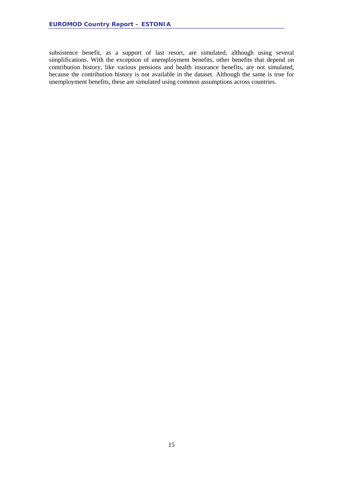subsistence benefit, as a support of last resort, are simulated, although using several simplifications. With the exception of unemployment benefits, other benefits that depend on contribution history, like various pensions and health insurance benefits, are not simulated, because the contribution history is not available in the dataset. Although the same is true for unemployment benefits, these are simulated using common assumptions across countries.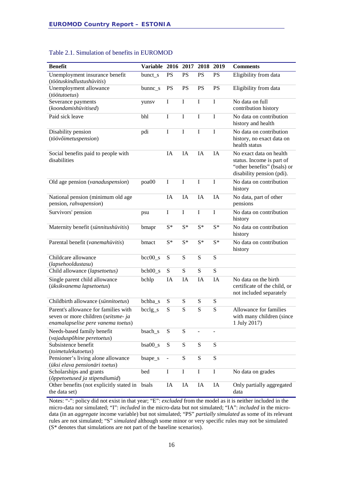| <b>Benefit</b>                                                                                                    | Variable 2016 2017 2018 2019 |                |                |             |                          | <b>Comments</b>                                                                                                  |
|-------------------------------------------------------------------------------------------------------------------|------------------------------|----------------|----------------|-------------|--------------------------|------------------------------------------------------------------------------------------------------------------|
| Unemployment insurance benefit<br>(töötuskindlustushüvitis)                                                       | bunct_s                      | PS             | PS             | PS          | <b>PS</b>                | Eligibility from data                                                                                            |
| Unemployment allowance<br>(töötutoetus)                                                                           | $b$ unnc_s                   | <b>PS</b>      | <b>PS</b>      | PS          | <b>PS</b>                | Eligibility from data                                                                                            |
| Severance payments<br>(koondamishüvitised)                                                                        | yunsv                        | I              | I              | $\mathbf I$ | $\mathbf I$              | No data on full<br>contribution history                                                                          |
| Paid sick leave                                                                                                   | bhl                          | I              | I              | I           | I                        | No data on contribution<br>history and health                                                                    |
| Disability pension<br>(töövõimetuspension)                                                                        | pdi                          | I              | I              | I           | I                        | No data on contribution<br>history, no exact data on<br>health status                                            |
| Social benefits paid to people with<br>disabilities                                                               |                              | IA             | IA             | IA          | IA                       | No exact data on health<br>status. Income is part of<br>"other benefits" (bsals) or<br>disability pension (pdi). |
| Old age pension (vanaduspension)                                                                                  | poa00                        | I              | I              | $\mathbf I$ | $\mathbf I$              | No data on contribution<br>history                                                                               |
| National pension (minimum old age<br>pension, rahvapension)                                                       |                              | <b>IA</b>      | IA             | IA          | IA                       | No data, part of other<br>pensions                                                                               |
| Survivors' pension                                                                                                | psu                          | I              | $\overline{I}$ | $\mathbf I$ | I                        | No data on contribution<br>history                                                                               |
| Maternity benefit (sünnitushüvitis)                                                                               | bmapr                        | $S^*$          | $S^*$          | $S^*$       | $S^*$                    | No data on contribution<br>history                                                                               |
| Parental benefit (vanemahüvitis)                                                                                  | bmact                        | $S^*$          | $S^*$          | $S^*$       | $S^*$                    | No data on contribution<br>history                                                                               |
| Childcare allowance<br>(lapsehooldustasu)                                                                         | $bcc00_s$                    | S              | S              | ${\bf S}$   | S                        |                                                                                                                  |
| Child allowance (lapsetoetus)                                                                                     | $bch00_s$                    | ${\bf S}$      | S              | S           | ${\bf S}$                |                                                                                                                  |
| Single parent child allowance<br>(üksikvanema lapsetoetus)                                                        | bchlp                        | IA             | IA             | IA          | IA                       | No data on the birth<br>certificate of the child, or<br>not included separately                                  |
| Childbirth allowance (sünnitoetus)                                                                                | bchba_s                      | S              | S              | ${\bf S}$   | ${\bf S}$                |                                                                                                                  |
| Parent's allowance for families with<br>seven or more children (seitsme- ja<br>enamalapselise pere vanema toetus) | $bcclg_s$                    | S              | S              | S           | S                        | Allowance for families<br>with many children (since<br>1 July 2017)                                              |
| Needs-based family benefit<br>(vajaduspõhine peretoetus)                                                          | bsach_s                      | ${\bf S}$      | ${\bf S}$      |             | $\overline{\phantom{0}}$ |                                                                                                                  |
| Subsistence benefit<br>(toimetulekutoetus)                                                                        | $bsa00_s$                    | ${\bf S}$      | ${\bf S}$      | ${\bf S}$   | S                        |                                                                                                                  |
| Pensioner's living alone allowance<br>(üksi elava pensionäri toetus)                                              | bsape_s                      | $\blacksquare$ | ${\bf S}$      | S           | S                        |                                                                                                                  |
| Scholarships and grants<br>(õppetoetused ja stipendiumid)                                                         | bed                          | $\bf I$        | $\bf I$        | $\bf I$     | $\bf I$                  | No data on grades                                                                                                |
| Other benefits (not explicitly stated in bsals                                                                    |                              | $\rm IA$       | $\rm IA$       | IA          | IA                       | Only partially aggregated                                                                                        |

#### <span id="page-15-0"></span>Table 2.1. Simulation of benefits in EUROMOD

Notes: "-": policy did not exist in that year; "E": *excluded* from the model as it is neither included in the micro-data nor simulated; "I": *included* in the micro-data but not simulated; "IA": *included* in the microdata (in an *aggregate* income variable) but not simulated; "PS" *partially simulated* as some of its relevant rules are not simulated; "S" *simulated* although some minor or very specific rules may not be simulated (S\* denotes that simulations are not part of the baseline scenarios).

data

the data set)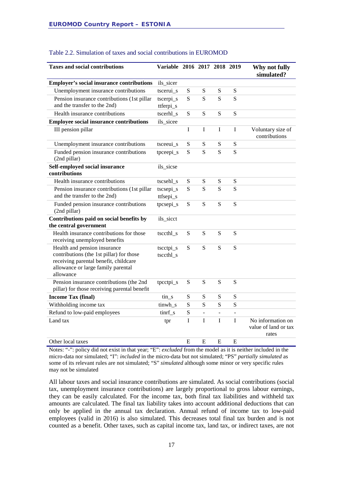| <b>Taxes and social contributions</b>                                                                                                                                | Variable 2016 2017 2018 2019 |             |                |                          |                | Why not fully<br>simulated?                        |
|----------------------------------------------------------------------------------------------------------------------------------------------------------------------|------------------------------|-------------|----------------|--------------------------|----------------|----------------------------------------------------|
| <b>Employer's social insurance contributions</b>                                                                                                                     | ils_sicer                    |             |                |                          |                |                                                    |
| Unemployment insurance contributions                                                                                                                                 | tscerui_s                    | S           | ${\bf S}$      | ${\bf S}$                | ${\bf S}$      |                                                    |
| Pension insurance contributions (1st pillar<br>and the transfer to the 2nd)                                                                                          | tscerpi_s<br>ttferpi_s       | S           | S              | S                        | S              |                                                    |
| Health insurance contributions                                                                                                                                       | tscerhl s                    | S           | S              | S                        | S              |                                                    |
| <b>Employee social insurance contributions</b>                                                                                                                       | ils_sicee                    |             |                |                          |                |                                                    |
| III pension pillar                                                                                                                                                   |                              | $\bf I$     | I              | I                        | $\mathbf I$    | Voluntary size of<br>contributions                 |
| Unemployment insurance contributions                                                                                                                                 | tsceeui_s                    | S           | S              | ${\bf S}$                | ${\bf S}$      |                                                    |
| Funded pension insurance contributions<br>(2nd pillar)                                                                                                               | tpceepi_s                    | S           | S              | S                        | S              |                                                    |
| Self-employed social insurance<br>contributions                                                                                                                      | ils_sicse                    |             |                |                          |                |                                                    |
| Health insurance contributions                                                                                                                                       | tscsehl_s                    | S           | ${\bf S}$      | ${\bf S}$                | S              |                                                    |
| Pension insurance contributions (1st pillar<br>and the transfer to the 2nd)                                                                                          | tscsepi_s<br>ttfsepi_s       | S           | S              | S                        | S              |                                                    |
| Funded pension insurance contributions<br>(2nd pillar)                                                                                                               | tpcsepi_s                    | S           | S              | ${\bf S}$                | S              |                                                    |
| Contributions paid on social benefits by<br>the central government                                                                                                   | ils_sicct                    |             |                |                          |                |                                                    |
| Health insurance contributions for those<br>receiving unemployed benefits                                                                                            | tsccthl_s                    | S           | S              | S                        | S              |                                                    |
| Health and pension insurance<br>contributions (the 1st pillar) for those<br>receiving parental benefit, childcare<br>allowance or large family parental<br>allowance | tscctpi_s<br>tsccthl_s       | S           | S              | S                        | S              |                                                    |
| Pension insurance contributions (the 2nd<br>pillar) for those receiving parental benefit                                                                             | tpcctpi_s                    | ${\bf S}$   | ${\bf S}$      | ${\bf S}$                | ${\bf S}$      |                                                    |
| <b>Income Tax (final)</b>                                                                                                                                            | $\sin$ <sub>s</sub>          | S           | ${\bf S}$      | ${\bf S}$                | ${\bf S}$      |                                                    |
| Withholding income tax                                                                                                                                               | tinwh_s                      | S           | S              | S                        | ${\bf S}$      |                                                    |
| Refund to low-paid employees                                                                                                                                         | tinrf_s                      | ${\bf S}$   | $\blacksquare$ | $\overline{\phantom{a}}$ | $\blacksquare$ |                                                    |
| Land tax                                                                                                                                                             | tpr                          | $\mathbf I$ | $\mathbf I$    | I                        | I              | No information on<br>value of land or tax<br>rates |
| Other local taxes                                                                                                                                                    |                              | E           | E              | E                        | E              |                                                    |

#### <span id="page-16-0"></span>Table 2.2. Simulation of taxes and social contributions in EUROMOD

Notes: "-": policy did not exist in that year; "E": *excluded* from the model as it is neither included in the micro-data nor simulated; "I": *included* in the micro-data but not simulated; "PS" *partially simulated* as some of its relevant rules are not simulated; "S" *simulated* although some minor or very specific rules may not be simulated

All labour taxes and social insurance contributions are simulated. As social contributions (social tax, unemployment insurance contributions) are largely proportional to gross labour earnings, they can be easily calculated. For the income tax, both final tax liabilities and withheld tax amounts are calculated. The final tax liability takes into account additional deductions that can only be applied in the annual tax declaration. Annual refund of income tax to low-paid employees (valid in 2016) is also simulated. This decreases total final tax burden and is not counted as a benefit. Other taxes, such as capital income tax, land tax, or indirect taxes, are not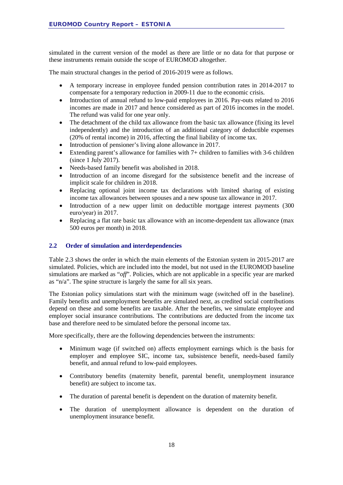simulated in the current version of the model as there are little or no data for that purpose or these instruments remain outside the scope of EUROMOD altogether.

The main structural changes in the period of 2016-2019 were as follows.

- A temporary increase in employee funded pension contribution rates in 2014-2017 to compensate for a temporary reduction in 2009-11 due to the economic crisis.
- Introduction of annual refund to low-paid employees in 2016. Pay-outs related to 2016 incomes are made in 2017 and hence considered as part of 2016 incomes in the model. The refund was valid for one year only.
- The detachment of the child tax allowance from the basic tax allowance (fixing its level independently) and the introduction of an additional category of deductible expenses (20% of rental income) in 2016, affecting the final liability of income tax.
- Introduction of pensioner's living alone allowance in 2017.
- Extending parent's allowance for families with 7+ children to families with 3-6 children (since 1 July 2017).
- Needs-based family benefit was abolished in 2018.
- Introduction of an income disregard for the subsistence benefit and the increase of implicit scale for children in 2018.
- Replacing optional joint income tax declarations with limited sharing of existing income tax allowances between spouses and a new spouse tax allowance in 2017.
- Introduction of a new upper limit on deductible mortgage interest payments (300) euro/year) in 2017.
- Replacing a flat rate basic tax allowance with an income-dependent tax allowance (max 500 euros per month) in 2018.

#### <span id="page-17-0"></span>**2.2 Order of simulation and interdependencies**

Table 2.3 shows the order in which the main elements of the Estonian system in 2015-2017 are simulated. Policies, which are included into the model, but not used in the EUROMOD baseline simulations are marked as "*off*". Policies, which are not applicable in a specific year are marked as "n/a". The spine structure is largely the same for all six years.

The Estonian policy simulations start with the minimum wage (switched off in the baseline). Family benefits and unemployment benefits are simulated next, as credited social contributions depend on these and some benefits are taxable. After the benefits, we simulate employee and employer social insurance contributions. The contributions are deducted from the income tax base and therefore need to be simulated before the personal income tax.

More specifically, there are the following dependencies between the instruments:

- Minimum wage (if switched on) affects employment earnings which is the basis for employer and employee SIC, income tax, subsistence benefit, needs-based family benefit, and annual refund to low-paid employees.
- Contributory benefits (maternity benefit, parental benefit, unemployment insurance benefit) are subject to income tax.
- The duration of parental benefit is dependent on the duration of maternity benefit.
- The duration of unemployment allowance is dependent on the duration of unemployment insurance benefit.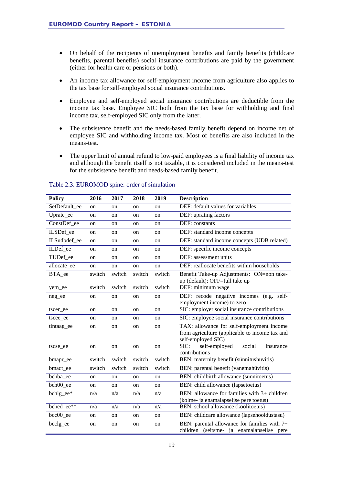- On behalf of the recipients of unemployment benefits and family benefits (childcare benefits, parental benefits) social insurance contributions are paid by the government (either for health care or pensions or both).
- An income tax allowance for self-employment income from agriculture also applies to the tax base for self-employed social insurance contributions.
- Employee and self-employed social insurance contributions are deductible from the income tax base. Employee SIC both from the tax base for withholding and final income tax, self-employed SIC only from the latter.
- The subsistence benefit and the needs-based family benefit depend on income net of employee SIC and withholding income tax. Most of benefits are also included in the means-test.
- The upper limit of annual refund to low-paid employees is a final liability of income tax and although the benefit itself is not taxable, it is considered included in the means-test for the subsistence benefit and needs-based family benefit.

| <b>Policy</b> | 2016   | 2017   | 2018          | 2019          | <b>Description</b>                                                                                                |
|---------------|--------|--------|---------------|---------------|-------------------------------------------------------------------------------------------------------------------|
| SetDefault ee | on     | on     | <sub>on</sub> | on            | DEF: default values for variables                                                                                 |
| Uprate_ee     | on     | on     | on            | on            | DEF: uprating factors                                                                                             |
| ConstDef ee   | on     | on     | on            | on            | DEF: constants                                                                                                    |
| ILSDef ee     | on     | on     | on            | on            | DEF: standard income concepts                                                                                     |
| ILSudbdef ee  | on     | on     | on            | <sub>on</sub> | DEF: standard income concepts (UDB related)                                                                       |
| ILDef ee      | on     | on     | on            | <sub>on</sub> | DEF: specific income concepts                                                                                     |
| TUDef ee      | on     | on     | on            | on            | DEF: assessment units                                                                                             |
| allocate_ee   | on     | on     | on            | on            | DEF: reallocate benefits within households                                                                        |
| BTA_ee        | switch | switch | switch        | switch        | Benefit Take-up Adjustments: ON=non take-<br>up (default); OFF=full take up                                       |
| yem_ee        | switch | switch | switch        | switch        | DEF: minimum wage                                                                                                 |
| neg_ee        | on     | on     | on            | on            | DEF: recode negative incomes (e.g. self-<br>employment income) to zero                                            |
| tscer ee      | on     | on     | <sub>on</sub> | <sub>on</sub> | SIC: employer social insurance contributions                                                                      |
| tscee ee      | on     | on     | on            | <sub>on</sub> | SIC: employee social insurance contributions                                                                      |
| tintaag ee    | on     | on     | on            | on            | TAX: allowance for self-employment income<br>from agriculture (applicable to income tax and<br>self-employed SIC) |
| tscse ee      | on     | on     | on            | on            | SIC:<br>self-employed<br>social<br>insurance<br>contributions                                                     |
| bmapr_ee      | switch | switch | switch        | switch        | BEN: maternity benefit (sünnitushüvitis)                                                                          |
| bmact_ee      | switch | switch | switch        | switch        | BEN: parental benefit (vanemahüvitis)                                                                             |
| bchba ee      | on     | on     | on            | on            | BEN: childbirth allowance (sünnitoetus)                                                                           |
| bch00 ee      | on     | on     | on            | on            | BEN: child allowance (lapsetoetus)                                                                                |
| bchlg ee*     | n/a    | n/a    | n/a           | n/a           | BEN: allowance for families with $3+$ children                                                                    |
|               |        |        |               |               | (kolme- ja enamalapselise pere toetus)                                                                            |
| bched ee**    | n/a    | n/a    | n/a           | n/a           | BEN: school allowance (koolitoetus)                                                                               |
| bcc00 ee      | on     | on     | on            | on            | BEN: childcare allowance (lapsehooldustasu)                                                                       |
| bcclg_ee      | on     | on     | on            | on            | BEN: parental allowance for families with 7+<br>children (seitsme- ja enamalapselise pere                         |

#### Table 2.3. EUROMOD spine: order of simulation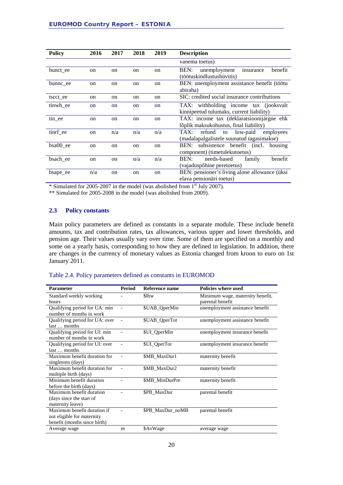| <b>Policy</b> | 2016          | 2017          | 2018          | 2019          | <b>Description</b>                                                                   |  |  |  |  |  |  |
|---------------|---------------|---------------|---------------|---------------|--------------------------------------------------------------------------------------|--|--|--|--|--|--|
|               |               |               |               |               | vanema toetus)                                                                       |  |  |  |  |  |  |
| bunct ee      | on            | on            | <sub>on</sub> | <sub>on</sub> | unemployment<br>benefit<br>BEN:<br>insurance<br>(töötuskindlustushüvitis)            |  |  |  |  |  |  |
| bunnc ee      | on            | on            | <sub>on</sub> | on            | BEN: unemployment assistance benefit (töötu<br>abiraha)                              |  |  |  |  |  |  |
| tscct ee      | on            | on            | <sub>on</sub> | on            | SIC: credited social insurance contributions                                         |  |  |  |  |  |  |
| tinwh ee      | on            | on            | <sub>on</sub> | <sub>on</sub> | TAX: withholding income tax (jooksvalt<br>kinnipeetud tulumaks, current liability)   |  |  |  |  |  |  |
| tin ee        | on            | on            | on            | on            | TAX: income tax (deklaratsioonijärgne ehk<br>lõplik maksukohustus, final liability)  |  |  |  |  |  |  |
| tinrf_ee      | on            | n/a           | n/a           | n/a           | refund to low-paid<br>TAX:<br>employees<br>(madalapalgalistele suunatud tagasimakse) |  |  |  |  |  |  |
| bsa00 ee      | <sub>on</sub> | <sub>on</sub> | <sub>on</sub> | on            | subsistence benefit (incl. housing<br>BEN:<br>component) (timetule kuto etus)        |  |  |  |  |  |  |
| bsach ee      | on            | on            | n/a           | n/a           | needs-based<br>benefit<br>BEN:<br>family<br>(vajaduspõhine peretoetus)               |  |  |  |  |  |  |
| bsape_ee      | n/a           | on            | on            | on            | BEN: pensioner's living alone allowance (üksi<br>elava pensionäri toetus)            |  |  |  |  |  |  |

\* Simulated for 2005-2007 in the model (was abolished from 1st July 2007).

<span id="page-19-0"></span>\*\* Simulated for 2005-2008 in the model (was abolished from 2009).

#### **2.3 Policy constants**

Main policy parameters are defined as constants in a separate module. These include benefit amounts, tax and contribution rates, tax allowances, various upper and lower thresholds, and pension age. Their values usually vary over time. Some of them are specified on a monthly and some on a yearly basis, corresponding to how they are defined in legislation. In addition, there are changes in the currency of monetary values as Estonia changed from kroon to euro on 1st January 2011.

#### Table 2.4. Policy parameters defined as constants in EUROMOD

| <b>Parameter</b>                                                                          | <b>Period</b>  | Reference name   | <b>Policies where used</b>                           |
|-------------------------------------------------------------------------------------------|----------------|------------------|------------------------------------------------------|
| Standard weekly working<br>hours                                                          |                | \$lhw            | Minimum wage, maternity benefit,<br>parental benefit |
| Qualifying period for UA: min<br>number of months in work                                 |                | \$UAB_QperMin    | unemployment assistance benefit                      |
| Qualifying period for UA: over<br>last  months                                            | $\overline{a}$ | \$UAB_QperTot    | unemployment assistance benefit                      |
| Qualifying period for UI: min<br>number of months in work                                 |                | \$UI_QperMin     | unemployment insurance benefit                       |
| Qualifying period for UI: over<br>last  months                                            |                | \$UI_QperTot     | unemployment insurance benefit                       |
| Maximum benefit duration for<br>singletons (days)                                         |                | \$MB_MaxDur1     | maternity benefit                                    |
| Maximum benefit duration for<br>multiple birth (days)                                     |                | \$MB MaxDur2     | maternity benefit                                    |
| Minimum benefit duration<br>before the birth (days)                                       |                | \$MB MinDurPre   | maternity benefit                                    |
| Maximum benefit duration<br>(days since the start of<br>maternity leave)                  |                | \$PB MaxDur      | parental benefit                                     |
| Maximum benefit duration if<br>not eligible for maternity<br>benefit (months since birth) |                | \$PB_MaxDur_noMB | parental benefit                                     |
| Average wage                                                                              | m              | \$AvWage         | average wage                                         |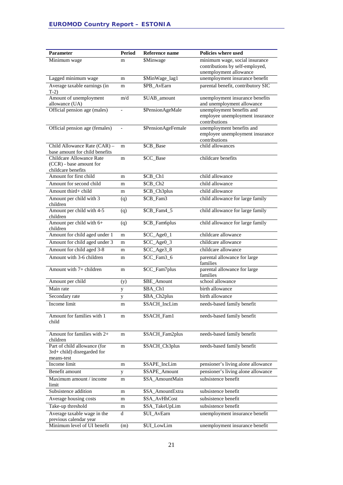| Parameter                                     | <b>Period</b>     | Reference name     | Policies where used                                           |
|-----------------------------------------------|-------------------|--------------------|---------------------------------------------------------------|
| Minimum wage                                  | m                 | \$Minwage          | minimum wage, social insurance                                |
|                                               |                   |                    | contributions by self-employed,                               |
| Lagged minimum wage                           | m                 | \$MinWage_lag1     | unemployment allowance<br>unemployment insurance benefit      |
| Average taxable earnings (in                  | m                 | \$PB_AvEarn        | parental benefit, contributory SIC                            |
| $T-2$                                         |                   |                    |                                                               |
| Amount of unemployment<br>allowance (UA)      | m/d               | \$UAB_amount       | unemployment insurance benefits<br>and unemployment allowance |
| Official pension age (males)                  |                   | \$PensionAgeMale   | unemployment benefits and                                     |
|                                               |                   |                    | employee unemployment insurance<br>contributions              |
| Official pension age (females)                | $\qquad \qquad -$ | \$PensionAgeFemale | unemployment benefits and                                     |
|                                               |                   |                    | employee unemployment insurance<br>contributions              |
| Child Allowance Rate (CAR) -                  | m                 | \$CB_Base          | child allowances                                              |
| base amount for child benefits                |                   |                    |                                                               |
| Childcare Allowance Rate                      | m                 | \$CC_Base          | childcare benefits                                            |
| (CCR) - base amount for<br>childcare benefits |                   |                    |                                                               |
| Amount for first child                        | m                 | \$CB_Ch1           | child allowance                                               |
| Amount for second child                       | m                 | \$CB_Ch2           | child allowance                                               |
| Amount third+ child                           | m                 | \$CB_Ch3plus       | child allowance                                               |
| Amount per child with 3                       | (q)               | \$CB_Fam3          | child allowance for large family                              |
| children                                      |                   |                    |                                                               |
| Amount per child with 4-5                     | (q)               | \$CB_Fam4_5        | child allowance for large family                              |
| children<br>Amount per child with $6+$        | (q)               | \$CB_Fam6plus      | child allowance for large family                              |
| children                                      |                   |                    |                                                               |
| Amount for child aged under 1                 | m                 | \$CC_Age0_1        | childcare allowance                                           |
| Amount for child aged under 3                 | m                 | \$CC_Age0_3        | childcare allowance                                           |
| Amount for child aged 3-8                     | m                 | \$CC_Age3_8        | childcare allowance                                           |
| Amount with 3-6 children                      | m                 | \$CC_Fam3_6        | parental allowance for large<br>families                      |
| Amount with 7+ children                       | m                 | \$CC_Fam7plus      | parental allowance for large                                  |
|                                               |                   |                    | families                                                      |
| Amount per child                              | (y)               | \$BE_Amount        | school allowance                                              |
| Main rate                                     | y                 | \$BA_Ch1           | birth allowance                                               |
| Secondary rate                                | y                 | \$BA_Ch2plus       | birth allowance                                               |
| Income limit                                  | m                 | \$SACH_IncLim      | needs-based family benefit                                    |
| Amount for families with 1                    | m                 | \$SACH_Fam1        | needs-based family benefit                                    |
| child                                         |                   |                    |                                                               |
|                                               |                   |                    |                                                               |
| Amount for families with $2+$<br>children     | m                 | \$SACH_Fam2plus    | needs-based family benefit                                    |
| Part of child allowance (for                  | m                 | \$SACH_Ch3plus     | needs-based family benefit                                    |
| 3rd+ child) disregarded for                   |                   |                    |                                                               |
| means-test                                    |                   |                    |                                                               |
| Income limit                                  | m                 | \$SAPE_IncLim      | pensioner's living alone allowance                            |
| Benefit amount                                | y                 | \$SAPE_Amount      | pensioner's living alone allowance<br>subsistence benefit     |
| Maximum amount / income<br>limit              | m                 | \$SA_AmountMain    |                                                               |
| Subsistence addition                          | m                 | \$SA_AmountExtra   | subsistence benefit                                           |
| Average housing costs                         | m                 | \$SA_AvHhCost      | subsistence benefit                                           |
| Take-up threshold                             | m                 | \$SA_TakeUpLim     | subsistence benefit                                           |
| Average taxable wage in the                   | d                 | \$UI_AvEarn        | unemployment insurance benefit                                |
| previous calendar year                        |                   |                    |                                                               |
| Minimum level of UI benefit                   | (m)               | \$UI_LowLim        | unemployment insurance benefit                                |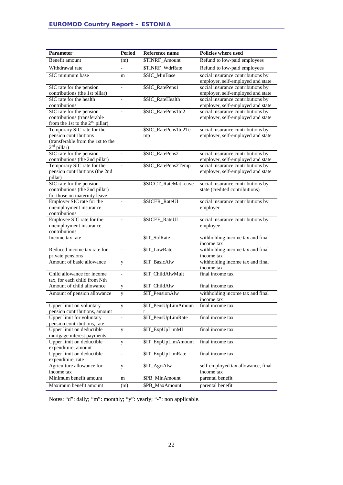| Parameter                                                       | <b>Period</b>            | <b>Reference name</b>    | <b>Policies where used</b>                                             |
|-----------------------------------------------------------------|--------------------------|--------------------------|------------------------------------------------------------------------|
| Benefit amount                                                  | (m)                      | \$TINRF_Amount           | Refund to low-paid employees                                           |
| Withdrawal rate                                                 | $\overline{\phantom{0}}$ | \$TINRF_WdrRate          | Refund to low-paid employees                                           |
| SIC minimum base                                                | m                        | \$SIC_MinBase            | social insurance contributions by                                      |
|                                                                 |                          |                          | employer, self-employed and state                                      |
| SIC rate for the pension                                        | $\overline{\phantom{0}}$ | \$SIC_RatePens1          | social insurance contributions by                                      |
| contributions (the 1st pillar)                                  |                          |                          | employer, self-employed and state                                      |
| SIC rate for the health                                         | $\qquad \qquad -$        | \$SIC_RateHealth         | social insurance contributions by                                      |
| contributions                                                   |                          |                          | employer, self-employed and state                                      |
| SIC rate for the pension                                        |                          | \$SIC_RatePens1to2       | social insurance contributions by                                      |
| contributions (transferable                                     |                          |                          | employer, self-employed and state                                      |
| from the 1st to the $2nd$ pillar)<br>Temporary SIC rate for the |                          |                          |                                                                        |
| pension contributions                                           |                          | \$SIC_RatePens1to2Te     | social insurance contributions by<br>employer, self-employed and state |
| (transferable from the 1st to the                               |                          | mp                       |                                                                        |
| $2nd$ pillar)                                                   |                          |                          |                                                                        |
| SIC rate for the pension                                        | $\qquad \qquad -$        | \$SIC_RatePens2          | social insurance contributions by                                      |
| contributions (the 2nd pillar)                                  |                          |                          | employer, self-employed and state                                      |
| Temporary SIC rate for the                                      | $\overline{a}$           | \$SIC_RatePens2Temp      | social insurance contributions by                                      |
| pension contributions (the 2nd                                  |                          |                          | employer, self-employed and state                                      |
| pillar)                                                         |                          |                          |                                                                        |
| SIC rate for the pension                                        |                          | \$SICCT_RateMatLeave     | social insurance contributions by                                      |
| contributions (the 2nd pillar)                                  |                          |                          | state (credited contributions)                                         |
| for those on maternity leave                                    |                          |                          |                                                                        |
| Employer SIC rate for the                                       | $\overline{\phantom{0}}$ | \$SICER_RateUI           | social insurance contributions by                                      |
| unemployment insurance                                          |                          |                          | employer                                                               |
| contributions                                                   |                          |                          |                                                                        |
| Employee SIC rate for the                                       |                          | \$SICEE_RateUI           | social insurance contributions by                                      |
| unemployment insurance<br>contributions                         |                          |                          | employee                                                               |
| Income tax rate                                                 | $\blacksquare$           | \$IT_StdRate             | withholding income tax and final                                       |
|                                                                 |                          |                          | income tax                                                             |
| Reduced income tax rate for                                     |                          | \$IT_LowRate             | withholding income tax and final                                       |
| private pensions                                                |                          |                          | income tax                                                             |
| Amount of basic allowance                                       | y                        | \$IT_BasicAlw            | withholding income tax and final                                       |
|                                                                 |                          |                          | income tax                                                             |
| Child allowance for income                                      | $\blacksquare$           | \$IT_ChildAlwMult        | final income tax                                                       |
| tax, for each child from Nth                                    |                          |                          |                                                                        |
| Amount of child allowance                                       | y                        | \$IT_ChildAlw            | final income tax                                                       |
| Amount of pension allowance                                     | y                        | \$IT_PensionAlw          | withholding income tax and final                                       |
|                                                                 |                          |                          | income tax                                                             |
| Upper limit on voluntary<br>pension contributions, amount       | y                        | \$IT_PensUpLimAmoun<br>t | final income tax                                                       |
| Upper limit for voluntary                                       | $\qquad \qquad -$        | \$IT_PensUpLimRate       | final income tax                                                       |
| pension contributions, rate                                     |                          |                          |                                                                        |
| Upper limit on deductible                                       | y                        | \$IT_ExpUpLimMI          | final income tax                                                       |
| mortgage interest payments                                      |                          |                          |                                                                        |
| Upper limit on deductible                                       | y                        | \$IT_ExpUpLimAmount      | final income tax                                                       |
| expenditure, amount                                             |                          |                          |                                                                        |
| Upper limit on deductible                                       | $\overline{\phantom{0}}$ | \$IT_ExpUpLimRate        | final income tax                                                       |
| expenditure, rate                                               |                          |                          |                                                                        |
| Agriculture allowance for                                       | y                        | \$IT_AgriAlw             | self-employed tax allowance, final                                     |
| income tax                                                      |                          |                          | income tax                                                             |
| Minimum benefit amount                                          | m                        | \$PB_MinAmount           | parental benefit                                                       |
| Maximum benefit amount                                          | (m)                      | \$PB_MaxAmount           | parental benefit                                                       |

Notes: "d": daily; "m": monthly; "y": yearly; "-": non applicable.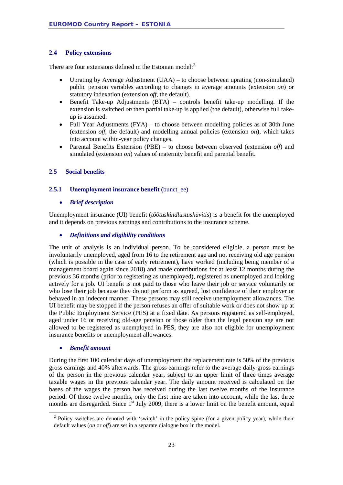#### <span id="page-22-0"></span>**2.4 Policy extensions**

There are four extensions defined in the Estonian model:<sup>[2](#page-22-3)</sup>

- Uprating by Average Adjustment (UAA) to choose between uprating (non-simulated) public pension variables according to changes in average amounts (extension *on*) or statutory indexation (extension *off*, the default).
- Benefit Take-up Adjustments (BTA) controls benefit take-up modelling. If the extension is switched *on* then partial take-up is applied (the default), otherwise full takeup is assumed.
- Full Year Adjustments (FYA) to choose between modelling policies as of 30th June (extension *off*, the default) and modelling annual policies (extension *on*), which takes into account within-year policy changes.
- Parental Benefits Extension (PBE) to choose between observed (extension *off*) and simulated (extension *on*) values of maternity benefit and parental benefit.

#### <span id="page-22-1"></span>**2.5 Social benefits**

#### <span id="page-22-2"></span>**2.5.1 Unemployment insurance benefit (**bunct\_ee)

#### • *Brief description*

Unemployment insurance (UI) benefit (*töötuskindlustushüvitis*) is a benefit for the unemployed and it depends on previous earnings and contributions to the insurance scheme.

#### • *Definitions and eligibility conditions*

The unit of analysis is an individual person. To be considered eligible, a person must be involuntarily unemployed, aged from 16 to the retirement age and not receiving old age pension (which is possible in the case of early retirement), have worked (including being member of a management board again since 2018) and made contributions for at least 12 months during the previous 36 months (prior to registering as unemployed), registered as unemployed and looking actively for a job. UI benefit is not paid to those who leave their job or service voluntarily or who lose their job because they do not perform as agreed, lost confidence of their employer or behaved in an indecent manner. These persons may still receive unemployment allowances. The UI benefit may be stopped if the person refuses an offer of suitable work or does not show up at the Public Employment Service (PES) at a fixed date. As persons registered as self-employed, aged under 16 or receiving old-age pension or those older than the legal pension age are not allowed to be registered as unemployed in PES, they are also not eligible for unemployment insurance benefits or unemployment allowances.

#### • *Benefit amount*

During the first 100 calendar days of unemployment the replacement rate is 50% of the previous gross earnings and 40% afterwards. The gross earnings refer to the average daily gross earnings of the person in the previous calendar year, subject to an upper limit of three times average taxable wages in the previous calendar year. The daily amount received is calculated on the bases of the wages the person has received during the last twelve months of the insurance period. Of those twelve months, only the first nine are taken into account, while the last three months are disregarded. Since  $1<sup>st</sup>$  July 2009, there is a lower limit on the benefit amount, equal

<span id="page-22-3"></span><sup>&</sup>lt;sup>2</sup> Policy switches are denoted with 'switch' in the policy spine (for a given policy year), while their default values (*on* or *off*) are set in a separate dialogue box in the model.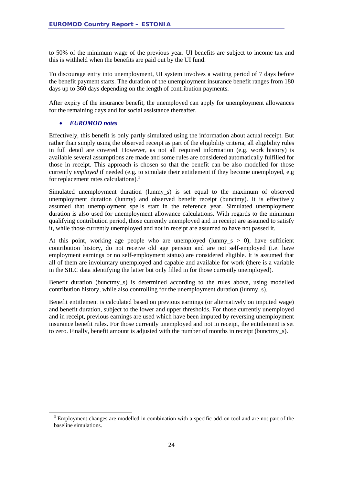to 50% of the minimum wage of the previous year. UI benefits are subject to income tax and this is withheld when the benefits are paid out by the UI fund.

To discourage entry into unemployment, UI system involves a waiting period of 7 days before the benefit payment starts. The duration of the unemployment insurance benefit ranges from 180 days up to 360 days depending on the length of contribution payments.

After expiry of the insurance benefit, the unemployed can apply for unemployment allowances for the remaining days and for social assistance thereafter.

#### • *EUROMOD notes*

Effectively, this benefit is only partly simulated using the information about actual receipt. But rather than simply using the observed receipt as part of the eligibility criteria, all eligibility rules in full detail are covered. However, as not all required information (e.g. work history) is available several assumptions are made and some rules are considered automatically fulfilled for those in receipt. This approach is chosen so that the benefit can be also modelled for those currently *employed* if needed (e.g. to simulate their entitlement if they become unemployed, e.g for replacement rates calculations).<sup>[3](#page-23-0)</sup>

Simulated unemployment duration (lunmy\_s) is set equal to the maximum of observed unemployment duration (lunmy) and observed benefit receipt (bunctmy). It is effectively assumed that unemployment spells start in the reference year. Simulated unemployment duration is also used for unemployment allowance calculations. With regards to the minimum qualifying contribution period, those currently unemployed and in receipt are assumed to satisfy it, while those currently unemployed and not in receipt are assumed to have not passed it.

At this point, working age people who are unemployed (lunmy\_s  $> 0$ ), have sufficient contribution history, do not receive old age pension and are not self-employed (i.e. have employment earnings or no self-employment status) are considered eligible. It is assumed that all of them are involuntary unemployed and capable and available for work (there is a variable in the SILC data identifying the latter but only filled in for those currently unemployed).

Benefit duration (bunctmy\_s) is determined according to the rules above, using modelled contribution history, while also controlling for the unemployment duration (lunmy\_s).

Benefit entitlement is calculated based on previous earnings (or alternatively on imputed wage) and benefit duration, subject to the lower and upper thresholds. For those currently unemployed and in receipt, previous earnings are used which have been imputed by reversing unemployment insurance benefit rules. For those currently unemployed and not in receipt, the entitlement is set to zero. Finally, benefit amount is adjusted with the number of months in receipt (bunctmy\_s).

<span id="page-23-0"></span><sup>&</sup>lt;sup>3</sup> Employment changes are modelled in combination with a specific add-on tool and are not part of the baseline simulations.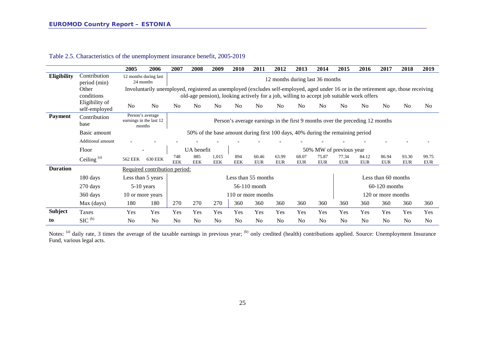|                 |                                 | 2005                                                  | 2006                                                                                                                                | 2007              | 2008                                                                         | 2009                | 2010              | 2011                | 2012                                                                                     | 2013                | 2014                | 2015                    | 2016                | 2017                | 2018                | 2019                |  |
|-----------------|---------------------------------|-------------------------------------------------------|-------------------------------------------------------------------------------------------------------------------------------------|-------------------|------------------------------------------------------------------------------|---------------------|-------------------|---------------------|------------------------------------------------------------------------------------------|---------------------|---------------------|-------------------------|---------------------|---------------------|---------------------|---------------------|--|
| Eligibility     | Contribution<br>period (min)    | 12 months during last<br>24 months                    |                                                                                                                                     |                   |                                                                              |                     |                   |                     | 12 months during last 36 months                                                          |                     |                     |                         |                     |                     |                     |                     |  |
|                 | Other<br>conditions             |                                                       | Involuntarily unemployed, registered as unemployed (excludes self-employed, aged under 16 or in the retirement age, those receiving |                   |                                                                              |                     |                   |                     | old-age pension), looking actively for a job, willing to accept job suitable work offers |                     |                     |                         |                     |                     |                     |                     |  |
|                 | Eligibility of<br>self-employed | N <sub>0</sub>                                        | N <sub>0</sub>                                                                                                                      | N <sub>0</sub>    | N <sub>o</sub>                                                               | N <sub>o</sub>      | N <sub>0</sub>    | N <sub>0</sub>      | N <sub>0</sub>                                                                           | N <sub>0</sub>      | N <sub>0</sub>      | N <sub>0</sub>          | N <sub>0</sub>      | No                  | N <sub>0</sub>      | N <sub>o</sub>      |  |
| <b>Payment</b>  | Contribution<br>base            | Person's average<br>earnings in the last 12<br>months |                                                                                                                                     |                   | Person's average earnings in the first 9 months over the preceding 12 months |                     |                   |                     |                                                                                          |                     |                     |                         |                     |                     |                     |                     |  |
|                 | Basic amount                    |                                                       |                                                                                                                                     |                   |                                                                              |                     |                   |                     | 50% of the base amount during first 100 days, 40% during the remaining period            |                     |                     |                         |                     |                     |                     |                     |  |
|                 | Additional amount               |                                                       |                                                                                                                                     |                   |                                                                              |                     |                   |                     |                                                                                          |                     |                     |                         |                     |                     |                     |                     |  |
|                 | Floor                           |                                                       |                                                                                                                                     |                   | UA benefit                                                                   |                     |                   |                     |                                                                                          |                     |                     | 50% MW of previous year |                     |                     |                     |                     |  |
|                 | Ceiling <sup>(a)</sup>          | 562 EEK                                               | <b>630 EEK</b>                                                                                                                      | 748<br><b>EEK</b> | 885<br><b>EEK</b>                                                            | 1,015<br><b>EEK</b> | 894<br><b>EEK</b> | 60.46<br><b>EUR</b> | 63.99<br><b>EUR</b>                                                                      | 68.07<br><b>EUR</b> | 75.87<br><b>EUR</b> | 77.34<br><b>EUR</b>     | 84.12<br><b>EUR</b> | 86.94<br><b>EUR</b> | 93.30<br><b>EUR</b> | 99.75<br><b>EUR</b> |  |
| <b>Duration</b> |                                 |                                                       | Required contribution period:                                                                                                       |                   |                                                                              |                     |                   |                     |                                                                                          |                     |                     |                         |                     |                     |                     |                     |  |
|                 | 180 days                        | Less than 5 years                                     |                                                                                                                                     |                   |                                                                              |                     |                   | Less than 55 months |                                                                                          |                     |                     |                         |                     | Less than 60 months |                     |                     |  |
|                 | 270 days                        | 5-10 years                                            |                                                                                                                                     |                   |                                                                              |                     |                   | 56-110 month        |                                                                                          |                     |                     |                         |                     | $60-120$ months     |                     |                     |  |
|                 | 360 days                        | 10 or more years                                      |                                                                                                                                     |                   |                                                                              |                     |                   | 110 or more months  |                                                                                          |                     |                     |                         |                     | 120 or more months  |                     |                     |  |
|                 | Max (days)                      | 180                                                   | 180                                                                                                                                 | 270               | 270                                                                          | 270                 | 360               | 360                 | 360                                                                                      | 360                 | 360                 | 360                     | 360                 | 360                 | 360                 | 360                 |  |
| <b>Subject</b>  | Taxes                           | Yes                                                   | Yes                                                                                                                                 | Yes               | Yes                                                                          | Yes                 | Yes               | Yes                 | Yes                                                                                      | Yes                 | Yes                 | Yes                     | Yes                 | Yes                 | Yes                 | Yes                 |  |
| to              | $SIC$ <sup>(b)</sup>            | No                                                    | N <sub>0</sub>                                                                                                                      | N <sub>0</sub>    | N <sub>0</sub>                                                               | N <sub>o</sub>      | No                | N <sub>0</sub>      | N <sub>o</sub>                                                                           | N <sub>0</sub>      | N <sub>o</sub>      | N <sub>o</sub>          | N <sub>0</sub>      | No                  | N <sub>o</sub>      | N <sub>0</sub>      |  |

Table 2.5. Characteristics of the unemployment insurance benefit, 2005-2019

Notes: (a) daily rate, 3 times the average of the taxable earnings in previous year; (b) only credited (health) contributions applied. Source: Unemployment Insurance Fund, various legal acts.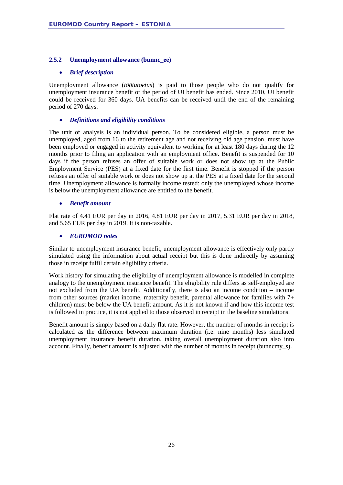#### <span id="page-25-0"></span>**2.5.2 Unemployment allowance (bunnc\_ee)**

#### • *Brief description*

Unemployment allowance (*töötutoetus*) is paid to those people who do not qualify for unemployment insurance benefit or the period of UI benefit has ended. Since 2010, UI benefit could be received for 360 days. UA benefits can be received until the end of the remaining period of 270 days.

#### • *Definitions and eligibility conditions*

The unit of analysis is an individual person. To be considered eligible, a person must be unemployed, aged from 16 to the retirement age and not receiving old age pension, must have been employed or engaged in activity equivalent to working for at least 180 days during the 12 months prior to filing an application with an employment office. Benefit is suspended for 10 days if the person refuses an offer of suitable work or does not show up at the Public Employment Service (PES) at a fixed date for the first time. Benefit is stopped if the person refuses an offer of suitable work or does not show up at the PES at a fixed date for the second time. Unemployment allowance is formally income tested: only the unemployed whose income is below the unemployment allowance are entitled to the benefit.

#### • *Benefit amount*

Flat rate of 4.41 EUR per day in 2016, 4.81 EUR per day in 2017, 5.31 EUR per day in 2018, and 5.65 EUR per day in 2019. It is non-taxable.

#### • *EUROMOD notes*

Similar to unemployment insurance benefit, unemployment allowance is effectively only partly simulated using the information about actual receipt but this is done indirectly by assuming those in receipt fulfil certain eligibility criteria.

Work history for simulating the eligibility of unemployment allowance is modelled in complete analogy to the unemployment insurance benefit. The eligibility rule differs as self-employed are not excluded from the UA benefit. Additionally, there is also an income condition – income from other sources (market income, maternity benefit, parental allowance for families with 7+ children) must be below the UA benefit amount. As it is not known if and how this income test is followed in practice, it is not applied to those observed in receipt in the baseline simulations.

Benefit amount is simply based on a daily flat rate. However, the number of months in receipt is calculated as the difference between maximum duration (i.e. nine months) less simulated unemployment insurance benefit duration, taking overall unemployment duration also into account. Finally, benefit amount is adjusted with the number of months in receipt (bunncmy\_s).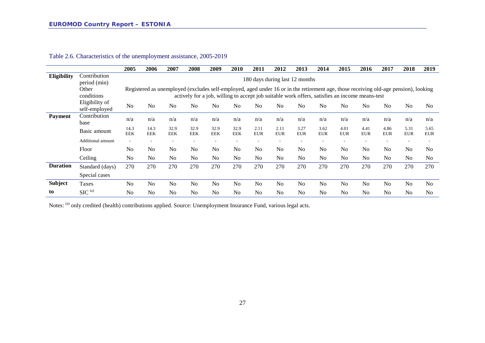|                 |                                 | 2005               | 2006                           | 2007               | 2008               | 2009               | 2010               | 2011               | 2012               | 2013               | 2014               | 2015               | 2016                                                                                                                                                                                                                                  | 2017               | 2018               | 2019               |
|-----------------|---------------------------------|--------------------|--------------------------------|--------------------|--------------------|--------------------|--------------------|--------------------|--------------------|--------------------|--------------------|--------------------|---------------------------------------------------------------------------------------------------------------------------------------------------------------------------------------------------------------------------------------|--------------------|--------------------|--------------------|
| Eligibility     | Contribution<br>period (min)    |                    | 180 days during last 12 months |                    |                    |                    |                    |                    |                    |                    |                    |                    |                                                                                                                                                                                                                                       |                    |                    |                    |
|                 | Other<br>conditions             |                    |                                |                    |                    |                    |                    |                    |                    |                    |                    |                    | Registered as unemployed (excludes self-employed, aged under 16 or in the retirement age, those receiving old-age pension), looking<br>actively for a job, willing to accept job suitable work offers, satisfies an income means-test |                    |                    |                    |
|                 | Eligibility of<br>self-employed | No                 | No                             | N <sub>0</sub>     | N <sub>o</sub>     | N <sub>o</sub>     | No                 | N <sub>o</sub>     | N <sub>0</sub>     | N <sub>0</sub>     | No                 | N <sub>0</sub>     | No                                                                                                                                                                                                                                    | N <sub>0</sub>     | N <sub>0</sub>     | N <sub>0</sub>     |
| <b>Payment</b>  | Contribution<br>base            | n/a                | n/a                            | n/a                | n/a                | n/a                | n/a                | n/a                | n/a                | n/a                | n/a                | n/a                | n/a                                                                                                                                                                                                                                   | n/a                | n/a                | n/a                |
|                 | Basic amount                    | 14.3<br><b>EEK</b> | 14.3<br><b>EEK</b>             | 32.9<br><b>EEK</b> | 32.9<br><b>EEK</b> | 32.9<br><b>EEK</b> | 32.9<br><b>EEK</b> | 2.11<br><b>EUR</b> | 2.11<br><b>EUR</b> | 3.27<br><b>EUR</b> | 3.62<br><b>EUR</b> | 4.01<br><b>EUR</b> | 4.41<br><b>EUR</b>                                                                                                                                                                                                                    | 4.86<br><b>EUR</b> | 5.31<br><b>EUR</b> | 5.65<br><b>EUR</b> |
|                 | Additional amount               | ٠                  |                                |                    |                    |                    |                    |                    |                    |                    |                    |                    |                                                                                                                                                                                                                                       |                    |                    |                    |
|                 | Floor                           | N <sub>o</sub>     | N <sub>o</sub>                 | No                 | N <sub>o</sub>     | N <sub>o</sub>     | No                 | N <sub>0</sub>     | N <sub>0</sub>     | N <sub>0</sub>     | No                 | N <sub>o</sub>     | No                                                                                                                                                                                                                                    | No                 | N <sub>0</sub>     | N <sub>0</sub>     |
|                 | Ceiling                         | No                 | N <sub>o</sub>                 | N <sub>o</sub>     | N <sub>o</sub>     | N <sub>o</sub>     | No                 | N <sub>o</sub>     | N <sub>o</sub>     | N <sub>o</sub>     | No                 | N <sub>o</sub>     | N <sub>o</sub>                                                                                                                                                                                                                        | No                 | N <sub>o</sub>     | N <sub>0</sub>     |
| <b>Duration</b> | Standard (days)                 | 270                | 270                            | 270                | 270                | 270                | 270                | 270                | 270                | 270                | 270                | 270                | 270                                                                                                                                                                                                                                   | 270                | 270                | 270                |
|                 | Special cases                   |                    |                                |                    |                    |                    |                    |                    |                    |                    |                    |                    |                                                                                                                                                                                                                                       |                    |                    |                    |
| Subject         | Taxes                           | N <sub>o</sub>     | No                             | N <sub>o</sub>     | N <sub>o</sub>     | N <sub>o</sub>     | No                 | N <sub>0</sub>     | N <sub>0</sub>     | N <sub>o</sub>     | No                 | No                 | No                                                                                                                                                                                                                                    | No                 | N <sub>0</sub>     | No                 |
| to              | $SIC^{(a)}$                     | No                 | N <sub>0</sub>                 | N <sub>0</sub>     | No                 | N <sub>o</sub>     | No                 | N <sub>o</sub>     | N <sub>0</sub>     | N <sub>o</sub>     | N <sub>o</sub>     | No                 | N <sub>0</sub>                                                                                                                                                                                                                        | N <sub>o</sub>     | N <sub>0</sub>     | No                 |

Table 2.6. Characteristics of the unemployment assistance, 2005-2019

Notes: (a) only credited (health) contributions applied. Source: Unemployment Insurance Fund, various legal acts.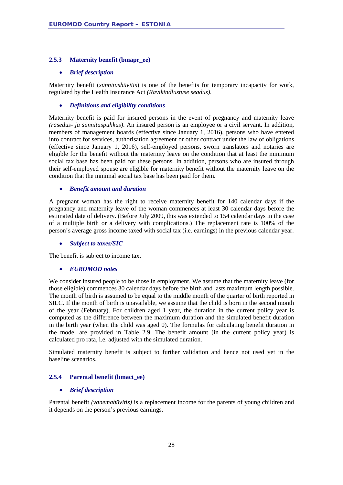#### <span id="page-27-0"></span>**2.5.3 Maternity benefit (bmapr\_ee)**

#### • *Brief description*

Maternity benefit (*sünnitushüvitis*) is one of the benefits for temporary incapacity for work, regulated by the Health Insurance Act *(Ravikindlustuse seadus)*.

#### • *Definitions and eligibility conditions*

Maternity benefit is paid for insured persons in the event of pregnancy and maternity leave *(rasedus- ja sünnituspuhkus)*. An insured person is an employee or a civil servant. In addition, members of management boards (effective since January 1, 2016), persons who have entered into contract for services, authorisation agreement or other contract under the law of obligations (effective since January 1, 2016), self-employed persons, sworn translators and notaries are eligible for the benefit without the maternity leave on the condition that at least the minimum social tax base has been paid for these persons. In addition, persons who are insured through their self-employed spouse are eligible for maternity benefit without the maternity leave on the condition that the minimal social tax base has been paid for them.

#### • *Benefit amount and duration*

A pregnant woman has the right to receive maternity benefit for 140 calendar days if the pregnancy and maternity leave of the woman commences at least 30 calendar days before the estimated date of delivery. (Before July 2009, this was extended to 154 calendar days in the case of a multiple birth or a delivery with complications.) The replacement rate is 100% of the person's average gross income taxed with social tax (i.e. earnings) in the previous calendar year.

#### • *Subject to taxes/SIC*

The benefit is subject to income tax.

#### • *EUROMOD notes*

We consider insured people to be those in employment. We assume that the maternity leave (for those eligible) commences 30 calendar days before the birth and lasts maximum length possible. The month of birth is assumed to be equal to the middle month of the quarter of birth reported in SILC. If the month of birth is unavailable, we assume that the child is born in the second month of the year (February). For children aged 1 year, the duration in the current policy year is computed as the difference between the maximum duration and the simulated benefit duration in the birth year (when the child was aged 0). The formulas for calculating benefit duration in the model are provided in [Table 2.9.](#page-31-1) The benefit amount (in the current policy year) is calculated pro rata, i.e. adjusted with the simulated duration.

Simulated maternity benefit is subject to further validation and hence not used yet in the baseline scenarios.

#### <span id="page-27-1"></span>**2.5.4 Parental benefit (bmact\_ee)**

#### • *Brief description*

Parental benefit *(vanemahüvitis)* is a replacement income for the parents of young children and it depends on the person's previous earnings.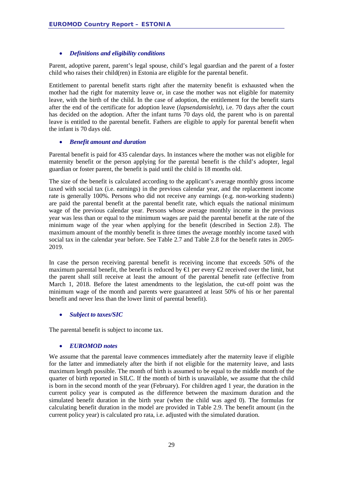#### • *Definitions and eligibility conditions*

Parent, adoptive parent, parent's legal spouse, child's legal guardian and the parent of a foster child who raises their child(ren) in Estonia are eligible for the parental benefit.

Entitlement to parental benefit starts right after the maternity benefit is exhausted when the mother had the right for maternity leave or, in case the mother was not eligible for maternity leave, with the birth of the child. In the case of adoption, the entitlement for the benefit starts after the end of the certificate for adoption leave (*lapsendamisleht)*, i.e. 70 days after the court has decided on the adoption. After the infant turns 70 days old, the parent who is on parental leave is entitled to the parental benefit. Fathers are eligible to apply for parental benefit when the infant is 70 days old.

#### • *Benefit amount and duration*

Parental benefit is paid for 435 calendar days. In instances where the mother was not eligible for maternity benefit or the person applying for the parental benefit is the child's adopter, legal guardian or foster parent, the benefit is paid until the child is 18 months old.

The size of the benefit is calculated according to the applicant's average monthly gross income taxed with social tax (i.e. earnings) in the previous calendar year, and the replacement income rate is generally 100%. Persons who did not receive any earnings (e.g. non-working students) are paid the parental benefit at the parental benefit rate, which equals the national minimum wage of the previous calendar year. Persons whose average monthly income in the previous year was less than or equal to the minimum wages are paid the parental benefit at the rate of the minimum wage of the year when applying for the benefit (described in Section [2.8\)](#page-47-0). The maximum amount of the monthly benefit is three times the average monthly income taxed with social tax in the calendar year before. See [Table 2.7](#page-30-0) and [Table 2.8](#page-30-1) for the benefit rates in 2005- 2019.

In case the person receiving parental benefit is receiving income that exceeds 50% of the maximum parental benefit, the benefit is reduced by  $\bigoplus$  per every  $\bigoplus$  received over the limit, but the parent shall still receive at least the amount of the parental benefit rate (effective from March 1, 2018. Before the latest amendments to the legislation, the cut-off point was the minimum wage of the month and parents were guaranteed at least 50% of his or her parental benefit and never less than the lower limit of parental benefit).

#### • *Subject to taxes/SIC*

The parental benefit is subject to income tax.

#### • *EUROMOD notes*

We assume that the parental leave commences immediately after the maternity leave if eligible for the latter and immediately after the birth if not eligible for the maternity leave, and lasts maximum length possible. The month of birth is assumed to be equal to the middle month of the quarter of birth reported in SILC. If the month of birth is unavailable, we assume that the child is born in the second month of the year (February). For children aged 1 year, the duration in the current policy year is computed as the difference between the maximum duration and the simulated benefit duration in the birth year (when the child was aged 0). The formulas for calculating benefit duration in the model are provided in [Table 2.9.](#page-31-1) The benefit amount (in the current policy year) is calculated pro rata, i.e. adjusted with the simulated duration.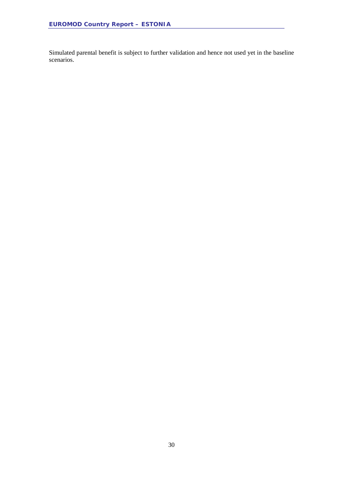Simulated parental benefit is subject to further validation and hence not used yet in the baseline scenarios.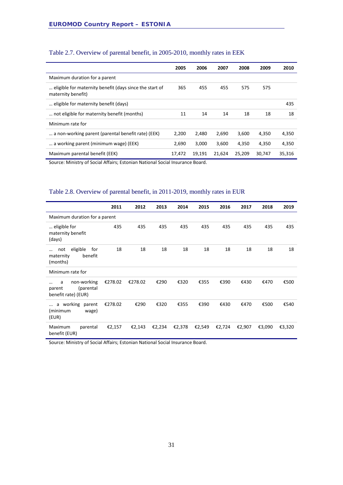|                                                                               | 2005   | 2006   | 2007   | 2008   | 2009   | 2010   |
|-------------------------------------------------------------------------------|--------|--------|--------|--------|--------|--------|
| Maximum duration for a parent                                                 |        |        |        |        |        |        |
| eligible for maternity benefit (days since the start of<br>maternity benefit) | 365    | 455    | 455    | 575    | 575    |        |
| eligible for maternity benefit (days)                                         |        |        |        |        |        | 435    |
| not eligible for maternity benefit (months)                                   | 11     | 14     | 14     | 18     | 18     | 18     |
| Minimum rate for                                                              |        |        |        |        |        |        |
| a non-working parent (parental benefit rate) (EEK)                            | 2,200  | 2,480  | 2,690  | 3,600  | 4,350  | 4,350  |
| a working parent (minimum wage) (EEK)                                         | 2.690  | 3.000  | 3,600  | 4,350  | 4,350  | 4,350  |
| Maximum parental benefit (EEK)                                                | 17,472 | 19,191 | 21,624 | 25,209 | 30,747 | 35,316 |

## <span id="page-30-0"></span>Table 2.7. Overview of parental benefit, in 2005-2010, monthly rates in EEK

Source: Ministry of Social Affairs; Estonian National Social Insurance Board.

#### <span id="page-30-1"></span>Table 2.8. Overview of parental benefit, in 2011-2019, monthly rates in EUR

|                                                                    | 2011    | 2012    | 2013   | 2014   | 2015   | 2016   | 2017   | 2018   | 2019   |
|--------------------------------------------------------------------|---------|---------|--------|--------|--------|--------|--------|--------|--------|
| Maximum duration for a parent                                      |         |         |        |        |        |        |        |        |        |
| eligible for<br>maternity benefit<br>(days)                        | 435     | 435     | 435    | 435    | 435    | 435    | 435    | 435    | 435    |
| eligible<br>for<br>not<br>benefit<br>maternity<br>(months)         | 18      | 18      | 18     | 18     | 18     | 18     | 18     | 18     | 18     |
| Minimum rate for                                                   |         |         |        |        |        |        |        |        |        |
| non-working<br>a<br><br>(parental<br>parent<br>benefit rate) (EUR) | €278.02 | €278.02 | €290   | €320   | €355   | €390   | €430   | €470   | €500   |
| a working parent<br>$\cdots$<br>(minimum<br>wage)<br>(EUR)         | €278.02 | €290    | €320   | €355   | €390   | €430   | €470   | €500   | €540   |
| Maximum<br>parental<br>benefit (EUR)                               | €2,157  | €2,143  | €2,234 | €2,378 | €2,549 | €2,724 | €2,907 | €3,090 | €3,320 |

Source: Ministry of Social Affairs; Estonian National Social Insurance Board.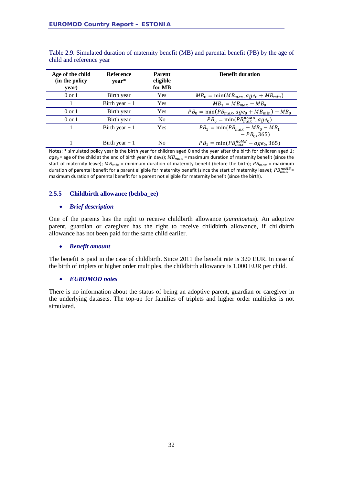| Age of the child<br>(in the policy<br>year) | Reference<br>year* | <b>Parent</b><br>eligible<br>for MB | <b>Benefit duration</b>                      |
|---------------------------------------------|--------------------|-------------------------------------|----------------------------------------------|
| $0 \text{ or } 1$                           | Birth year         | Yes                                 | $MB_0 = min(MB_{max}, age_0 + MB_{min})$     |
|                                             | Birth year $+1$    | Yes                                 | $MB_1 = MB_{max} - MB_0$                     |
| $0 \text{ or } 1$                           | Birth year         | Yes                                 | $PB0 = min(PBmax, age0 + MBmin) - MB0$       |
| $0 \text{ or } 1$                           | Birth year         | N <sub>0</sub>                      | $PB_0 = \min(PB_{max}^{noMB}, age_0)$        |
|                                             | Birth year $+1$    | Yes                                 | $PB_1 = \min(PB_{max} - MB_0 - MB_1)$        |
|                                             |                    |                                     | $-PB0, 365$                                  |
|                                             | Birth year $+1$    | N <sub>0</sub>                      | $PB_1 = \min(PB_{max}^{n oMB} - age_0, 365)$ |

<span id="page-31-1"></span>Table 2.9. Simulated duration of maternity benefit (MB) and parental benefit (PB) by the age of child and reference year

Notes: \* simulated policy year is the birth year for children aged 0 and the year after the birth for children aged 1;  $age_0$  = age of the child at the end of birth year (in days);  $MB_{max}$  = maximum duration of maternity benefit (since the start of maternity leave);  $MB_{min}$  = minimum duration of maternity benefit (before the birth);  $PB_{max}$  = maximum duration of parental benefit for a parent eligible for maternity benefit (since the start of maternity leave);  $PB_{max}^{mOMB}$ maximum duration of parental benefit for a parent not eligible for maternity benefit (since the birth).

#### <span id="page-31-0"></span>**2.5.5 Childbirth allowance (bchba\_ee)**

#### • *Brief description*

One of the parents has the right to receive childbirth allowance (*sünnitoetus*). An adoptive parent, guardian or caregiver has the right to receive childbirth allowance, if childbirth allowance has not been paid for the same child earlier.

#### • *Benefit amount*

The benefit is paid in the case of childbirth. Since 2011 the benefit rate is 320 EUR. In case of the birth of triplets or higher order multiples, the childbirth allowance is 1,000 EUR per child.

#### • *EUROMOD notes*

There is no information about the status of being an adoptive parent, guardian or caregiver in the underlying datasets. The top-up for families of triplets and higher order multiples is not simulated.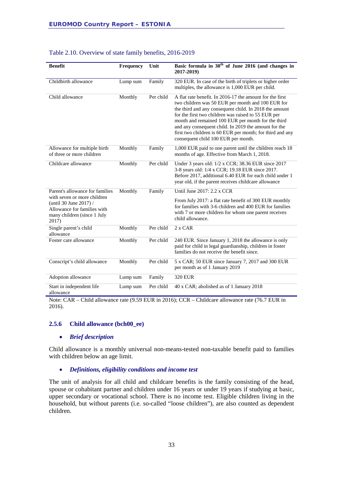| <b>Benefit</b>                                                                                                                                                  | Frequency | Unit      | Basic formula in 30 <sup>th</sup> of June 2016 (and changes in<br>2017-2019)                                                                                                                                                                                                                                                                                                                                                                     |
|-----------------------------------------------------------------------------------------------------------------------------------------------------------------|-----------|-----------|--------------------------------------------------------------------------------------------------------------------------------------------------------------------------------------------------------------------------------------------------------------------------------------------------------------------------------------------------------------------------------------------------------------------------------------------------|
| Childbirth allowance                                                                                                                                            | Lump sum  | Family    | 320 EUR. In case of the birth of triplets or higher order<br>multiples, the allowance is 1,000 EUR per child.                                                                                                                                                                                                                                                                                                                                    |
| Child allowance                                                                                                                                                 | Monthly   | Per child | A flat rate benefit. In 2016-17 the amount for the first<br>two children was 50 EUR per month and 100 EUR for<br>the third and any consequent child. In 2018 the amount<br>for the first two children was raised to 55 EUR per<br>month and remained 100 EUR per month for the third<br>and any consequent child. In 2019 the amount for the<br>first two children is 60 EUR per month; for third and any<br>consequent child 100 EUR per month. |
| Allowance for multiple birth<br>of three or more children                                                                                                       | Monthly   | Family    | 1,000 EUR paid to one parent until the children reach 18<br>months of age. Effective from March 1, 2018.                                                                                                                                                                                                                                                                                                                                         |
| Childcare allowance                                                                                                                                             | Monthly   | Per child | Under 3 years old: 1/2 x CCR; 38.36 EUR since 2017<br>3-8 years old: 1/4 x CCR; 19.18 EUR since 2017.<br>Before 2017, additional 6.40 EUR for each child under 1<br>year old, if the parent receives childcare allowance                                                                                                                                                                                                                         |
| Parent's allowance for families<br>with seven or more children<br>(until 30 June 2017) /<br>Allowance for families with<br>many children (since 1 July<br>2017) | Monthly   | Family    | Until June 2017: 2.2 x CCR<br>From July 2017: a flat rate benefit of 300 EUR monthly<br>for families with 3-6 children and 400 EUR for families<br>with 7 or more children for whom one parent receives<br>child allowance.                                                                                                                                                                                                                      |
| Single parent's child<br>allowance                                                                                                                              | Monthly   | Per child | 2 x CAR                                                                                                                                                                                                                                                                                                                                                                                                                                          |
| Foster care allowance                                                                                                                                           | Monthly   | Per child | 240 EUR. Since January 1, 2018 the allowance is only<br>paid for child in legal guardianship, children in foster<br>families do not receive the benefit since.                                                                                                                                                                                                                                                                                   |
| Conscript's child allowance                                                                                                                                     | Monthly   | Per child | 5 x CAR; 50 EUR since January 7, 2017 and 300 EUR<br>per month as of 1 January 2019                                                                                                                                                                                                                                                                                                                                                              |
| Adoption allowance                                                                                                                                              | Lump sum  | Family    | <b>320 EUR</b>                                                                                                                                                                                                                                                                                                                                                                                                                                   |
| Start in independent life<br>allowance                                                                                                                          | Lump sum  | Per child | 40 x CAR; abolished as of 1 January 2018                                                                                                                                                                                                                                                                                                                                                                                                         |

#### Table 2.10. Overview of state family benefits, 2016-2019

Note: CAR – Child allowance rate (9.59 EUR in 2016); CCR – Childcare allowance rate (76.7 EUR in 2016).

#### <span id="page-32-0"></span>**2.5.6 Child allowance (bch00\_ee)**

#### • *Brief description*

Child allowance is a monthly universal non-means-tested non-taxable benefit paid to families with children below an age limit.

#### • *Definitions, eligibility conditions and income test*

The unit of analysis for all child and childcare benefits is the family consisting of the head, spouse or cohabitant partner and children under 16 years or under 19 years if studying at basic, upper secondary or vocational school. There is no income test. Eligible children living in the household, but without parents (i.e. so-called "loose children"), are also counted as dependent children.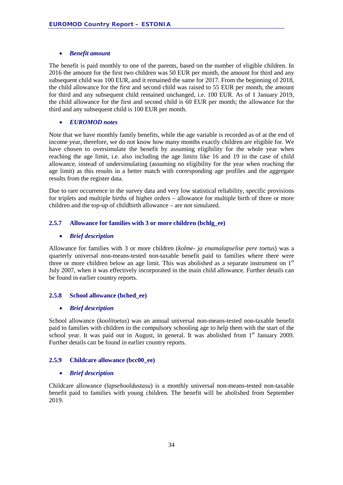#### • *Benefit amount*

The benefit is paid monthly to one of the parents, based on the number of eligible children. In 2016 the amount for the first two children was 50 EUR per month, the amount for third and any subsequent child was 100 EUR, and it remained the same for 2017. From the beginning of 2018, the child allowance for the first and second child was raised to 55 EUR per month, the amount for third and any subsequent child remained unchanged, i.e. 100 EUR. As of 1 January 2019, the child allowance for the first and second child is 60 EUR per month; the allowance for the third and any subsequent child is 100 EUR per month.

#### • *EUROMOD notes*

Note that we have monthly family benefits, while the age variable is recorded as of at the end of income year, therefore, we do not know how many months exactly children are eligible for. We have chosen to oversimulate the benefit by assuming eligibility for the whole year when reaching the age limit, i.e. also including the age limits like 16 and 19 in the case of child allowance, instead of undersimulating (assuming no eligibility for the year when reaching the age limit) as this results in a better match with corresponding age profiles and the aggregate results from the register data.

Due to rare occurrence in the survey data and very low statistical reliability, specific provisions for triplets and multiple births of higher orders – allowance for multiple birth of three or more children and the top-up of childbirth allowance – are not simulated.

#### <span id="page-33-0"></span>**2.5.7 Allowance for families with 3 or more children (bchlg\_ee)**

#### • *Brief description*

Allowance for families with 3 or more children (*kolme- ja enamalapselise pere toetus*) was a quarterly universal non-means-tested non-taxable benefit paid to families where there were three or more children below an age limit. This was abolished as a separate instrument on  $1<sup>st</sup>$ July 2007, when it was effectively incorporated in the main child allowance. Further details can be found in earlier country reports.

#### <span id="page-33-1"></span>**2.5.8 School allowance (bched\_ee)**

#### • *Brief description*

School allowance (*koolitoetus*) was an annual universal non-means-tested non-taxable benefit paid to families with children in the compulsory schooling age to help them with the start of the school year. It was paid out in August, in general. It was abolished from  $1<sup>st</sup>$  January 2009. Further details can be found in earlier country reports.

#### <span id="page-33-2"></span>**2.5.9 Childcare allowance (bcc00\_ee)**

#### • *Brief description*

Childcare allowance (*lapsehooldustasu*) is a monthly universal non-means-tested non-taxable benefit paid to families with young children. The benefit will be abolished from September 2019.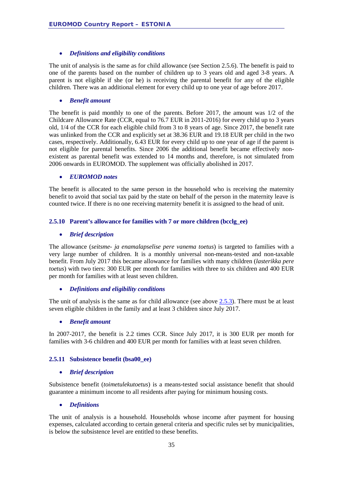#### • *Definitions and eligibility conditions*

The unit of analysis is the same as for child allowance (see Section [2.5.6\)](#page-32-0). The benefit is paid to one of the parents based on the number of children up to 3 years old and aged 3-8 years. A parent is not eligible if she (or he) is receiving the parental benefit for any of the eligible children. There was an additional element for every child up to one year of age before 2017.

#### • *Benefit amount*

The benefit is paid monthly to one of the parents. Before 2017, the amount was 1/2 of the Childcare Allowance Rate (CCR, equal to 76.7 EUR in 2011-2016) for every child up to 3 years old, 1/4 of the CCR for each eligible child from 3 to 8 years of age. Since 2017, the benefit rate was unlinked from the CCR and explicitly set at 38.36 EUR and 19.18 EUR per child in the two cases, respectively. Additionally, 6.43 EUR for every child up to one year of age if the parent is not eligible for parental benefits. Since 2006 the additional benefit became effectively nonexistent as parental benefit was extended to 14 months and, therefore, is not simulated from 2006 onwards in EUROMOD. The supplement was officially abolished in 2017.

#### • *EUROMOD notes*

The benefit is allocated to the same person in the household who is receiving the maternity benefit to avoid that social tax paid by the state on behalf of the person in the maternity leave is counted twice. If there is no one receiving maternity benefit it is assigned to the head of unit.

#### <span id="page-34-0"></span>**2.5.10 Parent's allowance for families with 7 or more children (bcclg\_ee)**

#### • *Brief description*

The allowance (*seitsme- ja enamalapselise pere vanema toetus*) is targeted to families with a very large number of children. It is a monthly universal non-means-tested and non-taxable benefit. From July 2017 this became allowance for families with many children (*lasterikka pere toetus*) with two tiers: 300 EUR per month for families with three to six children and 400 EUR per month for families with at least seven children.

#### • *Definitions and eligibility conditions*

The unit of analysis is the same as for child allowance (see above [2.5.3\)](#page-27-0). There must be at least seven eligible children in the family and at least 3 children since July 2017.

#### • *Benefit amount*

In 2007-2017, the benefit is 2.2 times CCR. Since July 2017, it is 300 EUR per month for families with 3-6 children and 400 EUR per month for families with at least seven children.

#### <span id="page-34-1"></span>**2.5.11 Subsistence benefit (bsa00\_ee)**

#### • *Brief description*

Subsistence benefit (*toimetulekutoetus*) is a means-tested social assistance benefit that should guarantee a minimum income to all residents after paying for minimum housing costs.

#### • *Definitions*

The unit of analysis is a household. Households whose income after payment for housing expenses, calculated according to certain general criteria and specific rules set by municipalities, is below the subsistence level are entitled to these benefits.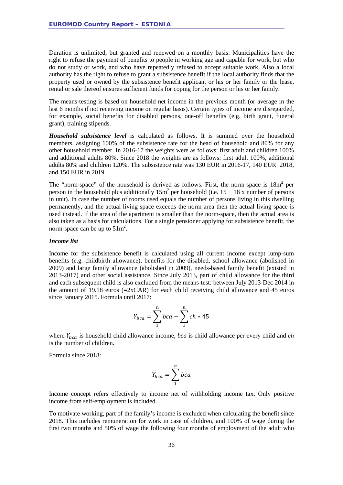Duration is unlimited, but granted and renewed on a monthly basis. Municipalities have the right to refuse the payment of benefits to people in working age and capable for work, but who do not study or work, and who have repeatedly refused to accept suitable work. Also a local authority has the right to refuse to grant a subsistence benefit if the local authority finds that the property used or owned by the subsistence benefit applicant or his or her family or the lease, rental or sale thereof ensures sufficient funds for coping for the person or his or her family.

The means-testing is based on household net income in the previous month (or average in the last 6 months if not receiving income on regular basis). Certain types of income are disregarded, for example, social benefits for disabled persons, one-off benefits (e.g. birth grant, funeral grant), training stipends.

*Household subsistence level* is calculated as follows. It is summed over the household members, assigning 100% of the subsistence rate for the head of household and 80% for any other household member. In 2016-17 the weights were as follows: first adult and children 100% and additional adults 80%. Since 2018 the weights are as follows: first adult 100%, additional adults 80% and children 120%. The subsistence rate was 130 EUR in 2016-17, 140 EUR 2018, and 150 EUR in 2019.

The "norm-space" of the household is derived as follows. First, the norm-space is  $18m<sup>2</sup>$  per person in the household plus additionally  $15m^2$  per household (i.e.  $15 + 18x$  number of persons in unit). In case the number of rooms used equals the number of persons living in this dwelling permanently, and the actual living space exceeds the norm area then the actual living space is used instead. If the area of the apartment is smaller than the norm-space, then the actual area is also taken as a basis for calculations. For a single pensioner applying for subsistence benefit, the norm-space can be up to  $51m^2$ .

#### *Income list*

Income for the subsistence benefit is calculated using all current income except lump-sum benefits (e.g. childbirth allowance), benefits for the disabled, school allowance (abolished in 2009) and large family allowance (abolished in 2009), needs-based family benefit (existed in 2013-2017) and other social assistance. Since July 2013, part of child allowance for the third and each subsequent child is also excluded from the means-test: between July 2013-Dec 2014 in the amount of 19.18 euros ( $=2xCAR$ ) for each child receiving child allowance and 45 euros since January 2015. Formula until 2017:

$$
Y_{bca} = \sum_{1}^{n} bca - \sum_{3}^{n} ch * 45
$$

where  $Y_{bca}$  is household child allowance income, *bca* is child allowance per every child and *ch* is the number of children.

Formula since 2018:

$$
Y_{bca} = \sum_{1}^{n} bca
$$

Income concept refers effectively to income net of withholding income tax. Only positive income from self-employment is included.

To motivate working, part of the family's income is excluded when calculating the benefit since 2018. This includes remuneration for work in case of children, and 100% of wage during the first two months and 50% of wage the following four months of employment of the adult who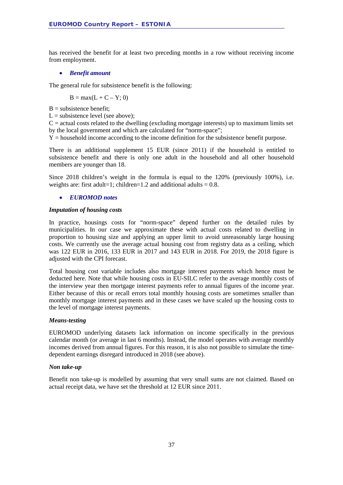has received the benefit for at least two preceding months in a row without receiving income from employment.

#### • *Benefit amount*

The general rule for subsistence benefit is the following:

 $B = max(L + C - Y; 0)$ 

 $B =$ subsistence benefit:

 $L =$  subsistence level (see above);

 $C =$  actual costs related to the dwelling (excluding mortgage interests) up to maximum limits set by the local government and which are calculated for "norm-space";

 $Y =$  household income according to the income definition for the subsistence benefit purpose.

There is an additional supplement 15 EUR (since 2011) if the household is entitled to subsistence benefit and there is only one adult in the household and all other household members are younger than 18.

Since 2018 children's weight in the formula is equal to the 120% (previously 100%), i.e. weights are: first adult=1; children=1.2 and additional adults =  $0.8$ .

#### • *EUROMOD notes*

#### *Imputation of housing costs*

In practice, housings costs for "norm-space" depend further on the detailed rules by municipalities. In our case we approximate these with actual costs related to dwelling in proportion to housing size and applying an upper limit to avoid unreasonably large housing costs. We currently use the average actual housing cost from registry data as a ceiling, which was 122 EUR in 2016, 133 EUR in 2017 and 143 EUR in 2018. For 2019, the 2018 figure is adjusted with the CPI forecast.

Total housing cost variable includes also mortgage interest payments which hence must be deducted here. Note that while housing costs in EU-SILC refer to the average monthly costs of the interview year then mortgage interest payments refer to annual figures of the income year. Either because of this or recall errors total monthly housing costs are sometimes smaller than monthly mortgage interest payments and in these cases we have scaled up the housing costs to the level of mortgage interest payments.

#### *Means-testing*

EUROMOD underlying datasets lack information on income specifically in the previous calendar month (or average in last 6 months). Instead, the model operates with average monthly incomes derived from annual figures. For this reason, it is also not possible to simulate the timedependent earnings disregard introduced in 2018 (see above).

#### *Non take-up*

Benefit non take-up is modelled by assuming that very small sums are not claimed. Based on actual receipt data, we have set the threshold at 12 EUR since 2011.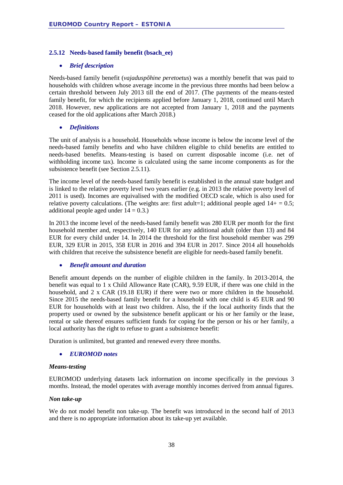#### **2.5.12 Needs-based family benefit (bsach\_ee)**

#### • *Brief description*

Needs-based family benefit (*vajaduspõhine peretoetus*) was a monthly benefit that was paid to households with children whose average income in the previous three months had been below a certain threshold between July 2013 till the end of 2017. (The payments of the means-tested family benefit, for which the recipients applied before January 1, 2018, continued until March 2018. However, new applications are not accepted from January 1, 2018 and the payments ceased for the old applications after March 2018.)

#### • *Definitions*

The unit of analysis is a household. Households whose income is below the income level of the needs-based family benefits and who have children eligible to child benefits are entitled to needs-based benefits. Means-testing is based on current disposable income (i.e. net of withholding income tax). Income is calculated using the same income components as for the subsistence benefit (see Section [2.5.11\)](#page-34-0).

The income level of the needs-based family benefit is established in the annual state budget and is linked to the relative poverty level two years earlier (e.g. in 2013 the relative poverty level of 2011 is used). Incomes are equivalised with the modified OECD scale, which is also used for relative poverty calculations. (The weights are: first adult=1; additional people aged  $14+ = 0.5$ ; additional people aged under  $14 = 0.3$ .)

In 2013 the income level of the needs-based family benefit was 280 EUR per month for the first household member and, respectively, 140 EUR for any additional adult (older than 13) and 84 EUR for every child under 14. In 2014 the threshold for the first household member was 299 EUR, 329 EUR in 2015, 358 EUR in 2016 and 394 EUR in 2017. Since 2014 all households with children that receive the subsistence benefit are eligible for needs-based family benefit.

#### • *Benefit amount and duration*

Benefit amount depends on the number of eligible children in the family. In 2013-2014, the benefit was equal to 1 x Child Allowance Rate (CAR), 9.59 EUR, if there was one child in the household, and 2 x CAR (19.18 EUR) if there were two or more children in the household. Since 2015 the needs-based family benefit for a household with one child is 45 EUR and 90 EUR for households with at least two children. Also, the if the local authority finds that the property used or owned by the subsistence benefit applicant or his or her family or the lease, rental or sale thereof ensures sufficient funds for coping for the person or his or her family, a local authority has the right to refuse to grant a subsistence benefit:

Duration is unlimited, but granted and renewed every three months.

#### • *EUROMOD notes*

#### *Means-testing*

EUROMOD underlying datasets lack information on income specifically in the previous 3 months. Instead, the model operates with average monthly incomes derived from annual figures.

#### *Non take-up*

We do not model benefit non take-up. The benefit was introduced in the second half of 2013 and there is no appropriate information about its take-up yet available.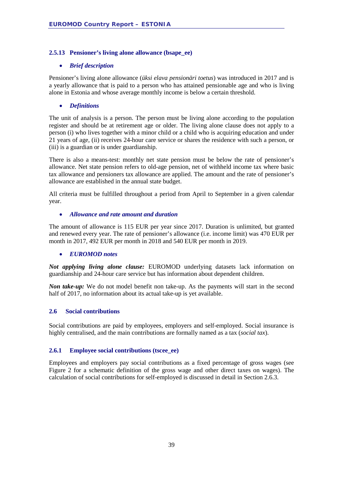#### **2.5.13 Pensioner's living alone allowance (bsape\_ee)**

#### • *Brief description*

Pensioner's living alone allowance (*üksi elava pensionäri toetus*) was introduced in 2017 and is a yearly allowance that is paid to a person who has attained pensionable age and who is living alone in Estonia and whose average monthly income is below a certain threshold.

#### • *Definitions*

The unit of analysis is a person. The person must be living alone according to the population register and should be at retirement age or older. The living alone clause does not apply to a person (i) who lives together with a minor child or a child who is acquiring education and under 21 years of age, (ii) receives 24-hour care service or shares the residence with such a person, or (iii) is a guardian or is under guardianship.

There is also a means-test: monthly net state pension must be below the rate of pensioner's allowance. Net state pension refers to old-age pension, net of withheld income tax where basic tax allowance and pensioners tax allowance are applied. The amount and the rate of pensioner's allowance are established in the annual state budget.

All criteria must be fulfilled throughout a period from April to September in a given calendar year.

#### • *Allowance and rate amount and duration*

The amount of allowance is 115 EUR per year since 2017. Duration is unlimited, but granted and renewed every year. The rate of pensioner's allowance (i.e. income limit) was 470 EUR per month in 2017, 492 EUR per month in 2018 and 540 EUR per month in 2019.

#### • *EUROMOD notes*

*Not applying living alone clause:* EUROMOD underlying datasets lack information on guardianship and 24-hour care service but has information about dependent children.

*Non take-up:* We do not model benefit non take-up. As the payments will start in the second half of 2017, no information about its actual take-up is yet available.

#### **2.6 Social contributions**

Social contributions are paid by employees, employers and self-employed. Social insurance is highly centralised, and the main contributions are formally named as a tax (*social tax*).

#### **2.6.1 Employee social contributions (tscee\_ee)**

Employees and employers pay social contributions as a fixed percentage of gross wages (see [Figure 2](#page-39-0) for a schematic definition of the gross wage and other direct taxes on wages). The calculation of social contributions for self-employed is discussed in detail in Section 2.6.3.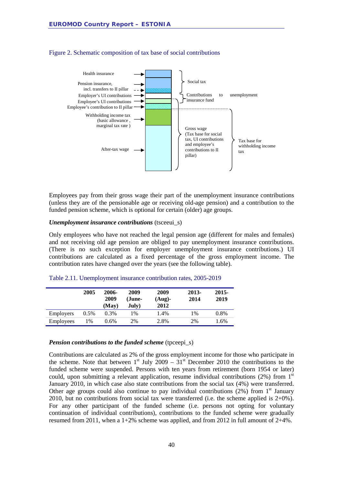

#### <span id="page-39-0"></span>Figure 2. Schematic composition of tax base of social contributions

Employees pay from their gross wage their part of the unemployment insurance contributions (unless they are of the pensionable age or receiving old-age pension) and a contribution to the funded pension scheme, which is optional for certain (older) age groups.

#### *Unemployment insurance contributions* (tsceeui\_s)

Only employees who have not reached the legal pension age (different for males and females) and not receiving old age pension are obliged to pay unemployment insurance contributions. (There is no such exception for employer unemployment insurance contributions.) UI contributions are calculated as a fixed percentage of the gross employment income. The contribution rates have changed over the years (see the following table).

|           | 2005          | 2006-<br>2009<br>(Mav) | 2009<br>(June-<br>July) | 2009<br>$(Aug)$ -<br>2012 | 2013-<br>2014 | 2015-<br>2019 |
|-----------|---------------|------------------------|-------------------------|---------------------------|---------------|---------------|
| Employers | $0.5\%$       | 0.3%                   | 1%                      | 1.4%                      | 1%            | 0.8%          |
| Employees | $\frac{0}{6}$ | $0.6\%$                | 2%                      | 2.8%                      | 2%            | 1.6%          |

|  | Table 2.11. Unemployment insurance contribution rates, 2005-2019 |  |  |  |  |
|--|------------------------------------------------------------------|--|--|--|--|
|--|------------------------------------------------------------------|--|--|--|--|

#### *Pension contributions to the funded scheme* (tpceepi s)

Contributions are calculated as 2% of the gross employment income for those who participate in the scheme. Note that between  $1<sup>st</sup>$  July 2009 – 31<sup>st</sup> December 2010 the contributions to the funded scheme were suspended. Persons with ten years from retirement (born 1954 or later) could, upon submitting a relevant application, resume individual contributions  $(2%)$  from  $1<sup>st</sup>$ January 2010, in which case also state contributions from the social tax (4%) were transferred. Other age groups could also continue to pay individual contributions  $(2\%)$  from 1<sup>st</sup> January 2010, but no contributions from social tax were transferred (i.e. the scheme applied is  $2+0\%$ ). For any other participant of the funded scheme (i.e. persons not opting for voluntary continuation of individual contributions), contributions to the funded scheme were gradually resumed from 2011, when a  $1+2\%$  scheme was applied, and from 2012 in full amount of  $2+4\%$ .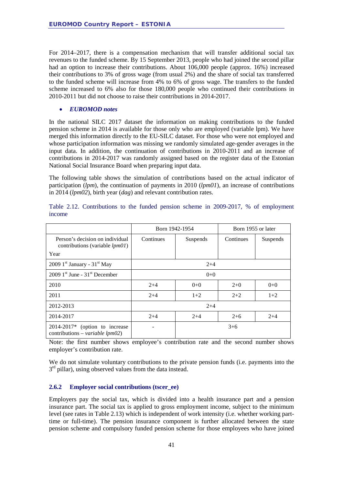For 2014–2017, there is a compensation mechanism that will transfer additional social tax revenues to the funded scheme. By 15 September 2013, people who had joined the second pillar had an option to increase their contributions. About 106,000 people (approx. 16%) increased their contributions to 3% of gross wage (from usual 2%) and the share of social tax transferred to the funded scheme will increase from 4% to 6% of gross wage. The transfers to the funded scheme increased to 6% also for those 180,000 people who continued their contributions in 2010-2011 but did not choose to raise their contributions in 2014-2017.

#### • *EUROMOD notes*

In the national SILC 2017 dataset the information on making contributions to the funded pension scheme in 2014 is available for those only who are employed (variable lpm). We have merged this information directly to the EU-SILC dataset. For those who were not employed and whose participation information was missing we randomly simulated age-gender averages in the input data. In addition, the continuation of contributions in 2010-2011 and an increase of contributions in 2014-2017 was randomly assigned based on the register data of the Estonian National Social Insurance Board when preparing input data.

The following table shows the simulation of contributions based on the actual indicator of participation (*lpm*), the continuation of payments in 2010 (*lpm01*), an increase of contributions in 2014 (*lpm02*), birth year (*dag*) and relevant contribution rates.

|                                                                             | Born 1942-1954 |          | Born 1955 or later |          |
|-----------------------------------------------------------------------------|----------------|----------|--------------------|----------|
| Person's decision on individual<br>contributions (variable <i>lpm01</i> )   | Continues      | Suspends | Continues          | Suspends |
| Year                                                                        |                |          |                    |          |
| 2009 $1st$ January - 31 <sup>st</sup> May                                   | $2+4$          |          |                    |          |
| $2009$ 1 <sup>st</sup> June - 31 <sup>st</sup> December                     | $0 + 0$        |          |                    |          |
| 2010                                                                        | $2 + 4$        | $0 + 0$  | $2+0$              | $0 + 0$  |
| 2011                                                                        | $2+4$          | $1+2$    | $2 + 2$            | $1+2$    |
| 2012-2013                                                                   | $2+4$          |          |                    |          |
| 2014-2017                                                                   | $2 + 4$        | $2 + 4$  | $2+6$              | $2+4$    |
| $2014-2017*$ (option to increase<br>contributions – <i>variable lpm02</i> ) |                | $3+6$    |                    |          |

Table 2.12. Contributions to the funded pension scheme in 2009-2017, % of employment income

Note: the first number shows employee's contribution rate and the second number shows employer's contribution rate.

We do not simulate voluntary contributions to the private pension funds (i.e. payments into the  $3<sup>rd</sup>$  pillar), using observed values from the data instead.

#### **2.6.2 Employer social contributions (tscer\_ee)**

Employers pay the social tax, which is divided into a health insurance part and a pension insurance part. The social tax is applied to gross employment income, subject to the minimum level (see rates in [Table 2.13\)](#page-42-0) which is independent of work intensity (i.e. whether working parttime or full-time). The pension insurance component is further allocated between the state pension scheme and compulsory funded pension scheme for those employees who have joined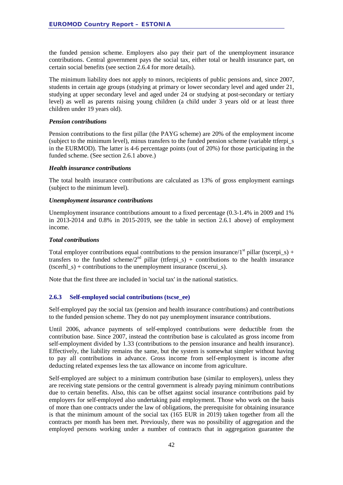the funded pension scheme. Employers also pay their part of the unemployment insurance contributions. Central government pays the social tax, either total or health insurance part, on certain social benefits (see section 2.6.4 for more details).

The minimum liability does not apply to minors, recipients of public pensions and, since 2007, students in certain age groups (studying at primary or lower secondary level and aged under 21, studying at upper secondary level and aged under 24 or studying at post-secondary or tertiary level) as well as parents raising young children (a child under 3 years old or at least three children under 19 years old).

#### *Pension contributions*

Pension contributions to the first pillar (the PAYG scheme) are 20% of the employment income (subject to the minimum level), minus transfers to the funded pension scheme (variable ttferpi\_s in the EURMOD). The latter is 4-6 percentage points (out of 20%) for those participating in the funded scheme. (See section 2.6.1 above.)

#### *Health insurance contributions*

The total health insurance contributions are calculated as 13% of gross employment earnings (subject to the minimum level).

#### *Unemployment insurance contributions*

Unemployment insurance contributions amount to a fixed percentage (0.3-1.4% in 2009 and 1% in 2013-2014 and 0.8% in 2015-2019, see the table in section 2.6.1 above) of employment income.

#### *Total contributions*

Total employer contributions equal contributions to the pension insurance/1<sup>st</sup> pillar (tscerpi  $s$ ) + transfers to the funded scheme/ $2^{nd}$  pillar (ttferpi\_s) + contributions to the health insurance (tscerhl  $s$ ) + contributions to the unemployment insurance (tscerui  $s$ ).

Note that the first three are included in 'social tax' in the national statistics.

#### **2.6.3 Self-employed social contributions (tscse\_ee)**

Self-employed pay the social tax (pension and health insurance contributions) and contributions to the funded pension scheme. They do not pay unemployment insurance contributions.

Until 2006, advance payments of self-employed contributions were deductible from the contribution base. Since 2007, instead the contribution base is calculated as gross income from self-employment divided by 1.33 (contributions to the pension insurance and health insurance). Effectively, the liability remains the same, but the system is somewhat simpler without having to pay all contributions in advance. Gross income from self-employment is income after deducting related expenses less the tax allowance on income from agriculture.

Self-employed are subject to a minimum contribution base (similar to employers), unless they are receiving state pensions or the central government is already paying minimum contributions due to certain benefits. Also, this can be offset against social insurance contributions paid by employers for self-employed also undertaking paid employment. Those who work on the basis of more than one contracts under the law of obligations, the prerequisite for obtaining insurance is that the minimum amount of the social tax (165 EUR in 2019) taken together from all the contracts per month has been met. Previously, there was no possibility of aggregation and the employed persons working under a number of contracts that in aggregation guarantee the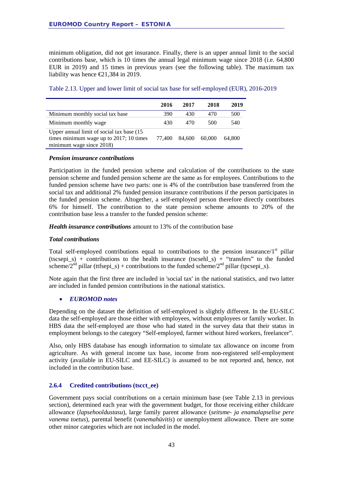minimum obligation, did not get insurance. Finally, there is an upper annual limit to the social contributions base, which is 10 times the annual legal minimum wage since 2018 (i.e. 64,800 EUR in 2019) and 15 times in previous years (see the following table). The maximum tax liability was hence  $\epsilon$ 21,384 in 2019.

|                                                                                                                   | 2016   | 2017   | 2018   | 2019   |
|-------------------------------------------------------------------------------------------------------------------|--------|--------|--------|--------|
| Minimum monthly social tax base                                                                                   | 390    | 430    | 470    | 500    |
| Minimum monthly wage                                                                                              | 430    | 470    | 500    | 540    |
| Upper annual limit of social tax base (15)<br>times minimum wage up to 2017; 10 times<br>minimum wage since 2018) | 77.400 | 84.600 | 60,000 | 64.800 |

<span id="page-42-0"></span>Table 2.13. Upper and lower limit of social tax base for self-employed (EUR), 2016-2019

#### *Pension insurance contributions*

Participation in the funded pension scheme and calculation of the contributions to the state pension scheme and funded pension scheme are the same as for employees. Contributions to the funded pension scheme have two parts: one is 4% of the contribution base transferred from the social tax and additional 2% funded pension insurance contributions if the person participates in the funded pension scheme. Altogether, a self-employed person therefore directly contributes 6% for himself. The contribution to the state pension scheme amounts to 20% of the contribution base less a transfer to the funded pension scheme:

*Health insurance contributions* amount to 13% of the contribution base

#### *Total contributions*

Total self-employed contributions equal to contributions to the pension insurance/ $1<sup>st</sup>$  pillar (tscsepi\_s) + contributions to the health insurance (tscsehl\_s) + "transfers" to the funded scheme/2<sup>nd</sup> pillar (ttfsepi s) + contributions to the funded scheme/2<sup>nd</sup> pillar (tpcsepi s).

Note again that the first three are included in 'social tax' in the national statistics, and two latter are included in funded pension contributions in the national statistics.

#### • *EUROMOD notes*

Depending on the dataset the definition of self-employed is slightly different. In the EU-SILC data the self-employed are those either with employees, without employees or family worker. In HBS data the self-employed are those who had stated in the survey data that their status in employment belongs to the category "Self-employed, farmer without hired workers, freelancer".

Also, only HBS database has enough information to simulate tax allowance on income from agriculture. As with general income tax base, income from non-registered self-employment activity (available in EU-SILC and EE-SILC) is assumed to be not reported and, hence, not included in the contribution base.

#### **2.6.4 Credited contributions (tscct\_ee)**

Government pays social contributions on a certain minimum base (see [Table 2.13](#page-42-0) in previous section), determined each year with the government budget, for those receiving either childcare allowance (*lapsehooldustasu*), large family parent allowance (*seitsme- ja enamalapselise pere vanema toetus*), parental benefit (*vanemahüvitis*) or unemployment allowance. There are some other minor categories which are not included in the model.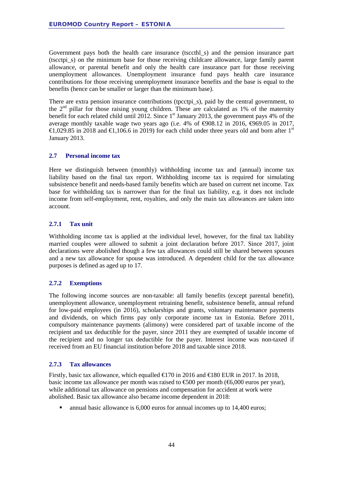Government pays both the health care insurance (tsccthl\_s) and the pension insurance part (tscctpi\_s) on the minimum base for those receiving childcare allowance, large family parent allowance, or parental benefit and only the health care insurance part for those receiving unemployment allowances. Unemployment insurance fund pays health care insurance contributions for those receiving unemployment insurance benefits and the base is equal to the benefits (hence can be smaller or larger than the minimum base).

There are extra pension insurance contributions (tpcctpi\_s), paid by the central government, to the  $2<sup>nd</sup>$  pillar for those raising young children. These are calculated as 1% of the maternity benefit for each related child until 2012. Since 1<sup>st</sup> January 2013, the government pays 4% of the average monthly taxable wage two years ago (i.e. 4% of  $\Theta$ 08.12 in 2016,  $\Theta$ 69.05 in 2017, €1,029.85 in 2018 and €1,106.6 in 2019) for each child under three years old and born after 1<sup>st</sup> January 2013.

#### **2.7 Personal income tax**

Here we distinguish between (monthly) withholding income tax and (annual) income tax liability based on the final tax report. Withholding income tax is required for simulating subsistence benefit and needs-based family benefits which are based on current net income. Tax base for withholding tax is narrower than for the final tax liability, e.g. it does not include income from self-employment, rent, royalties, and only the main tax allowances are taken into account.

#### **2.7.1 Tax unit**

Withholding income tax is applied at the individual level, however, for the final tax liability married couples were allowed to submit a joint declaration before 2017. Since 2017, joint declarations were abolished though a few tax allowances could still be shared between spouses and a new tax allowance for spouse was introduced. A dependent child for the tax allowance purposes is defined as aged up to 17.

#### **2.7.2 Exemptions**

The following income sources are non-taxable: all family benefits (except parental benefit), unemployment allowance, unemployment retraining benefit, subsistence benefit, annual refund for low-paid employees (in 2016), scholarships and grants, voluntary maintenance payments and dividends, on which firms pay only corporate income tax in Estonia. Before 2011, compulsory maintenance payments (alimony) were considered part of taxable income of the recipient and tax deductible for the payer, since 2011 they are exempted of taxable income of the recipient and no longer tax deductible for the payer. Interest income was non-taxed if received from an EU financial institution before 2018 and taxable since 2018.

#### **2.7.3 Tax allowances**

Firstly, basic tax allowance, which equalled  $\in$  70 in 2016 and  $\in$  80 EUR in 2017. In 2018, basic income tax allowance per month was raised to  $\text{\textsterling}000$  per month ( $\text{\textsterling}000$  euros per year), while additional tax allowance on pensions and compensation for accident at work were abolished. Basic tax allowance also became income dependent in 2018:

annual basic allowance is 6,000 euros for annual incomes up to 14,400 euros;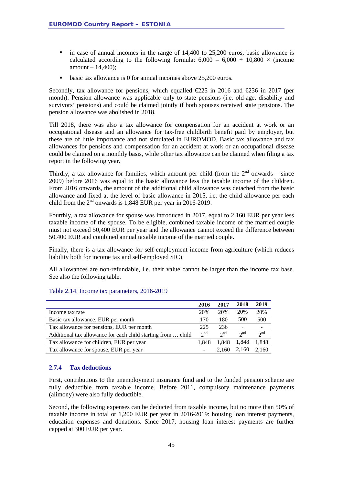- $\blacksquare$  in case of annual incomes in the range of 14,400 to 25,200 euros, basic allowance is calculated according to the following formula:  $6,000 - 6,000 \div 10,800 \times$  (income amount – 14,400);
- basic tax allowance is 0 for annual incomes above 25,200 euros.

Secondly, tax allowance for pensions, which equalled  $\epsilon$ 225 in 2016 and  $\epsilon$ 236 in 2017 (per month). Pension allowance was applicable only to state pensions (i.e. old-age, disability and survivors' pensions) and could be claimed jointly if both spouses received state pensions. The pension allowance was abolished in 2018.

Till 2018, there was also a tax allowance for compensation for an accident at work or an occupational disease and an allowance for tax-free childbirth benefit paid by employer, but these are of little importance and not simulated in EUROMOD. Basic tax allowance and tax allowances for pensions and compensation for an accident at work or an occupational disease could be claimed on a monthly basis, while other tax allowance can be claimed when filing a tax report in the following year.

Thirdly, a tax allowance for families, which amount per child (from the  $2<sup>nd</sup>$  onwards – since 2009) before 2016 was equal to the basic allowance less the taxable income of the children. From 2016 onwards, the amount of the additional child allowance was detached from the basic allowance and fixed at the level of basic allowance in 2015, i.e. the child allowance per each child from the  $2<sup>nd</sup>$  onwards is 1,848 EUR per year in 2016-2019.

Fourthly, a tax allowance for spouse was introduced in 2017, equal to 2,160 EUR per year less taxable income of the spouse. To be eligible, combined taxable income of the married couple must not exceed 50,400 EUR per year and the allowance cannot exceed the difference between 50,400 EUR and combined annual taxable income of the married couple.

Finally, there is a tax allowance for self-employment income from agriculture (which reduces liability both for income tax and self-employed SIC).

All allowances are non-refundable, i.e. their value cannot be larger than the income tax base. See also the following table.

|                                                              | 2016     | 2017     | 2018     | 2019            |
|--------------------------------------------------------------|----------|----------|----------|-----------------|
| Income tax rate                                              | 20%      | 20%      | 20%      | 20%             |
| Basic tax allowance, EUR per month                           | 170      | 180      | 500      | 500             |
| Tax allowance for pensions, EUR per month                    | 225      | 236      |          |                 |
| Additional tax allowance for each child starting from  child | $2^{nd}$ | $2^{nd}$ | $2^{nd}$ | 2 <sup>nd</sup> |
| Tax allowance for children, EUR per year                     | 1.848    | 1.848    | 1,848    | 1,848           |
| Tax allowance for spouse, EUR per year                       | -        | 2.160    | 2,160    | 2.160           |

#### Table 2.14. Income tax parameters, 2016-2019

#### **2.7.4 Tax deductions**

First, contributions to the unemployment insurance fund and to the funded pension scheme are fully deductible from taxable income. Before 2011, compulsory maintenance payments (alimony) were also fully deductible.

Second, the following expenses can be deducted from taxable income, but no more than 50% of taxable income in total or 1,200 EUR per year in 2016-2019: housing loan interest payments, education expenses and donations. Since 2017, housing loan interest payments are further capped at 300 EUR per year.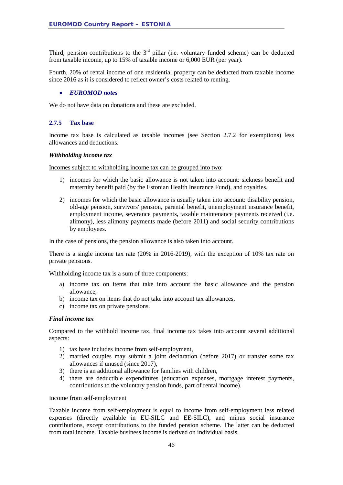Third, pension contributions to the  $3<sup>rd</sup>$  pillar (i.e. voluntary funded scheme) can be deducted from taxable income, up to 15% of taxable income or 6,000 EUR (per year).

Fourth, 20% of rental income of one residential property can be deducted from taxable income since 2016 as it is considered to reflect owner's costs related to renting.

#### • *EUROMOD notes*

We do not have data on donations and these are excluded.

#### **2.7.5 Tax base**

Income tax base is calculated as taxable incomes (see Section 2.7.2 for exemptions) less allowances and deductions.

#### *Withholding income tax*

Incomes subject to withholding income tax can be grouped into two:

- 1) incomes for which the basic allowance is not taken into account: sickness benefit and maternity benefit paid (by the Estonian Health Insurance Fund), and royalties.
- 2) incomes for which the basic allowance is usually taken into account: disability pension, old-age pension, survivors' pension, parental benefit, unemployment insurance benefit, employment income, severance payments, taxable maintenance payments received (i.e. alimony), less alimony payments made (before 2011) and social security contributions by employees.

In the case of pensions, the pension allowance is also taken into account.

There is a single income tax rate (20% in 2016-2019), with the exception of 10% tax rate on private pensions.

Withholding income tax is a sum of three components:

- a) income tax on items that take into account the basic allowance and the pension allowance,
- b) income tax on items that do not take into account tax allowances,
- c) income tax on private pensions.

#### *Final income tax*

Compared to the withhold income tax, final income tax takes into account several additional aspects:

- 1) tax base includes income from self-employment,
- 2) married couples may submit a joint declaration (before 2017) or transfer some tax allowances if unused (since 2017),
- 3) there is an additional allowance for families with children,
- 4) there are deductible expenditures (education expenses, mortgage interest payments, contributions to the voluntary pension funds, part of rental income).

#### Income from self-employment

Taxable income from self-employment is equal to income from self-employment less related expenses (directly available in EU-SILC and EE-SILC), and minus social insurance contributions, except contributions to the funded pension scheme. The latter can be deducted from total income. Taxable business income is derived on individual basis.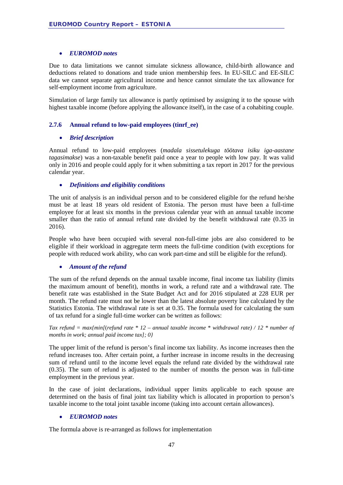#### • *EUROMOD notes*

Due to data limitations we cannot simulate sickness allowance, child-birth allowance and deductions related to donations and trade union membership fees. In EU-SILC and EE-SILC data we cannot separate agricultural income and hence cannot simulate the tax allowance for self-employment income from agriculture.

Simulation of large family tax allowance is partly optimised by assigning it to the spouse with highest taxable income (before applying the allowance itself), in the case of a cohabiting couple.

#### **2.7.6 Annual refund to low-paid employees (tinrf\_ee)**

#### • *Brief description*

Annual refund to low-paid employees (*madala sissetulekuga töötava isiku iga-aastane tagasimakse*) was a non-taxable benefit paid once a year to people with low pay. It was valid only in 2016 and people could apply for it when submitting a tax report in 2017 for the previous calendar year.

#### • *Definitions and eligibility conditions*

The unit of analysis is an individual person and to be considered eligible for the refund he/she must be at least 18 years old resident of Estonia. The person must have been a full-time employee for at least six months in the previous calendar year with an annual taxable income smaller than the ratio of annual refund rate divided by the benefit withdrawal rate (0.35 in 2016).

People who have been occupied with several non-full-time jobs are also considered to be eligible if their workload in aggregate term meets the full-time condition (with exceptions for people with reduced work ability, who can work part-time and still be eligible for the refund).

#### • *Amount of the refund*

The sum of the refund depends on the annual taxable income, final income tax liability (limits the maximum amount of benefit), months in work, a refund rate and a withdrawal rate. The benefit rate was established in the State Budget Act and for 2016 stipulated at 228 EUR per month. The refund rate must not be lower than the latest absolute poverty line calculated by the Statistics Estonia. The withdrawal rate is set at 0.35. The formula used for calculating the sum of tax refund for a single full-time worker can be written as follows:

*Tax refund = max{min[*(*refund rate \* 12 – annual taxable income* \* *withdrawal rate) / 12 \* number of months in work; annual paid income tax]; 0}*

The upper limit of the refund is person's final income tax liability. As income increases then the refund increases too. After certain point, a further increase in income results in the decreasing sum of refund until to the income level equals the refund rate divided by the withdrawal rate (0.35). The sum of refund is adjusted to the number of months the person was in full-time employment in the previous year.

In the case of joint declarations, individual upper limits applicable to each spouse are determined on the basis of final joint tax liability which is allocated in proportion to person's taxable income to the total joint taxable income (taking into account certain allowances).

#### • *EUROMOD notes*

The formula above is re-arranged as follows for implementation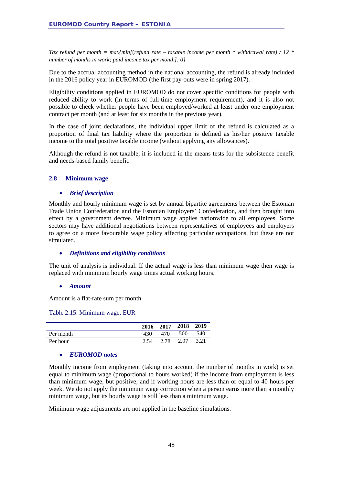*Tax refund per month = max{min[*(*refund rate – taxable income per month* \* *withdrawal rate) / 12 \* number of months in work; paid income tax per month]; 0}*

Due to the accrual accounting method in the national accounting, the refund is already included in the 2016 policy year in EUROMOD (the first pay-outs were in spring 2017).

Eligibility conditions applied in EUROMOD do not cover specific conditions for people with reduced ability to work (in terms of full-time employment requirement), and it is also not possible to check whether people have been employed/worked at least under one employment contract per month (and at least for six months in the previous year).

In the case of joint declarations, the individual upper limit of the refund is calculated as a proportion of final tax liability where the proportion is defined as his/her positive taxable income to the total positive taxable income (without applying any allowances).

Although the refund is not taxable, it is included in the means tests for the subsistence benefit and needs-based family benefit.

#### **2.8 Minimum wage**

#### • *Brief description*

Monthly and hourly minimum wage is set by annual bipartite agreements between the Estonian Trade Union Confederation and the Estonian Employers' Confederation, and then brought into effect by a government decree. Minimum wage applies nationwide to all employees. Some sectors may have additional negotiations between representatives of employees and employers to agree on a more favourable wage policy affecting particular occupations, but these are not simulated.

#### • *Definitions and eligibility conditions*

The unit of analysis is individual. If the actual wage is less than minimum wage then wage is replaced with minimum hourly wage times actual working hours.

#### • *Amount*

Amount is a flat-rate sum per month.

Table 2.15. Minimum wage, EUR

|           |      | 2016 2017 2018 2019 |     |      |
|-----------|------|---------------------|-----|------|
| Per month | 430  | 470                 | 500 | 540  |
| Per hour  | 2.54 | 2.78 2.97           |     | 3.21 |

#### • *EUROMOD notes*

Monthly income from employment (taking into account the number of months in work) is set equal to minimum wage (proportional to hours worked) if the income from employment is less than minimum wage, but positive, and if working hours are less than or equal to 40 hours per week. We do not apply the minimum wage correction when a person earns more than a monthly minimum wage, but its hourly wage is still less than a minimum wage.

Minimum wage adjustments are not applied in the baseline simulations.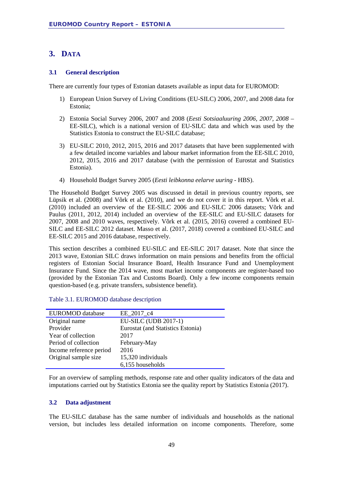### **3. DATA**

#### **3.1 General description**

There are currently four types of Estonian datasets available as input data for EUROMOD:

- 1) European Union Survey of Living Conditions (EU-SILC) 2006, 2007, and 2008 data for Estonia;
- 2) Estonia Social Survey 2006, 2007 and 2008 (*Eesti Sotsiaaluuring 2006, 2007, 2008 –* EE-SILC), which is a national version of EU-SILC data and which was used by the Statistics Estonia to construct the EU-SILC database;
- 3) EU-SILC 2010, 2012, 2015, 2016 and 2017 datasets that have been supplemented with a few detailed income variables and labour market information from the EE-SILC 2010, 2012, 2015, 2016 and 2017 database (with the permission of Eurostat and Statistics Estonia).
- 4) Household Budget Survey 2005 (*Eesti leibkonna eelarve uuring -* HBS).

The Household Budget Survey 2005 was discussed in detail in previous country reports, see Lüpsik et al. (2008) and Võrk et al. (2010), and we do not cover it in this report. Võrk et al. (2010) included an overview of the EE-SILC 2006 and EU-SILC 2006 datasets; Võrk and Paulus (2011, 2012, 2014) included an overview of the EE-SILC and EU-SILC datasets for 2007, 2008 and 2010 waves, respectively. Võrk et al. (2015, 2016) covered a combined EU-SILC and EE-SILC 2012 dataset. Masso et al. (2017, 2018) covered a combined EU-SILC and EE-SILC 2015 and 2016 database, respectively.

This section describes a combined EU-SILC and EE-SILC 2017 dataset. Note that since the 2013 wave, Estonian SILC draws information on main pensions and benefits from the official registers of Estonian Social Insurance Board, Health Insurance Fund and Unemployment Insurance Fund. Since the 2014 wave, most market income components are register-based too (provided by the Estonian Tax and Customs Board). Only a few income components remain question-based (e.g. private transfers, subsistence benefit).

| EUROMOD database        | EE 2017 c4                        |
|-------------------------|-----------------------------------|
| Original name           | EU-SILC (UDB 2017-1)              |
| Provider                | Eurostat (and Statistics Estonia) |
| Year of collection      | 2017                              |
| Period of collection    | February-May                      |
| Income reference period | 2016                              |
| Original sample size    | 15,320 individuals                |
|                         | 6,155 households                  |

Table 3.1. EUROMOD database description

For an overview of sampling methods, response rate and other quality indicators of the data and imputations carried out by Statistics Estonia see the quality report by Statistics Estonia (2017).

#### **3.2 Data adjustment**

The EU-SILC database has the same number of individuals and households as the national version, but includes less detailed information on income components. Therefore, some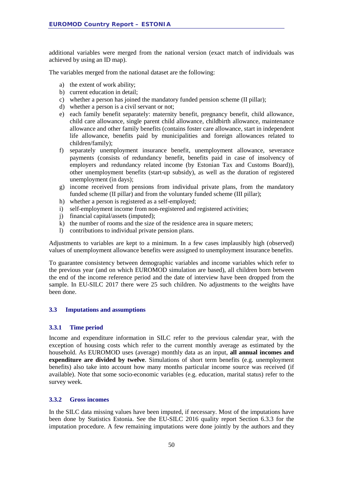additional variables were merged from the national version (exact match of individuals was achieved by using an ID map).

The variables merged from the national dataset are the following:

- a) the extent of work ability;
- b) current education in detail;
- c) whether a person has joined the mandatory funded pension scheme (II pillar);
- d) whether a person is a civil servant or not;
- e) each family benefit separately: maternity benefit, pregnancy benefit, child allowance, child care allowance, single parent child allowance, childbirth allowance, maintenance allowance and other family benefits (contains foster care allowance, start in independent life allowance, benefits paid by municipalities and foreign allowances related to children/family);
- f) separately unemployment insurance benefit, unemployment allowance, severance payments (consists of redundancy benefit, benefits paid in case of insolvency of employers and redundancy related income (by Estonian Tax and Customs Board)), other unemployment benefits (start-up subsidy), as well as the duration of registered unemployment (in days);
- g) income received from pensions from individual private plans, from the mandatory funded scheme (II pillar) and from the voluntary funded scheme (III pillar);
- h) whether a person is registered as a self-employed;
- i) self-employment income from non-registered and registered activities;
- j) financial capital/assets (imputed);
- k) the number of rooms and the size of the residence area in square meters;
- l) contributions to individual private pension plans.

Adjustments to variables are kept to a minimum. In a few cases implausibly high (observed) values of unemployment allowance benefits were assigned to unemployment insurance benefits.

To guarantee consistency between demographic variables and income variables which refer to the previous year (and on which EUROMOD simulation are based), all children born between the end of the income reference period and the date of interview have been dropped from the sample. In EU-SILC 2017 there were 25 such children. No adjustments to the weights have been done.

#### **3.3 Imputations and assumptions**

#### **3.3.1 Time period**

Income and expenditure information in SILC refer to the previous calendar year, with the exception of housing costs which refer to the current monthly average as estimated by the household. As EUROMOD uses (average) monthly data as an input, **all annual incomes and expenditure are divided by twelve**. Simulations of short term benefits (e.g. unemployment benefits) also take into account how many months particular income source was received (if available). Note that some socio-economic variables (e.g. education, marital status) refer to the survey week.

#### **3.3.2 Gross incomes**

In the SILC data missing values have been imputed, if necessary. Most of the imputations have been done by Statistics Estonia. See the EU-SILC 2016 quality report Section 6.3.3 for the imputation procedure. A few remaining imputations were done jointly by the authors and they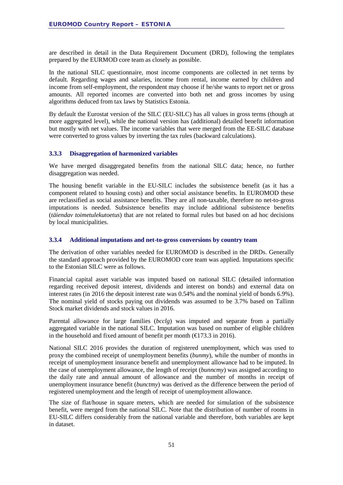are described in detail in the Data Requirement Document (DRD), following the templates prepared by the EURMOD core team as closely as possible.

In the national SILC questionnaire, most income components are collected in net terms by default. Regarding wages and salaries, income from rental, income earned by children and income from self-employment, the respondent may choose if he/she wants to report net or gross amounts. All reported incomes are converted into both net and gross incomes by using algorithms deduced from tax laws by Statistics Estonia.

By default the Eurostat version of the SILC (EU-SILC) has all values in gross terms (though at more aggregated level), while the national version has (additional) detailed benefit information but mostly with net values. The income variables that were merged from the EE-SILC database were converted to gross values by inverting the tax rules (backward calculations).

#### **3.3.3 Disaggregation of harmonized variables**

We have merged disaggregated benefits from the national SILC data; hence, no further disaggregation was needed.

The housing benefit variable in the EU-SILC includes the subsistence benefit (as it has a component related to housing costs) and other social assistance benefits. In EUROMOD these are reclassified as social assistance benefits. They are all non-taxable, therefore no net-to-gross imputations is needed. Subsistence benefits may include additional subsistence benefits (*täiendav toimetulekutoetus*) that are not related to formal rules but based on ad hoc decisions by local municipalities.

#### **3.3.4 Additional imputations and net-to-gross conversions by country team**

The derivation of other variables needed for EUROMOD is described in the DRDs. Generally the standard approach provided by the EUROMOD core team was applied. Imputations specific to the Estonian SILC were as follows.

Financial capital asset variable was imputed based on national SILC (detailed information regarding received deposit interest, dividends and interest on bonds) and external data on interest rates (in 2016 the deposit interest rate was 0.54% and the nominal yield of bonds 6.9%). The nominal yield of stocks paying out dividends was assumed to be 3.7% based on Tallinn Stock market dividends and stock values in 2016.

Parental allowance for large families (*bcclg*) was imputed and separate from a partially aggregated variable in the national SILC. Imputation was based on number of eligible children in the household and fixed amount of benefit per month  $(\text{€}173.3 \text{ in } 2016)$ .

National SILC 2016 provides the duration of registered unemployment, which was used to proxy the combined receipt of unemployment benefits (*bunmy*), while the number of months in receipt of unemployment insurance benefit and unemployment allowance had to be imputed. In the case of unemployment allowance, the length of receipt (*bunncmy*) was assigned according to the daily rate and annual amount of allowance and the number of months in receipt of unemployment insurance benefit (*bunctmy*) was derived as the difference between the period of registered unemployment and the length of receipt of unemployment allowance.

The size of flat/house in square meters, which are needed for simulation of the subsistence benefit, were merged from the national SILC. Note that the distribution of number of rooms in EU-SILC differs considerably from the national variable and therefore, both variables are kept in dataset.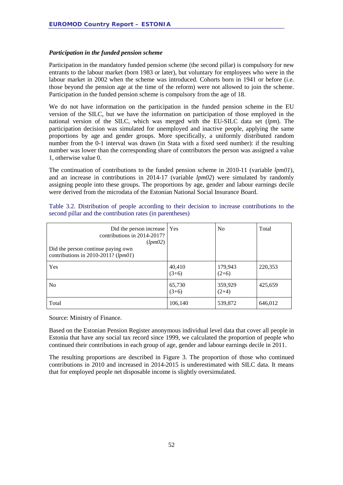#### *Participation in the funded pension scheme*

Participation in the mandatory funded pension scheme (the second pillar) is compulsory for new entrants to the labour market (born 1983 or later), but voluntary for employees who were in the labour market in 2002 when the scheme was introduced. Cohorts born in 1941 or before (i.e. those beyond the pension age at the time of the reform) were not allowed to join the scheme. Participation in the funded pension scheme is compulsory from the age of 18.

We do not have information on the participation in the funded pension scheme in the EU version of the SILC, but we have the information on participation of those employed in the national version of the SILC, which was merged with the EU-SILC data set (*lpm*). The participation decision was simulated for unemployed and inactive people, applying the same proportions by age and gender groups. More specifically, a uniformly distributed random number from the 0-1 interval was drawn (in Stata with a fixed seed number): if the resulting number was lower than the corresponding share of contributors the person was assigned a value 1, otherwise value 0.

The continuation of contributions to the funded pension scheme in 2010-11 (variable *lpm01*), and an increase in contributions in 2014-17 (variable *lpm02*) were simulated by randomly assigning people into these groups. The proportions by age, gender and labour earnings decile were derived from the microdata of the Estonian National Social Insurance Board.

| Did the person increase   Yes<br>contributions in 2014-2017?<br>(lpm02)<br>Did the person continue paying own<br>contributions in 2010-2011? $(lpm01)$ |                   | N <sub>0</sub>     | Total   |
|--------------------------------------------------------------------------------------------------------------------------------------------------------|-------------------|--------------------|---------|
| Yes                                                                                                                                                    | 40,410<br>$(3+6)$ | 179,943<br>$(2+6)$ | 220,353 |
| N <sub>0</sub>                                                                                                                                         | 65,730<br>$(3+6)$ | 359,929<br>$(2+4)$ | 425,659 |
| Total                                                                                                                                                  | 106,140           | 539,872            | 646,012 |

Table 3.2. Distribution of people according to their decision to increase contributions to the second pillar and the contribution rates (in parentheses)

Source: Ministry of Finance.

Based on the Estonian Pension Register anonymous individual level data that cover all people in Estonia that have any social tax record since 1999, we calculated the proportion of people who continued their contributions in each group of age, gender and labour earnings decile in 2011.

The resulting proportions are described in [Figure 3.](#page-52-0) The proportion of those who continued contributions in 2010 and increased in 2014-2015 is underestimated with SILC data. It means that for employed people net disposable income is slightly oversimulated.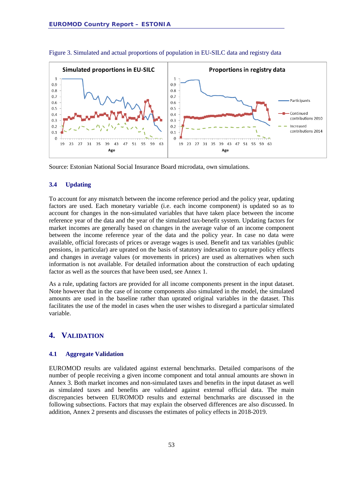

<span id="page-52-0"></span>Figure 3. Simulated and actual proportions of population in EU-SILC data and registry data

Source: Estonian National Social Insurance Board microdata, own simulations.

#### **3.4 Updating**

To account for any mismatch between the income reference period and the policy year, updating factors are used. Each monetary variable (i.e. each income component) is updated so as to account for changes in the non-simulated variables that have taken place between the income reference year of the data and the year of the simulated tax-benefit system. Updating factors for market incomes are generally based on changes in the average value of an income component between the income reference year of the data and the policy year. In case no data were available, official forecasts of prices or average wages is used. Benefit and tax variables (public pensions, in particular) are uprated on the basis of statutory indexation to capture policy effects and changes in average values (or movements in prices) are used as alternatives when such information is not available. For detailed information about the construction of each updating factor as well as the sources that have been used, see Annex 1.

As a rule, updating factors are provided for all income components present in the input dataset. Note however that in the case of income components also simulated in the model, the simulated amounts are used in the baseline rather than uprated original variables in the dataset. This facilitates the use of the model in cases when the user wishes to disregard a particular simulated variable.

#### **4. VALIDATION**

#### **4.1 Aggregate Validation**

EUROMOD results are validated against external benchmarks. Detailed comparisons of the number of people receiving a given income component and total annual amounts are shown in Annex 3. Both market incomes and non-simulated taxes and benefits in the input dataset as well as simulated taxes and benefits are validated against external official data. The main discrepancies between EUROMOD results and external benchmarks are discussed in the following subsections. Factors that may explain the observed differences are also discussed. In addition, Annex 2 presents and discusses the estimates of policy effects in 2018-2019.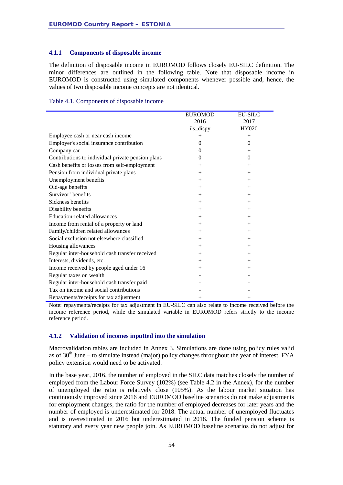#### **4.1.1 Components of disposable income**

The definition of disposable income in EUROMOD follows closely EU-SILC definition. The minor differences are outlined in the following table. Note that disposable income in EUROMOD is constructed using simulated components whenever possible and, hence, the values of two disposable income concepts are not identical.

| Table 4.1. Components of disposable income |  |  |
|--------------------------------------------|--|--|
|                                            |  |  |

|                                                   | <b>EUROMOD</b> | <b>EU-SILC</b> |
|---------------------------------------------------|----------------|----------------|
|                                                   | 2016           | 2017           |
|                                                   | ils_dispy      | HY020          |
| Employee cash or near cash income                 | $^{+}$         | $^{+}$         |
| Employer's social insurance contribution          | $\theta$       | $\theta$       |
| Company car                                       | $\Omega$       | $^{+}$         |
| Contributions to individual private pension plans | $\Omega$       | $\theta$       |
| Cash benefits or losses from self-employment      | $+$            | $^{+}$         |
| Pension from individual private plans             | $^{+}$         | $^{+}$         |
| Unemployment benefits                             | $+$            | $^{+}$         |
| Old-age benefits                                  | $+$            | $^{+}$         |
| Survivor' benefits                                | $+$            | $+$            |
| Sickness benefits                                 | $+$            | $+$            |
| Disability benefits                               | $+$            | $+$            |
| Education-related allowances                      | $+$            | $+$            |
| Income from rental of a property or land          | $^{+}$         | $^{+}$         |
| Family/children related allowances                | $^{+}$         | $^{+}$         |
| Social exclusion not elsewhere classified         | $^{+}$         | $^{+}$         |
| Housing allowances                                | $^{+}$         | $^{+}$         |
| Regular inter-household cash transfer received    | $+$            | $^{+}$         |
| Interests, dividends, etc.                        | $+$            | $^{+}$         |
| Income received by people aged under 16           | $^{+}$         | $^{+}$         |
| Regular taxes on wealth                           |                |                |
| Regular inter-household cash transfer paid        |                |                |
| Tax on income and social contributions            |                |                |
| Repayments/receipts for tax adjustment            | $^{+}$         | $^{+}$         |

Note: repayments/receipts for tax adjustment in EU-SILC can also relate to income received before the income reference period, while the simulated variable in EUROMOD refers strictly to the income reference period.

#### **4.1.2 Validation of incomes inputted into the simulation**

Macrovalidation tables are included in Annex 3. Simulations are done using policy rules valid as of  $30<sup>th</sup>$  June – to simulate instead (major) policy changes throughout the year of interest, FYA policy extension would need to be activated.

In the base year, 2016, the number of employed in the SILC data matches closely the number of employed from the Labour Force Survey (102%) (see Table 4.2 in the Annex), for the number of unemployed the ratio is relatively close (105%). As the labour market situation has continuously improved since 2016 and EUROMOD baseline scenarios do not make adjustments for employment changes, the ratio for the number of employed decreases for later years and the number of employed is underestimated for 2018. The actual number of unemployed fluctuates and is overestimated in 2016 but underestimated in 2018. The funded pension scheme is statutory and every year new people join. As EUROMOD baseline scenarios do not adjust for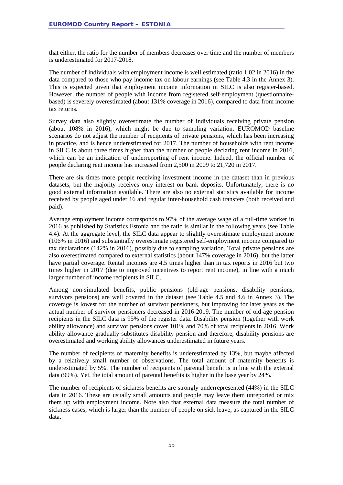that either, the ratio for the number of members decreases over time and the number of members is underestimated for 2017-2018.

The number of individuals with employment income is well estimated (ratio 1.02 in 2016) in the data compared to those who pay income tax on labour earnings (see Table 4.3 in the Annex 3). This is expected given that employment income information in SILC is also register-based. However, the number of people with income from registered self-employment (questionnairebased) is severely overestimated (about 131% coverage in 2016), compared to data from income tax returns.

Survey data also slightly overestimate the number of individuals receiving private pension (about 108% in 2016), which might be due to sampling variation. EUROMOD baseline scenarios do not adjust the number of recipients of private pensions, which has been increasing in practice, and is hence underestimated for 2017. The number of households with rent income in SILC is about three times higher than the number of people declaring rent income in 2016, which can be an indication of underreporting of rent income. Indeed, the official number of people declaring rent income has increased from 2,500 in 2009 to 21,720 in 2017.

There are six times more people receiving investment income in the dataset than in previous datasets, but the majority receives only interest on bank deposits. Unfortunately, there is no good external information available. There are also no external statistics available for income received by people aged under 16 and regular inter-household cash transfers (both received and paid).

Average employment income corresponds to 97% of the average wage of a full-time worker in 2016 as published by Statistics Estonia and the ratio is similar in the following years (see Table 4.4). At the aggregate level, the SILC data appear to slightly overestimate employment income (106% in 2016) and substantially overestimate registered self-employment income compared to tax declarations (142% in 2016), possibly due to sampling variation. Total private pensions are also overestimated compared to external statistics (about 147% coverage in 2016), but the latter have partial coverage. Rental incomes are 4.5 times higher than in tax reports in 2016 but two times higher in 2017 (due to improved incentives to report rent income), in line with a much larger number of income recipients in SILC.

Among non-simulated benefits, public pensions (old-age pensions, disability pensions, survivors pensions) are well covered in the dataset (see Table 4.5 and 4.6 in Annex 3). The coverage is lowest for the number of survivor pensioners, but improving for later years as the actual number of survivor pensioners decreased in 2016-2019. The number of old-age pension recipients in the SILC data is 95% of the register data. Disability pension (together with work ability allowance) and survivor pensions cover 101% and 70% of total recipients in 2016. Work ability allowance gradually substitutes disability pension and therefore, disability pensions are overestimated and working ability allowances underestimated in future years.

The number of recipients of maternity benefits is underestimated by 13%, but maybe affected by a relatively small number of observations. The total amount of maternity benefits is underestimated by 5%. The number of recipients of parental benefit is in line with the external data (99%). Yet, the total amount of parental benefits is higher in the base year by 24%.

The number of recipients of sickness benefits are strongly underrepresented (44%) in the SILC data in 2016. These are usually small amounts and people may leave them unreported or mix them up with employment income. Note also that external data measure the total number of sickness cases, which is larger than the number of people on sick leave, as captured in the SILC data.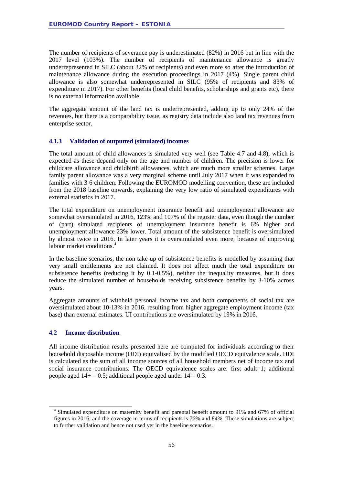The number of recipients of severance pay is underestimated (82%) in 2016 but in line with the 2017 level (103%). The number of recipients of maintenance allowance is greatly underrepresented in SILC (about 32% of recipients) and even more so after the introduction of maintenance allowance during the execution proceedings in 2017 (4%). Single parent child allowance is also somewhat underrepresented in SILC (95% of recipients and 83% of expenditure in 2017). For other benefits (local child benefits, scholarships and grants etc), there is no external information available.

The aggregate amount of the land tax is underrepresented, adding up to only 24% of the revenues, but there is a comparability issue, as registry data include also land tax revenues from enterprise sector.

#### **4.1.3 Validation of outputted (simulated) incomes**

The total amount of child allowances is simulated very well (see Table 4.7 and 4.8), which is expected as these depend only on the age and number of children. The precision is lower for childcare allowance and childbirth allowances, which are much more smaller schemes. Large family parent allowance was a very marginal scheme until July 2017 when it was expanded to families with 3-6 children. Following the EUROMOD modelling convention, these are included from the 2018 baseline onwards, explaining the very low ratio of simulated expenditures with external statistics in 2017.

The total expenditure on unemployment insurance benefit and unemployment allowance are somewhat oversimulated in 2016, 123% and 107% of the register data, even though the number of (part) simulated recipients of unemployment insurance benefit is 6% higher and unemployment allowance 23% lower. Total amount of the subsistence benefit is oversimulated by almost twice in 2016. In later years it is oversimulated even more, because of improving labour market conditions.<sup>[4](#page-55-0)</sup>

In the baseline scenarios, the non take-up of subsistence benefits is modelled by assuming that very small entitlements are not claimed. It does not affect much the total expenditure on subsistence benefits (reducing it by 0.1-0.5%), neither the inequality measures, but it does reduce the simulated number of households receiving subsistence benefits by 3-10% across years.

Aggregate amounts of withheld personal income tax and both components of social tax are oversimulated about 10-13% in 2016, resulting from higher aggregate employment income (tax base) than external estimates. UI contributions are oversimulated by 19% in 2016.

#### **4.2 Income distribution**

All income distribution results presented here are computed for individuals according to their household disposable income (HDI) equivalised by the modified OECD equivalence scale. HDI is calculated as the sum of all income sources of all household members net of income tax and social insurance contributions. The OECD equivalence scales are: first adult=1; additional people aged  $14+ = 0.5$ ; additional people aged under  $14 = 0.3$ .

<span id="page-55-0"></span><sup>&</sup>lt;sup>4</sup> Simulated expenditure on maternity benefit and parental benefit amount to 91% and 67% of official figures in 2016, and the coverage in terms of recipients is 76% and 84%. These simulations are subject to further validation and hence not used yet in the baseline scenarios.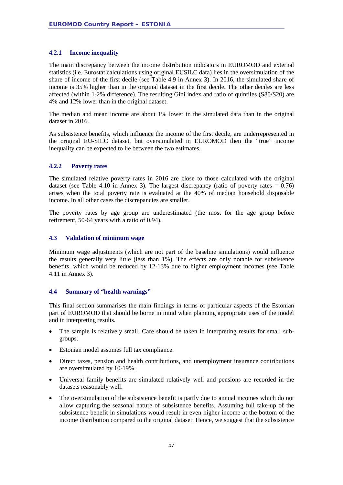#### **4.2.1 Income inequality**

The main discrepancy between the income distribution indicators in EUROMOD and external statistics (i.e. Eurostat calculations using original EUSILC data) lies in the oversimulation of the share of income of the first decile (see Table 4.9 in Annex 3). In 2016, the simulated share of income is 35% higher than in the original dataset in the first decile. The other deciles are less affected (within 1-2% difference). The resulting Gini index and ratio of quintiles (S80/S20) are 4% and 12% lower than in the original dataset.

The median and mean income are about 1% lower in the simulated data than in the original dataset in 2016.

As subsistence benefits, which influence the income of the first decile, are underrepresented in the original EU-SILC dataset, but oversimulated in EUROMOD then the "true" income inequality can be expected to lie between the two estimates.

#### **4.2.2 Poverty rates**

The simulated relative poverty rates in 2016 are close to those calculated with the original dataset (see Table 4.10 in Annex 3). The largest discrepancy (ratio of poverty rates =  $0.76$ ) arises when the total poverty rate is evaluated at the 40% of median household disposable income. In all other cases the discrepancies are smaller.

The poverty rates by age group are underestimated (the most for the age group before retirement, 50-64 years with a ratio of 0.94).

#### **4.3 Validation of minimum wage**

Minimum wage adjustments (which are not part of the baseline simulations) would influence the results generally very little (less than 1%). The effects are only notable for subsistence benefits, which would be reduced by 12-13% due to higher employment incomes (see Table 4.11 in Annex 3).

#### **4.4 Summary of "health warnings"**

This final section summarises the main findings in terms of particular aspects of the Estonian part of EUROMOD that should be borne in mind when planning appropriate uses of the model and in interpreting results.

- The sample is relatively small. Care should be taken in interpreting results for small subgroups.
- Estonian model assumes full tax compliance.
- Direct taxes, pension and health contributions, and unemployment insurance contributions are oversimulated by 10-19%.
- Universal family benefits are simulated relatively well and pensions are recorded in the datasets reasonably well.
- The oversimulation of the subsistence benefit is partly due to annual incomes which do not allow capturing the seasonal nature of subsistence benefits. Assuming full take-up of the subsistence benefit in simulations would result in even higher income at the bottom of the income distribution compared to the original dataset. Hence, we suggest that the subsistence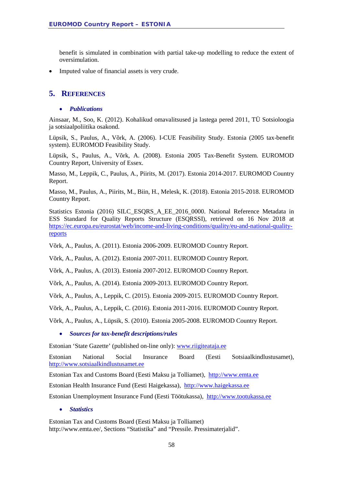benefit is simulated in combination with partial take-up modelling to reduce the extent of oversimulation.

• Imputed value of financial assets is very crude.

### **5. REFERENCES**

#### • *Publications*

Ainsaar, M., Soo, K. (2012). Kohalikud omavalitsused ja lastega pered 2011, TÜ Sotsioloogia ja sotsiaalpoliitika osakond.

Lüpsik, S., Paulus, A., Võrk, A. (2006). I-CUE Feasibility Study. Estonia (2005 tax-benefit system). EUROMOD Feasibility Study.

Lüpsik, S., Paulus, A., Võrk, A. (2008). Estonia 2005 Tax-Benefit System. EUROMOD Country Report, University of Essex.

Masso, M., Leppik, C., Paulus, A., Piirits, M. (2017). Estonia 2014-2017. EUROMOD Country Report.

Masso, M., Paulus, A., Piirits, M., Biin, H., Melesk, K. (2018). Estonia 2015-2018. EUROMOD Country Report.

Statistics Estonia (2016) SILC\_ESQRS\_A\_EE\_2016\_0000. National Reference Metadata in ESS Standard for Quality Reports Structure (ESQRSSI), retrieved on 16 Nov 2018 at [https://ec.europa.eu/eurostat/web/income-and-living-conditions/quality/eu-and-national-quality](https://ec.europa.eu/eurostat/web/income-and-living-conditions/quality/eu-and-national-quality-reports)[reports](https://ec.europa.eu/eurostat/web/income-and-living-conditions/quality/eu-and-national-quality-reports)

Võrk, A., Paulus, A. (2011). Estonia 2006-2009. EUROMOD Country Report.

Võrk, A., Paulus, A. (2012). Estonia 2007-2011. EUROMOD Country Report.

Võrk, A., Paulus, A. (2013). Estonia 2007-2012. EUROMOD Country Report.

Võrk, A., Paulus, A. (2014). Estonia 2009-2013. EUROMOD Country Report.

Võrk, A., Paulus, A., Leppik, C. (2015). Estonia 2009-2015. EUROMOD Country Report.

Võrk, A., Paulus, A., Leppik, C. (2016). Estonia 2011-2016. EUROMOD Country Report.

Võrk, A., Paulus, A., Lüpsik, S. (2010). Estonia 2005-2008. EUROMOD Country Report.

#### • *Sources for tax-benefit descriptions/rules*

Estonian 'State Gazette' (published on-line only): www.riigiteataja.ee

Estonian National Social Insurance Board (Eesti Sotsiaalkindlustusamet), [http://www.sotsiaalkindlustusamet.ee](http://www.sotsiaalkindlustusamet.ee/)

Estonian Tax and Customs Board (Eesti Maksu ja Tolliamet), [http://www.emta.ee](http://www.emta.ee/)

Estonian Health Insurance Fund (Eesti Haigekassa), [http://www.haigekassa.ee](http://www.haigekassa.ee/)

Estonian Unemployment Insurance Fund (Eesti Töötukassa), [http://www.tootukassa.ee](http://www.tootukassa.ee/)

#### • *Statistics*

Estonian Tax and Customs Board (Eesti Maksu ja Tolliamet) http://www.emta.ee/, Sections "Statistika" and "Pressile. Pressimaterjalid".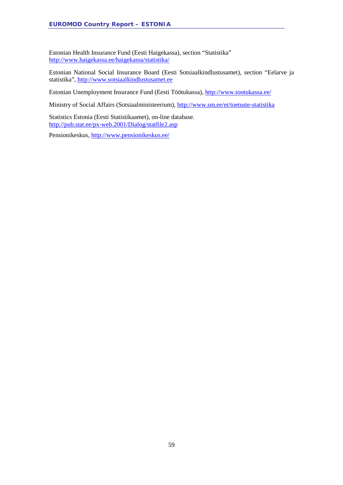Estonian Health Insurance Fund (Eesti Haigekassa), section "Statistika" <http://www.haigekassa.ee/haigekassa/statistika/>

Estonian National Social Insurance Board (Eesti Sotsiaalkindlustusamet), section "Eelarve ja statistika", [http://www.sotsiaalkindlustusamet.ee](http://www.sotsiaalkindlustusamet.ee/)

Estonian Unemployment Insurance Fund (Eesti Töötukassa),<http://www.tootukassa.ee/>

Ministry of Social Affairs (Sotsiaalministeerium),<http://www.sm.ee/et/toetuste-statistika>

Statistics Estonia (Eesti Statistikaamet), on-line database. <http://pub.stat.ee/px-web.2001/Dialog/statfile2.asp>

Pensionikeskus,<http://www.pensionikeskus.ee/>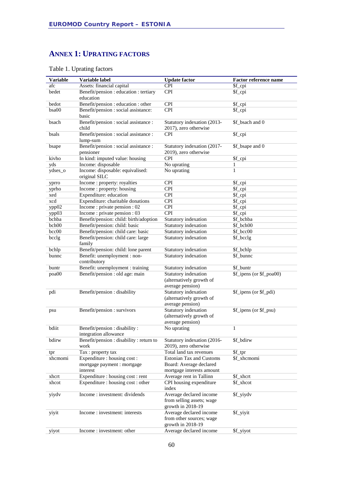### **ANNEX 1: UPRATING FACTORS**

| <b>Variable</b> | Variable label                                          | <b>Update factor</b>                                                      | Factor reference name    |
|-----------------|---------------------------------------------------------|---------------------------------------------------------------------------|--------------------------|
| afc             | Assets: financial capital                               | <b>CPI</b>                                                                | \$f_cpi                  |
| bedet           | Benefit/pension : education : tertiary                  | <b>CPI</b>                                                                | \$f_cpi                  |
|                 | education                                               |                                                                           |                          |
| bedot           | Benefit/pension : education : other                     | <b>CPI</b>                                                                | \$f_cpi                  |
| bsa00           | Benefit/pension : social assistance:<br>basic           | <b>CPI</b>                                                                | \$f_cpi                  |
| bsach           | Benefit/pension : social assistance :<br>child          | Statutory indexation (2013-<br>2017), zero otherwise                      | \$f_bsach and 0          |
| bsals           | Benefit/pension : social assistance :<br>lump-sum       | <b>CPI</b>                                                                | \$f_cpi                  |
| bsape           | Benefit/pension : social assistance :<br>pensioner      | Statutory indexation (2017-<br>2019), zero otherwise                      | \$f_bsape and 0          |
| kivho           | In kind: imputed value: housing                         | <b>CPI</b>                                                                | \$f_cpi                  |
| yds             | Income: disposable                                      | No uprating                                                               | 1                        |
| ydses_o         | Income: disposable: equivalised:<br>original SILC       | No uprating                                                               | $\mathbf{1}$             |
| yprro           | Income : property: royalties                            | <b>CPI</b>                                                                | \$f_cpi                  |
| yprho           | Income : property: housing                              | <b>CPI</b>                                                                | \$f_cpi                  |
| xed             | Expenditure: education                                  | <b>CPI</b>                                                                | \$f_cpi                  |
| xcd             | Expenditure: charitable donations                       | <b>CPI</b>                                                                | \$f_cpi                  |
| ypp02           | Income : private pension : 02                           | <b>CPI</b>                                                                | \$f_cpi                  |
| ypp03           | Income : private pension : 03                           | <b>CPI</b>                                                                | \$f_cpi                  |
| bchba           | Benefit/pension: child: birth/adoption                  | Statutory indexation                                                      | \$f_bchba                |
| bch00           | Benefit/pension: child: basic                           | Statutory indexation                                                      | \$f bch00                |
| bcc00           | Benefit/pension: child care: basic                      | Statutory indexation                                                      | \$f_bcc00                |
| bcclg           | Benefit/pension: child care: large<br>family            | Statutory indexation                                                      | \$f_bcclg                |
| bchlp           | Benefit/pension: child: lone parent                     | Statutory indexation                                                      | \$f_bchlp                |
| bunnc           | Benefit: unemployment : non-<br>contributory            | Statutory indexation                                                      | \$f bunnc                |
| buntr           | Benefit: unemployment : training                        | Statutory indexation                                                      | \$f_buntr                |
| poa00           | Benefit/pension : old age: main                         | Statutory indexation                                                      | \$f_ipens (or \$f_poa00) |
|                 |                                                         | (alternatively growth of<br>average pension)                              |                          |
| pdi             | Benefit/pension : disability                            | Statutory indexation                                                      | \$f_ipens (or \$f_pdi)   |
|                 |                                                         | (alternatively growth of                                                  |                          |
|                 |                                                         | average pension)                                                          |                          |
| psu             | Benefit/pension : survivors                             | Statutory indexation<br>(alternatively growth of                          | \$f_ipens (or \$f_psu)   |
|                 |                                                         | average pension)                                                          |                          |
| bdiit           | Benefit/pension : disability :<br>integration allowance | No uprating                                                               | $\mathbf{1}$             |
| bdirw           | Benefit/pension : disability : return to<br>work        | Statutory indexation (2016-<br>2019), zero otherwise                      | \$f_bdirw                |
| tpr             | Tax: property tax                                       | Total land tax revenues                                                   | \$f_tpr                  |
| xhcmomi         | Expenditure : housing cost :                            | <b>Estonian Tax and Customs</b>                                           | \$f_xhcmomi              |
|                 | mortgage payment : mortgage                             | Board: Average declared                                                   |                          |
|                 | interest                                                | mortgage interests amount                                                 |                          |
| xhcrt           | Expenditure : housing cost : rent                       | Average rent in Tallinn                                                   | \$f_xhcrt                |
| xhcot           | Expenditure : housing cost : other                      | CPI housing expenditure<br>index                                          | \$f_xhcot                |
| yiydv           | Income: investment: dividends                           | Average declared income<br>from selling assets; wage<br>growth in 2018-19 | \$f_yiydv                |
| yiyit           | Income : investment: interests                          | Average declared income<br>from other sources; wage<br>growth in 2018-19  | \$f_yiyit                |
| yiyot           | Income: investment: other                               | Average declared income                                                   | \$f_yiyot                |

### Table 1. Uprating factors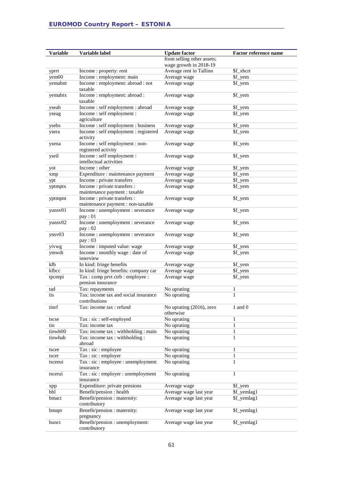| <b>Variable</b>      | Variable label                                       | <b>Update factor</b>       | <b>Factor reference name</b> |
|----------------------|------------------------------------------------------|----------------------------|------------------------------|
|                      |                                                      | from selling other assets; |                              |
|                      |                                                      | wage growth in 2018-19     |                              |
|                      | Income: property: rent                               | Average rent in Tallinn    | \$f_xhcrt                    |
| yprrt<br>$y$ em $00$ | Income : employment: main                            | Average wage               | \$f_yem                      |
|                      | Income : employment: abroad : not                    | Average wage               | \$f_yem                      |
| yemabnt              | taxable                                              |                            |                              |
| yemabtx              | Income: employment: abroad:<br>taxable               | Average wage               | \$f_yem                      |
| yseab                | Income: self employment: abroad                      | Average wage               | \$f_yem                      |
| yseag                | Income: self employment:<br>agriculture              | Average wage               | \$f_yem                      |
| ysebs                | Income: self employment: business                    | Average wage               | \$f_yem                      |
| ysera                | Income: self employment: registered                  | Average wage               | \$f_yem                      |
|                      | activity                                             |                            |                              |
| ysena                | Income: self employment: non-<br>registered activity | Average wage               | \$f_yem                      |
| yseil                | Income: self employment:                             | Average wage               | \$f_yem                      |
|                      | intellectual activities                              |                            |                              |
| yot                  | Income: other                                        | Average wage               | \$f_yem                      |
| xmp                  | Expenditure : maintenance payment                    | Average wage               | \$f_yem                      |
| ypt                  | Income : private transfers                           | Average wage               | \$f_yem                      |
| yptmptx              | Income : private transfers :                         | Average wage               | \$f_yem                      |
|                      | maintenance payment : taxable                        |                            |                              |
| yptmpnt              | Income : private transfers :                         | Average wage               | \$f_yem                      |
|                      | maintenance payment : non-taxable                    |                            |                              |
| yunsv01              | Income: unemployment: severance<br>pay:01            | Average wage               | \$f_yem                      |
| yunsv02              | Income: unemployment: severance                      | Average wage               | \$f_yem                      |
|                      | pay: 02                                              |                            |                              |
| ynsv03               | Income: unemployment: severance<br>pay: 03           | Average wage               | \$f_yem                      |
| yivwg                | Income : imputed value: wage                         | Average wage               | \$f_yem                      |
| ymwdt                | Income: monthly wage: date of                        | Average wage               | \$f_yem                      |
|                      | interview                                            |                            |                              |
| kfb                  | In kind: fringe benefits                             | Average wage               | \$f_yem                      |
| kfbcc                | In kind: fringe benefits: company car                | Average wage               | \$f_yem                      |
| tpceepi              | Tax: comp prvt ctrb: employee:                       | Average wage               | \$f_yem                      |
|                      | pension insurance                                    |                            |                              |
| tad                  | Tax: repayments                                      | No uprating                | 1                            |
| tis                  | Tax: income tax and social insurance                 | No uprating                | $\mathbf{1}$                 |
|                      | contributions                                        |                            |                              |
| tinrf                | Tax: income tax : refund                             | No uprating (2016), zero   | 1 and 0                      |
|                      |                                                      | otherwise                  |                              |
| tscse                | Tax: sic: self-employed                              | No uprating                | $\mathbf{1}$                 |
| tin                  | Tax: income tax                                      | No uprating                | $\mathbf{1}$                 |
| tinwh00              | Tax: income tax : withholding : main                 | No uprating                | $\mathbf{1}$                 |
| tinwhab              | Tax: income tax : withholding :                      | No uprating                | $\mathbf{1}$                 |
|                      | abroad                                               |                            |                              |
| tscee                | Tax: sic: employee                                   | No uprating                | 1                            |
| tscer                | Tax : sic : employer                                 | No uprating                | 1                            |
| tsceeui              | Tax : sic : employee : unemployment                  | No uprating                | $\mathbf{1}$                 |
|                      | insurance                                            |                            |                              |
| tscerui              | Tax : sic : employer : unemployment<br>insurance     | No uprating                | $\mathbf{1}$                 |
| xpp                  | Expenditure: private pensions                        | Average wage               | \$f_yem                      |
| bhl                  | Benefit/pension : health                             | Average wage last year     | \$f_yemlag1                  |
| bmact                | Benefit/pension : maternity:<br>contributory         | Average wage last year     | \$f_yemlag1                  |
| bmapr                | Benefit/pension : maternity:<br>pregnancy            | Average wage last year     | \$f_yemlag1                  |
| bunct                | Benefit/pension : unemployment:<br>contributory      | Average wage last year     | \$f_yemlag1                  |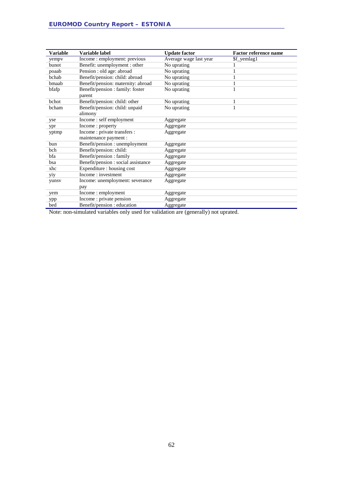| <b>Variable</b> | Variable label                      | <b>Update factor</b>   | <b>Factor reference name</b> |
|-----------------|-------------------------------------|------------------------|------------------------------|
| yempy           | Income : employment: previous       | Average wage last year | \$f_yemlag1                  |
| <b>bunot</b>    | Benefit: unemployment : other       | No uprating            | 1                            |
| poaab           | Pension : old age: abroad           | No uprating            | 1                            |
| bchab           | Benefit/pension: child: abroad      | No uprating            | 1                            |
| bmaab           | Benefit/pension: maternity: abroad  | No uprating            | 1                            |
| bfafp           | Benefit/pension : family: foster    | No uprating            | $\mathbf{1}$                 |
|                 | parent                              |                        |                              |
| <b>b</b> chot   | Benefit/pension: child: other       | No uprating            | 1                            |
| bcham           | Benefit/pension: child: unpaid      | No uprating            | $\mathbf{1}$                 |
|                 | alimony                             |                        |                              |
| yse             | Income: self employment             | Aggregate              |                              |
| ypr             | Income: property                    | Aggregate              |                              |
| yptmp           | Income : private transfers :        | Aggregate              |                              |
|                 | maintenance payment :               |                        |                              |
| bun             | Benefit/pension: unemployment       | Aggregate              |                              |
| bch             | Benefit/pension: child:             | Aggregate              |                              |
| bfa             | Benefit/pension: family             | Aggregate              |                              |
| bsa             | Benefit/pension : social assistance | Aggregate              |                              |
| xhc             | Expenditure : housing cost          | Aggregate              |                              |
| yiy             | Income: investment                  | Aggregate              |                              |
| yunsv           | Income: unemployment: severance     | Aggregate              |                              |
|                 | pay                                 |                        |                              |
| yem             | Income : employment                 | Aggregate              |                              |
| ypp             | Income : private pension            | Aggregate              |                              |
| bed             | Benefit/pension : education         | Aggregate              |                              |

Note: non-simulated variables only used for validation are (generally) not uprated.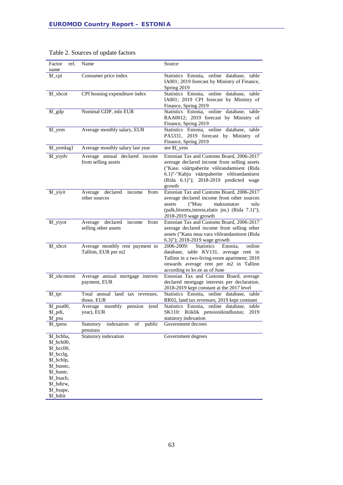| ref.<br>Factor                                                                                                                                        | Name                                                       | Source                                                                                                                                                                                                                                 |
|-------------------------------------------------------------------------------------------------------------------------------------------------------|------------------------------------------------------------|----------------------------------------------------------------------------------------------------------------------------------------------------------------------------------------------------------------------------------------|
| name                                                                                                                                                  |                                                            |                                                                                                                                                                                                                                        |
| \$f_cpi                                                                                                                                               | Consumer price index                                       | Statistics Estonia, online database, table<br>IA001; 2019 forecast by Ministry of Finance,<br>Spring 2019                                                                                                                              |
| \$f_xhcot                                                                                                                                             | CPI housing expenditure index                              | Statistics Estonia, online database, table<br>IA001; 2019 CPI forecast by Ministry of<br>Finance, Spring 2019                                                                                                                          |
| \$f_gdp                                                                                                                                               | Nominal GDP, mln EUR                                       | Statistics Estonia, online database,<br>table<br>RAA0012; 2019 forecast by Ministry of<br>Finance, Spring 2019                                                                                                                         |
| \$f_yem                                                                                                                                               | Average monthly salary, EUR                                | Statistics Estonia, online database, table<br>PA5331, 2019 forecast by Ministry of<br>Finance, Spring 2019                                                                                                                             |
| \$f_yemlag1                                                                                                                                           | Average monthly salary last year                           | see \$f_yem                                                                                                                                                                                                                            |
| \$f_yiydv                                                                                                                                             | Average annual declared income<br>from selling assets      | Estonian Tax and Customs Board, 2006-2017<br>average declared income from selling assets<br>("Kasu väärtpaberite võõrandamisest (Rida<br>6.1)"-"Kahju väärtpaberite võõrandamisest<br>(Rida 6.1)"); 2018-2019 predicted wage<br>growth |
| \$f_yiyit                                                                                                                                             | declared income<br>from<br>Average<br>other sources        | Estonian Tax and Customs Board, 2006-2017<br>average declared income from other sources<br>("Muu<br>maksustatav<br>tulu<br>assets<br>(palk, litsents, intress, elatis jm.) (Rida 7.1)");<br>2018-2019 wage growth                      |
| \$f_yiyot                                                                                                                                             | Average declared<br>income<br>from<br>selling other assets | Estonian Tax and Customs Board, 2006-2017<br>average declared income from selling other<br>assets ("Kasu muu vara võõrandamisest (Rida<br>6.3)"); 2018-2019 wage growth                                                                |
| \$f xhcrt                                                                                                                                             | Average monthly rent payment in<br>Tallinn, EUR per m2     | 2006-2009:<br><b>Statistics</b><br>Estonia.<br>online<br>database, table KV131, average rent in<br>Tallinn in a two-living-room apartment; 2010<br>onwards average rent per m2 in Tallinn<br>according to kv.ee as of June             |
| \$f_xhcmomi                                                                                                                                           | Average annual mortgage interest<br>payment, EUR           | Estonian Tax and Customs Board, average<br>declared mortgage interests per declaration.<br>2018-2019 kept constant at the 2017 level                                                                                                   |
| \$f_tpr                                                                                                                                               | Total annual land tax revenues,<br>thous. EUR              | Statistics Estonia, online database, table<br>RR02, land tax revenues; 2019 kept constant                                                                                                                                              |
| \$f_poa00,                                                                                                                                            | Average<br>monthly<br>pension<br>(end                      | Statistics Estonia, online database,<br>table                                                                                                                                                                                          |
| \$f_pdi,                                                                                                                                              | year), EUR                                                 | SK110: Riiklik pensionikindlustus;<br>2019                                                                                                                                                                                             |
| \$f_psu<br>\$f_ipens                                                                                                                                  | public<br>Statutory<br>indexation<br>of<br>pensions        | statutory indexation<br>Government decrees                                                                                                                                                                                             |
| \$f_bchba,<br>\$f_bch00,<br>\$f_bcc00,<br>\$f_bcclg,<br>\$f_bchlp,<br>\$f_bunnc,<br>\$f_buntr,<br>\$f_bsach,<br>\$f_bdirw,<br>\$f_bsape,<br>\$f_bdiit | Statutory indexation                                       | Government degrees                                                                                                                                                                                                                     |

### Table 2. Sources of update factors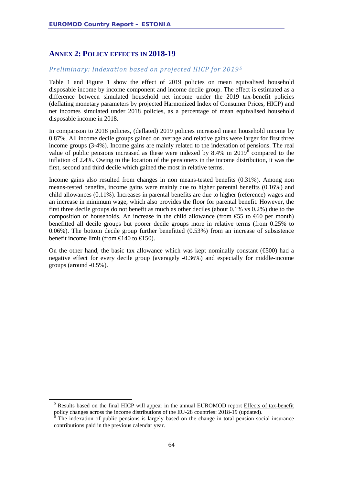### **ANNEX 2: POLICY EFFECTS IN 2018-19**

#### *Preliminary: Indexation based on projected HICP for 2019[5](#page-63-0)*

Table 1 and Figure 1 show the effect of 2019 policies on mean equivalised household disposable income by income component and income decile group. The effect is estimated as a difference between simulated household net income under the 2019 tax-benefit policies (deflating monetary parameters by projected Harmonized Index of Consumer Prices, HICP) and net incomes simulated under 2018 policies, as a percentage of mean equivalised household disposable income in 2018.

In comparison to 2018 policies, (deflated) 2019 policies increased mean household income by 0.87%. All income decile groups gained on average and relative gains were larger for first three income groups (3-4%). Income gains are mainly related to the indexation of pensions. The real value of public pensions increased as these were indexed by  $8.4\%$  in  $2019^6$  $2019^6$  compared to the inflation of 2.4%. Owing to the location of the pensioners in the income distribution, it was the first, second and third decile which gained the most in relative terms.

Income gains also resulted from changes in non means-tested benefits (0.31%). Among non means-tested benefits, income gains were mainly due to higher parental benefits (0.16%) and child allowances (0.11%). Increases in parental benefits are due to higher (reference) wages and an increase in minimum wage, which also provides the floor for parental benefit. However, the first three decile groups do not benefit as much as other deciles (about 0.1% vs 0.2%) due to the composition of households. An increase in the child allowance (from  $\mathfrak{S}5$  to  $\mathfrak{S}60$  per month) benefitted all decile groups but poorer decile groups more in relative terms (from 0.25% to 0.06%). The bottom decile group further benefitted (0.53%) from an increase of subsistence benefit income limit (from  $\text{E}140$  to  $\text{E}150$ ).

On the other hand, the basic tax allowance which was kept nominally constant ( $\epsilon$ 500) had a negative effect for every decile group (averagely -0.36%) and especially for middle-income groups (around -0.5%).

<span id="page-63-0"></span><sup>&</sup>lt;sup>5</sup> Results based on the final HICP will appear in the annual EUROMOD report Effects of tax-benefit policy changes across the income distributions of the EU-28 countries: 2018-19 (updated).<br><sup>6</sup> The indexation of public pensions is largely based on the change in total pension social insurance

<span id="page-63-1"></span>contributions paid in the previous calendar year.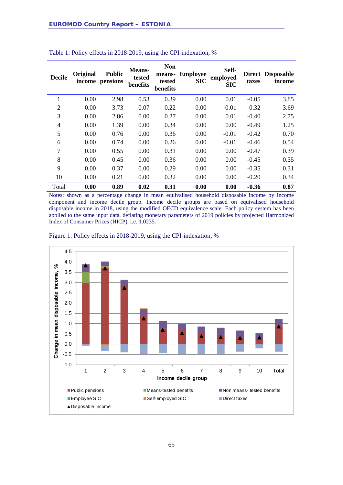| <b>Decile</b>  | Original<br>income | <b>Public</b><br>pensions | Means-<br>tested<br>benefits | <b>Non</b><br>means-<br>tested<br>benefits | <b>Employee</b><br><b>SIC</b> | Self-<br>employed<br><b>SIC</b> | taxes   | Direct Disposable<br>income |
|----------------|--------------------|---------------------------|------------------------------|--------------------------------------------|-------------------------------|---------------------------------|---------|-----------------------------|
| 1              | 0.00               | 2.98                      | 0.53                         | 0.39                                       | 0.00                          | 0.01                            | $-0.05$ | 3.85                        |
| $\overline{2}$ | 0.00               | 3.73                      | 0.07                         | 0.22                                       | 0.00                          | $-0.01$                         | $-0.32$ | 3.69                        |
| 3              | 0.00               | 2.86                      | 0.00                         | 0.27                                       | 0.00                          | 0.01                            | $-0.40$ | 2.75                        |
| $\overline{4}$ | 0.00               | 1.39                      | 0.00                         | 0.34                                       | 0.00                          | 0.00                            | $-0.49$ | 1.25                        |
| 5              | 0.00               | 0.76                      | 0.00                         | 0.36                                       | 0.00                          | $-0.01$                         | $-0.42$ | 0.70                        |
| 6              | 0.00               | 0.74                      | 0.00                         | 0.26                                       | 0.00                          | $-0.01$                         | $-0.46$ | 0.54                        |
| 7              | 0.00               | 0.55                      | 0.00                         | 0.31                                       | 0.00                          | 0.00                            | $-0.47$ | 0.39                        |
| 8              | 0.00               | 0.45                      | 0.00                         | 0.36                                       | 0.00                          | 0.00                            | $-0.45$ | 0.35                        |
| 9              | 0.00               | 0.37                      | 0.00                         | 0.29                                       | 0.00                          | 0.00                            | $-0.35$ | 0.31                        |
| 10             | 0.00               | 0.21                      | 0.00                         | 0.32                                       | 0.00                          | 0.00                            | $-0.20$ | 0.34                        |
| Total          | 0.00               | 0.89                      | 0.02                         | 0.31                                       | 0.00                          | 0.00                            | $-0.36$ | 0.87                        |

| Table 1: Policy effects in 2018-2019, using the CPI-indexation, % |  |  |
|-------------------------------------------------------------------|--|--|
|-------------------------------------------------------------------|--|--|

Notes: shown as a percentage change in mean equivalised household disposable income by income component and income decile group. Income decile groups are based on equivalised household disposable income in 2018, using the modified OECD equivalence scale. Each policy system has been applied to the same input data, deflating monetary parameters of 2019 policies by projected Harmonized Index of Consumer Prices (HICP), i.e. 1.0235.



Figure 1: Policy effects in 2018-2019, using the CPI-indexation, %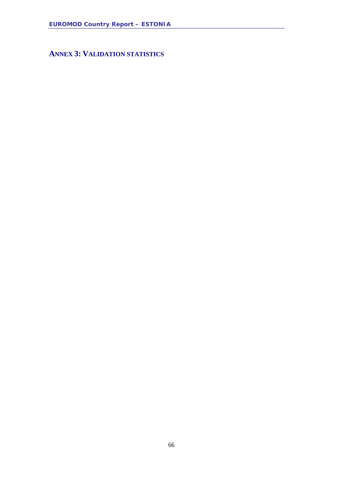**ANNEX 3: VALIDATION STATISTICS**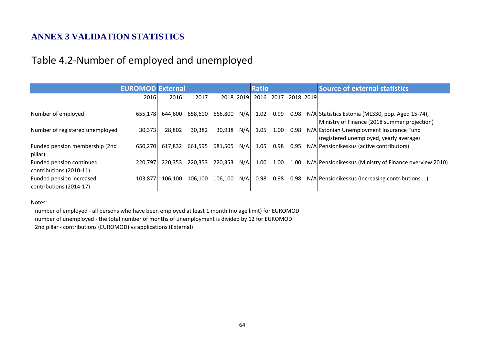## **ANNEX 3 VALIDATION STATISTICS**

## Table 4.2-Number of employed and unemployed

|                                                     | <b>EUROMOD External</b> |         |         |         |           | <b>Ratio</b> |      |           | <b>Source of external statistics</b>                                                             |
|-----------------------------------------------------|-------------------------|---------|---------|---------|-----------|--------------|------|-----------|--------------------------------------------------------------------------------------------------|
|                                                     | 2016                    | 2016    | 2017    |         | 2018 2019 | 2016         | 2017 | 2018 2019 |                                                                                                  |
| Number of employed                                  | 655,178                 | 644,600 | 658,600 | 666,800 | N/A       | 1.02         | 0.99 | 0.98      | N/A Statistics Estonia (ML330, pop. Aged 15-74),<br>Ministry of Finance (2018 summer projection) |
| Number of registered unemployed                     | 30,373                  | 28,802  | 30,382  | 30,938  | N/A       | 1.05         | 1.00 | 0.98      | N/A Estonian Unemployment Insurance Fund<br>(registered unemployed, yearly average)              |
| Funded pension membership (2nd<br>pillar)           | 650,270                 | 617,832 | 661,595 | 681,505 | N/A       | 1.05         | 0.98 | 0.95      | N/A Pensionikeskus (active contributors)                                                         |
| Funded pension continued<br>contributions (2010-11) | 220,797                 | 220,353 | 220,353 | 220,353 | N/A       | 1.00         | 1.00 | 1.00      | N/A Pensionikeskus (Ministry of Finance overview 2010)                                           |
| Funded pension increased<br>contributions (2014-17) | 103,877                 | 106,100 | 106,100 | 106,100 | N/A       | 0.98         | 0.98 | 0.98      | N/A Pensionikeskus (Increasing contributions )                                                   |

#### Notes:

number of employed - all persons who have been employed at least 1 month (no age limit) for EUROMOD number of unemployed - the total number of months of unemployment is divided by 12 for EUROMOD 2nd pillar - contributions (EUROMOD) vs applications (External)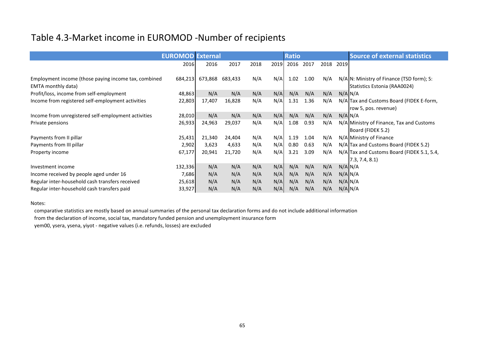# Table 4.3-Market income in EUROMOD -Number of recipients

|                                                                                   | <b>EUROMOD External</b> |         |         |      |      | <b>Ratio</b> |      |      |      | <b>Source of external statistics</b>                                      |
|-----------------------------------------------------------------------------------|-------------------------|---------|---------|------|------|--------------|------|------|------|---------------------------------------------------------------------------|
|                                                                                   | 2016                    | 2016    | 2017    | 2018 | 2019 | 2016         | 2017 | 2018 | 2019 |                                                                           |
| Employment income (those paying income tax, combined<br><b>EMTA monthly data)</b> | 684,213                 | 673,868 | 683,433 | N/A  | N/A  | 1.02         | 1.00 | N/A  |      | N/A N: Ministry of Finance (TSD form); S:<br>Statistics Estonia (RAA0024) |
| Profit/loss, income from self-employment                                          | 48,863                  | N/A     | N/A     | N/A  | N/A  | N/A          | N/A  | N/A  |      | $N/A$ $N/A$                                                               |
| Income from registered self-employment activities                                 | 22,803                  | 17,407  | 16,828  | N/A  | N/A  | 1.31         | 1.36 | N/A  |      | N/A Tax and Customs Board (FIDEK E-form,<br>row 5, pos. revenue)          |
| Income from unregistered self-employment activities                               | 28,010                  | N/A     | N/A     | N/A  | N/A  | N/A          | N/A  | N/A  |      | $N/A$ $N/A$                                                               |
| Private pensions                                                                  | 26,933                  | 24,963  | 29,037  | N/A  | N/A  | 1.08         | 0.93 | N/A  |      | N/A Ministry of Finance, Tax and Customs<br>Board (FIDEK 5.2)             |
| Payments from II pillar                                                           | 25,431                  | 21,340  | 24,404  | N/A  | N/A  | 1.19         | 1.04 | N/A  |      | N/A Ministry of Finance                                                   |
| Payments from III pillar                                                          | 2,902                   | 3,623   | 4,633   | N/A  | N/A  | 0.80         | 0.63 | N/A  |      | N/A Tax and Customs Board (FIDEK 5.2)                                     |
| Property income                                                                   | 67,177                  | 20,941  | 21,720  | N/A  | N/A  | 3.21         | 3.09 | N/A  |      | N/A Tax and Customs Board (FIDEK 5.1, 5.4,<br>7.3, 7.4, 8.1               |
| Investment income                                                                 | 132,336                 | N/A     | N/A     | N/A  | N/A  | N/A          | N/A  | N/A  |      | $N/A$ $N/A$                                                               |
| Income received by people aged under 16                                           | 7,686                   | N/A     | N/A     | N/A  | N/A  | N/A          | N/A  | N/A  |      | $N/A$ $N/A$                                                               |
| Regular inter-household cash transfers received                                   | 25,618                  | N/A     | N/A     | N/A  | N/A  | N/A          | N/A  | N/A  |      | $N/A$ $N/A$                                                               |
| Regular inter-household cash transfers paid                                       | 33,927                  | N/A     | N/A     | N/A  | N/A  | N/A          | N/A  | N/A  |      | $N/A$ $N/A$                                                               |

Notes:

comparative statistics are mostly based on annual summaries of the personal tax declaration forms and do not include additional information

from the declaration of income, social tax, mandatory funded pension and unemployment insurance form

yem00, ysera, ysena, yiyot - negative values (i.e. refunds, losses) are excluded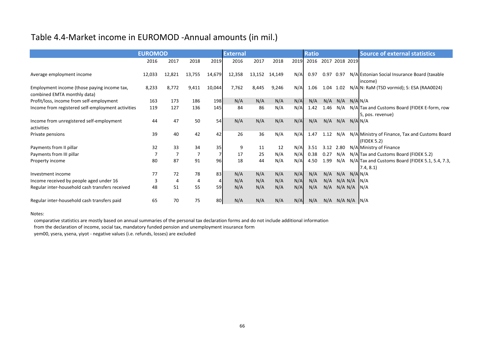# Table 4.4-Market income in EUROMOD -Annual amounts (in mil.)

|                                                                            | <b>EUROMOD</b> |        |        |        | <b>External</b> |        |        |      | <b>Ratio</b> |                |                         |             | <b>Source of external statistics</b>                              |
|----------------------------------------------------------------------------|----------------|--------|--------|--------|-----------------|--------|--------|------|--------------|----------------|-------------------------|-------------|-------------------------------------------------------------------|
|                                                                            | 2016           | 2017   | 2018   | 2019   | 2016            | 2017   | 2018   | 2019 | 2016         | 2017 2018 2019 |                         |             |                                                                   |
| Average employment income                                                  | 12,033         | 12,821 | 13,755 | 14,679 | 12,358          | 13,152 | 14,149 | N/A  | 0.97         | 0.97           | 0.97                    |             | N/A Estonian Social Insurance Board (taxable<br>income)           |
| Employment income (those paying income tax,<br>combined EMTA monthly data) | 8,233          | 8,772  | 9,411  | 10,044 | 7,762           | 8,445  | 9,246  | N/A  | 1.06         |                | 1.04 1.02               |             | N/A N: RaM (TSD vormid); S: ESA (RAA0024)                         |
| Profit/loss, income from self-employment                                   | 163            | 173    | 186    | 198    | N/A             | N/A    | N/A    | N/A  | N/A          | N/A            | N/A                     | $N/A$ $N/A$ |                                                                   |
| Income from registered self-employment activities                          | 119            | 127    | 136    | 145    | 84              | 86     | N/A    | N/A  | 1.42         | 1.46           | N/A                     |             | N/A Tax and Customs Board (FIDEK E-form, row<br>5, pos. revenue)  |
| Income from unregistered self-employment<br>activities                     | 44             | 47     | 50     | 54     | N/A             | N/A    | N/A    | N/A  | N/A          | N/A            | N/A                     | $N/A$ $N/A$ |                                                                   |
| Private pensions                                                           | 39             | 40     | 42     | 42     | 26              | 36     | N/A    | N/A  | 1.47         | 1.12           | N/A                     |             | N/A Ministry of Finance, Tax and Customs Board<br>(FIDEK 5.2)     |
| Payments from II pillar                                                    | 32             | 33     | 34     | 35     | 9               | 11     | 12     | N/A  | 3.51         |                | 3.12 2.80               |             | N/A Ministry of Finance                                           |
| Payments from III pillar                                                   |                | 7      |        |        | 17              | 25     | N/A    | N/A  | 0.38         | 0.27           | N/A                     |             | N/A Tax and Customs Board (FIDEK 5.2)                             |
| Property income                                                            | 80             | 87     | 91     | 96     | 18              | 44     | N/A    | N/A  | 4.50         | 1.99           |                         |             | $N/A$ N/A Tax and Customs Board (FIDEK 5.1, 5.4, 7.3,<br>7.4, 8.1 |
| Investment income                                                          | 77             | 72     | 78     | 83     | N/A             | N/A    | N/A    | N/A  | N/A          | N/A            | N/A                     | $N/A$ $N/A$ |                                                                   |
| Income received by people aged under 16                                    | 3              | 4      | 4      |        | N/A             | N/A    | N/A    | N/A  | N/A          |                | $N/A$ $N/A$ $N/A$       |             | $\vert N/A$                                                       |
| Regular inter-household cash transfers received                            | 48             | 51     | 55     | 59     | N/A             | N/A    | N/A    | N/A  | N/A          | N/A            | N/A N/A                 |             | N/A                                                               |
| Regular inter-household cash transfers paid                                | 65             | 70     | 75     | 80     | N/A             | N/A    | N/A    | N/A  | N/A          |                | $N/A$ $N/A$ $N/A$ $N/A$ |             |                                                                   |

#### Notes:

comparative statistics are mostly based on annual summaries of the personal tax declaration forms and do not include additional information

from the declaration of income, social tax, mandatory funded pension and unemployment insurance form

yem00, ysera, ysena, yiyot - negative values (i.e. refunds, losses) are excluded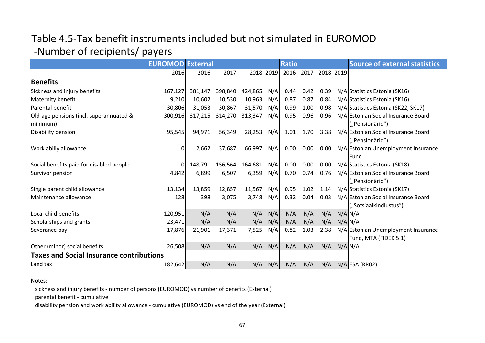# Table 4.5-Tax benefit instruments included but not simulated in EUROMOD -Number of recipients/ payers

|                                                     | <b>EUROMOD External</b> |         |         |           |     | <b>Ratio</b> |      |           |             | <b>Source of external statistics</b>                          |
|-----------------------------------------------------|-------------------------|---------|---------|-----------|-----|--------------|------|-----------|-------------|---------------------------------------------------------------|
|                                                     | 2016                    | 2016    | 2017    | 2018 2019 |     | 2016         | 2017 | 2018 2019 |             |                                                               |
| <b>Benefits</b>                                     |                         |         |         |           |     |              |      |           |             |                                                               |
| Sickness and injury benefits                        | 167,127                 | 381,147 | 398,840 | 424,865   | N/A | 0.44         | 0.42 | 0.39      |             | N/A Statistics Estonia (SK16)                                 |
| Maternity benefit                                   | 9,210                   | 10,602  | 10,530  | 10,963    | N/A | 0.87         | 0.87 | 0.84      |             | N/A Statistics Estonia (SK16)                                 |
| Parental benefit                                    | 30,806                  | 31,053  | 30,867  | 31,570    | N/A | 0.99         | 1.00 | 0.98      |             | N/A Statistics Estonia (SK22, SK17)                           |
| Old-age pensions (incl. superannuated &<br>minimum) | 300,916                 | 317,215 | 314,270 | 313,347   | N/A | 0.95         | 0.96 | 0.96      |             | N/Al Estonian Social Insurance Board<br>("Pensionärid")       |
| Disability pension                                  | 95,545                  | 94,971  | 56,349  | 28,253    | N/A | 1.01         | 1.70 | 3.38      |             | N/A Estonian Social Insurance Board<br>("Pensionärid")        |
| Work abiliy allowance                               | 0                       | 2,662   | 37,687  | 66,997    | N/A | 0.00         | 0.00 | 0.00      |             | N/A Estonian Unemployment Insurance<br>Fund                   |
| Social benefits paid for disabled people            | 0l                      | 148,791 | 156,564 | 164,681   | N/A | 0.00         | 0.00 | 0.00      |             | N/A Statistics Estonia (SK18)                                 |
| Survivor pension                                    | 4,842                   | 6,899   | 6,507   | 6,359     | N/A | 0.70         | 0.74 | 0.76      |             | N/A Estonian Social Insurance Board<br>("Pensionärid")        |
| Single parent child allowance                       | 13,134                  | 13,859  | 12,857  | 11,567    | N/A | 0.95         | 1.02 | 1.14      |             | N/A Statistics Estonia (SK17)                                 |
| Maintenance allowance                               | 128                     | 398     | 3,075   | 3,748     | N/A | 0.32         | 0.04 | 0.03      |             | N/A Estonian Social Insurance Board<br>("Sotsiaalkindlustus") |
| Local child benefits                                | 120,951                 | N/A     | N/A     | N/A       | N/A | N/A          | N/A  | N/A       | $N/A$ $N/A$ |                                                               |
| Scholarships and grants                             | 23,471                  | N/A     | N/A     | N/A       | N/A | N/A          | N/A  | N/A       | $N/A$ $N/A$ |                                                               |
| Severance pay                                       | 17,876                  | 21,901  | 17,371  | 7,525     | N/A | 0.82         | 1.03 | 2.38      |             | N/A Estonian Unemployment Insurance<br>Fund, MTA (FIDEK 5.1)  |
| Other (minor) social benefits                       | 26,508                  | N/A     | N/A     | N/A       | N/A | N/A          | N/A  | N/A       | $N/A$ $N/A$ |                                                               |
| <b>Taxes and Social Insurance contributions</b>     |                         |         |         |           |     |              |      |           |             |                                                               |
| Land tax                                            | 182,642                 | N/A     | N/A     | N/A       | N/A | N/A          | N/A  | N/A       |             | $N/A$ ESA (RR02)                                              |

#### Notes:

sickness and injury benefits - number of persons (EUROMOD) vs number of benefits (External)

parental benefit - cumulative

disability pension and work ability allowance - cumulative (EUROMOD) vs end of the year (External)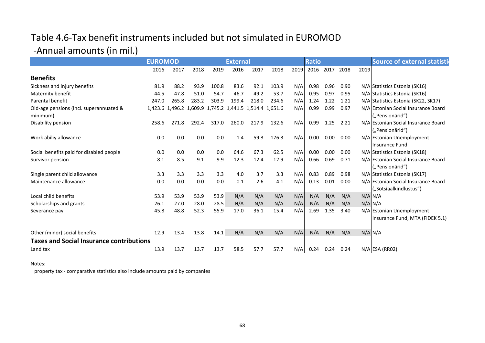# Table 4.6-Tax benefit instruments included but not simulated in EUROMOD

# -Annual amounts (in mil.)

|                                                     | <b>EUROMOD</b> |       |       | <b>External</b> | <b>Ratio</b>                                            |       |       |      | <b>Source of external statistic</b> |      |      |      |                                                               |
|-----------------------------------------------------|----------------|-------|-------|-----------------|---------------------------------------------------------|-------|-------|------|-------------------------------------|------|------|------|---------------------------------------------------------------|
|                                                     | 2016           | 2017  | 2018  | 2019            | 2016                                                    | 2017  | 2018  | 2019 | 2016                                | 2017 | 2018 | 2019 |                                                               |
| <b>Benefits</b>                                     |                |       |       |                 |                                                         |       |       |      |                                     |      |      |      |                                                               |
| Sickness and injury benefits                        | 81.9           | 88.2  | 93.9  | 100.8           | 83.6                                                    | 92.1  | 103.9 | N/A  | 0.98                                | 0.96 | 0.90 |      | N/A Statistics Estonia (SK16)                                 |
| Maternity benefit                                   | 44.5           | 47.8  | 51.0  | 54.7            | 46.7                                                    | 49.2  | 53.7  | N/A  | 0.95                                | 0.97 | 0.95 |      | N/A Statistics Estonia (SK16)                                 |
| Parental benefit                                    | 247.0          | 265.8 | 283.2 | 303.9           | 199.4                                                   | 218.0 | 234.6 | N/A  | 1.24                                | 1.22 | 1.21 |      | N/A Statistics Estonia (SK22, SK17)                           |
| Old-age pensions (incl. superannuated &<br>minimum) |                |       |       |                 | 1,423.6 1,496.2 1,609.9 1,745.2 1,441.5 1,514.4 1,651.6 |       |       | N/A  | 0.99                                | 0.99 | 0.97 |      | N/A Estonian Social Insurance Board<br>("Pensionärid")        |
| Disability pension                                  | 258.6          | 271.8 | 292.4 | 317.0           | 260.0                                                   | 217.9 | 132.6 | N/A  | 0.99                                | 1.25 | 2.21 |      | N/A Estonian Social Insurance Board<br>("Pensionärid")        |
| Work abiliy allowance                               | 0.0            | 0.0   | 0.0   | 0.0             | 1.4                                                     | 59.3  | 176.3 | N/A  | 0.00                                | 0.00 | 0.00 |      | N/A Estonian Unemployment<br>Insurance Fund                   |
| Social benefits paid for disabled people            | 0.0            | 0.0   | 0.0   | 0.0             | 64.6                                                    | 67.3  | 62.5  | N/A  | 0.00                                | 0.00 | 0.00 |      | N/A Statistics Estonia (SK18)                                 |
| Survivor pension                                    | 8.1            | 8.5   | 9.1   | 9.9             | 12.3                                                    | 12.4  | 12.9  | N/A  | 0.66                                | 0.69 | 0.71 |      | N/A Estonian Social Insurance Board<br>("Pensionärid")        |
| Single parent child allowance                       | 3.3            | 3.3   | 3.3   | 3.3             | 4.0                                                     | 3.7   | 3.3   | N/A  | 0.83                                | 0.89 | 0.98 |      | N/A Statistics Estonia (SK17)                                 |
| Maintenance allowance                               | 0.0            | 0.0   | 0.0   | 0.0             | 0.1                                                     | 2.6   | 4.1   | N/A  | 0.13                                | 0.01 | 0.00 |      | N/A Estonian Social Insurance Board<br>("Sotsiaalkindlustus") |
| Local child benefits                                | 53.9           | 53.9  | 53.9  | 53.9            | N/A                                                     | N/A   | N/A   | N/A  | N/A                                 | N/A  | N/A  |      | $N/A$ $N/A$                                                   |
| Scholarships and grants                             | 26.1           | 27.0  | 28.0  | 28.5            | N/A                                                     | N/A   | N/A   | N/A  | N/A                                 | N/A  | N/A  |      | $N/A$ $N/A$                                                   |
| Severance pay                                       | 45.8           | 48.8  | 52.3  | 55.9            | 17.0                                                    | 36.1  | 15.4  | N/A  | 2.69                                | 1.35 | 3.40 |      | N/A Estonian Unemployment<br>Insurance Fund, MTA (FIDEK 5.1)  |
| Other (minor) social benefits                       | 12.9           | 13.4  | 13.8  | 14.1            | N/A                                                     | N/A   | N/A   | N/A  | N/A                                 | N/A  | N/A  |      | $N/A$ $N/A$                                                   |
| <b>Taxes and Social Insurance contributions</b>     |                |       |       |                 |                                                         |       |       |      |                                     |      |      |      |                                                               |
| Land tax                                            | 13.9           | 13.7  | 13.7  | 13.7            | 58.5                                                    | 57.7  | 57.7  | N/A  | 0.24                                | 0.24 | 0.24 |      | $N/A$ ESA (RR02)                                              |

#### Notes:

property tax - comparative statistics also include amounts paid by companies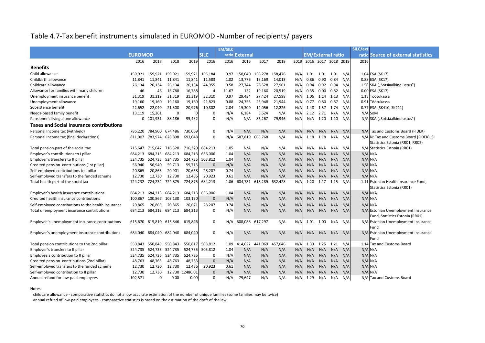# Table 4.7-Tax benefit instruments simulated in EUROMOD -Number of recipients/ payers

|                                                     |                |                 |                         |                 |                 | <b>EM/SILC</b> |                 | SILC/ext        |         |      |                          |           |                     |     |             |                                          |
|-----------------------------------------------------|----------------|-----------------|-------------------------|-----------------|-----------------|----------------|-----------------|-----------------|---------|------|--------------------------|-----------|---------------------|-----|-------------|------------------------------------------|
|                                                     | <b>EUROMOD</b> |                 |                         |                 | <b>SILC</b>     |                | ratio External  |                 |         |      | <b>EM/External ratio</b> |           |                     |     |             | ratio Source of external statistics      |
|                                                     | 2016           | 2017            | 2018                    | 2019            | 2016            | 2016           | 2016            | 2017            | 2018    | 2019 |                          |           | 2016 2017 2018 2019 |     | 2016        |                                          |
| <b>Benefits</b>                                     |                |                 |                         |                 |                 |                |                 |                 |         |      |                          |           |                     |     |             |                                          |
| Child allowance                                     | 159,921        | 159,921         | 159,921                 | 159,921         | 165,184         | 0.97           | 158,040         | 158,278 158,476 |         | N/A  | 1.01                     | 1.01 1.01 |                     | N/A |             | $1.04$ ESA (SK17)                        |
| Childbirth allowance                                | 11,841         | 11,841          | 11,841                  | 11,841          | 11,583          | 1.02           | 13,776          | 13,169          | 14,013  | N/A  | 0.86                     | 0.90      | 0.84                | N/A |             | 0.88 ESA (SK17)                          |
| Childcare allowance                                 | 26,134         | 26,134          | 26,134                  | 26,134          | 44,955          | 0.58           | 27,744          | 28,528          | 27,901  | N/A  | 0.94                     | 0.92      | 0.94                | N/A |             | 1.58 SKA ("Sotsiaalkindlustus")          |
| Allowance for families with many children           | 46             | 46              | 16,788                  | 16,788          |                 | 11.67          | 132             | 19,160          | 20,519  | N/A  | 0.35                     | 0.00      | 0.82                | N/A |             | 0.00 ESA (SK17)                          |
| Unemployment insurance benefit                      | 31,319         | 31,319          | 31,319                  | 31,319          | 32,310          | 0.97           | 29,434          | 27,424          | 27,598  | N/A  | 1.06                     | 1.14 1.13 |                     | N/A |             | 1.18 Töötukassa                          |
| Unemployment allowance                              | 19,160         | 19,160          | 19,160                  | 19,160          | 21,823          | 0.88           | 24,755          | 23,948          | 21,944  | N/A  | 0.77                     | 0.80      | 0.87                | N/A |             | 0.91 Töötukassa                          |
| Subsistence benefit                                 | 22,652         | 22,040          | 21,300                  | 20,976          | 10,802          | 2.04           | 15,300          | 14,056          | 12,226  | N/A  | 1.48                     | 1.57      | 1.74                | N/A |             | 0.77 ESA (SK410, SK211)                  |
| Needs-based family benefit                          | 13,119         | 15,261          | 0                       |                 |                 | N/A            | 6,184           | 5,624           | N/A     | N/A  | 2.12                     | 2.71      | N/A                 | N/A |             | $N/A$ SoM                                |
| Pensioner's living alone allowance                  |                | 0 101,931       | 88,186                  | 95,432          |                 | N/A            | N/A             | 85,267          | 79,946  | N/A  | N/A                      | 1.20      | 1.10                | N/A |             | N/A SKA ("Sotsiaalkindlustus")           |
| <b>Taxes and Social Insurance contributions</b>     |                |                 |                         |                 |                 |                |                 |                 |         |      |                          |           |                     |     |             |                                          |
| Personal Income tax (withheld)                      | 786,220        | 784,900         | 674,486                 | 730,069         |                 | N/A            | N/A             | N/A             | N/A     | N/A  | N/A                      | N/A       | N/A                 | N/A |             | N/A Tax and Customs Board (FIDEK)        |
| Personal Income tax (final declarations)            | 811,007        | 783,974         | 628,898                 | 693,048         |                 | N/A            | 687,819         | 665,768         | N/A     | N/A  | 1.18                     | 1.18      | N/A                 | N/A |             | N/A N: Tax and Customs Board (FIDEK), S: |
|                                                     |                |                 |                         |                 |                 |                |                 |                 |         |      |                          |           |                     |     |             | Statistics Estonia (RR01, RR02)          |
| Total pension part of the social tax                |                | 715,647 715,647 | 716,320                 | 716,320         | 684,213         | 1.05           | N/A             | N/A             | N/A     | N/A  | N/A                      | N/A       | N/A                 | N/A |             | N/A Statistics Estonia (RR01)            |
| Employer's contributions to I pillar                |                | 684,213 684,213 | 684,213                 | 684,213         | 656,006         | 1.04           | N/A             | N/A             | N/A     | N/A  | N/A                      | N/A       | N/A                 | N/A |             | $N/A$ $N/A$                              |
| Employer's transfers to II pillar                   |                | 524,735 524,735 | 524,735                 | 524,735         | 503,812         | 1.04           | N/A             | N/A             | N/A     | N/A  | N/A                      | N/A       | N/A                 | N/A |             | $N/A$ $N/A$                              |
| Credited pension contributions (1st pillar)         | 56,940         | 56,940          | 59,713                  | 59,713          |                 | N/A            | N/A             | N/A             | N/A     | N/A  | N/A                      | N/A       | N/A                 | N/A |             | $N/A$ $N/A$                              |
| Self-employed contributions to I pillar             | 20,865         | 20,865          | 20,901                  | 20,658          | 28,207          | 0.74           | N/A             | N/A             | N/A     | N/A  | N/A                      | N/A       | N/A                 | N/A |             | $N/A$ $N/A$                              |
| Self-employed transfers to the funded scheme        | 12,730         | 12,730          | 12,730                  | 12,486          | 20,923          | 0.61           | N/A             | N/A             | N/A     | N/A  | N/A                      | N/A       | N/A                 | N/A |             | $N/A$ $N/A$                              |
| Total health part of the social tax                 | 724,232        | 724,232         | 724,875                 | 724,875         | 684,213         | 1.06           | 604,781         | 618,289         | 632,428 | N/A  | 1.20                     | 1.17      | 1.15                | N/A |             | 1.11 Estonian Health Insurance Fund,     |
|                                                     |                |                 |                         |                 |                 |                |                 |                 |         |      |                          |           |                     |     |             | Statistics Estonia (RR01)                |
| Employer's health insurance contributions           |                | 684,213 684,213 | 684,213                 | 684,213         | 656,006         | 1.04           | N/A             | N/A             | N/A     | N/A  | N/A                      | N/A       | N/A                 | N/A | $N/A$ $N/A$ |                                          |
| Credited health insurance contributions             | 100,867        | 100,867         | 103,130                 | 103,130         |                 | N/A            | N/A             | N/A             | N/A     | N/A  | N/A                      | N/A       | N/A                 | N/A |             | $N/A$ $N/A$                              |
| Self-employed contributions to the health insurance | 20,865         | 20,865          | 20,865                  | 20,621          | 28,207          | 0.74           | N/A             | N/A             | N/A     | N/A  | N/A                      | N/A       | N/A                 | N/A | $N/A$ $N/A$ |                                          |
| Total unemployment insurance contributions          | 684,213        | 684,213         | 684,213                 | 684,213         |                 | N/A            | N/A             | N/A             | N/A     | N/A  | N/A                      | N/A       | N/A                 | N/A |             | N/A Estonian Unemployment Insurance      |
|                                                     |                |                 |                         |                 |                 |                |                 |                 |         |      |                          |           |                     |     |             | Fund, Statistics Estonia (RR01)          |
| Employee's unemployment insurance contributions     |                |                 | 615,670 615,810 615,846 | 615,846         |                 | N/A            | 608,088 617,297 |                 | N/A     | N/A  |                          | 1.01 1.00 | N/A                 | N/A |             | N/A Estonian Unemployment Insurance      |
|                                                     |                |                 |                         |                 |                 |                |                 |                 |         |      |                          |           |                     |     |             | <b>IFund</b>                             |
| Employer's unemployment insurance contributions     |                |                 | 684,040 684,040 684,040 | 684,040         |                 | N/A            | N/A             | N/A             | N/A     | N/A  | N/A                      | N/A       | N/A                 | N/A |             | N/A Estonian Unemployment Insurance      |
|                                                     |                |                 |                         |                 |                 |                |                 |                 |         |      |                          |           |                     |     |             | <b>Fund</b>                              |
| Total pension contributions to the 2nd pillar       |                | 550,843 550,843 | 550,843                 |                 | 550,817 503,812 | 1.09           | 414,622         | 441,069         | 457,046 | N/A  |                          | 1.33 1.25 | 1.21                | N/A |             | 1.14 Tax and Customs Board               |
| Employer's transfers to II pillar                   |                | 524,735 524,735 | 524,735                 | 524,735         | 503,812         | 1.04           | N/A             | N/A             | N/A     | N/A  | N/A                      | N/A       | N/A                 | N/A |             | $N/A$ $N/A$                              |
| Employee's contribution to II pillar                |                | 524,735 524,735 | 524,735                 | 524,735         |                 | N/A            | N/A             | N/A             | N/A     | N/A  | N/A                      | N/A       | N/A                 | N/A |             | $N/A$ $N/A$                              |
| Credited pension contributions (2nd pillar)         | 48,763         | 48,763          | 48,763                  | 48,763          |                 | N/A            | N/A             | N/A             | N/A     | N/A  | N/A                      | N/A       | N/A                 | N/A |             | $N/A$ $N/A$                              |
| Self-employed transfers to the funded scheme        | 12,730         | 12,730          | 12,730                  | 12,486          | 20,923          | 0.61           | N/A             | N/A             | N/A     | N/A  | N/A                      | N/A       | N/A                 | N/A |             | $N/A$ $N/A$                              |
| Self-employed contribution to II pillar             | 12,730         | 12,730          |                         | 12,730 12486.01 |                 | N/A            | N/A             | N/A             | N/A     | N/A  | N/A                      | N/A       | N/A                 | N/A |             | $N/A$ $N/A$                              |
| Annual refund for low-paid employees                | 102,571        | 0               | 0.00                    | 0.00            |                 | N/A            | 79,647          | N/A             | N/A     | N/A  | 1.29                     | N/A       | N/A                 | N/A |             | N/A Tax and Customs Board                |

Notes:

childcare allowance - comparative statistics do not allow accurate estimation of the number of unique families (some families may be twice)

annual refund of low-paid employees - comparative statistics is based on the estimation of the draft of the law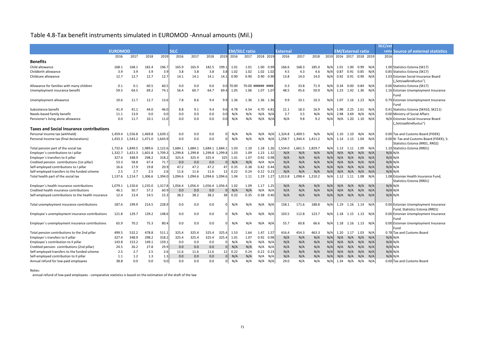# Table 4.8-Tax benefit instruments simulated in EUROMOD -Annual amounts (Mil.)

|                                                     |                |         |         |         |             |         |                 |       |       |                      |                   |      |                 |         |         |       |                          |                |                         |             | SILC/ext    |                                           |
|-----------------------------------------------------|----------------|---------|---------|---------|-------------|---------|-----------------|-------|-------|----------------------|-------------------|------|-----------------|---------|---------|-------|--------------------------|----------------|-------------------------|-------------|-------------|-------------------------------------------|
|                                                     | <b>EUROMOD</b> |         |         |         | <b>SILC</b> |         |                 |       |       | <b>EM/SILC ratio</b> |                   |      | <b>External</b> |         |         |       | <b>EM/External ratio</b> |                |                         |             |             | ratio Source of external statistics       |
|                                                     | 2016           | 2017    | 2018    | 2019    | 2016        | 2017    | 2018            | 2019  | 2016  | 2017                 | 2018 2019         |      | 2016            | 2017    | 2018    | 2019  |                          |                | 2016 2017 2018 2019     |             | 2016        |                                           |
| <b>Benefits</b>                                     |                |         |         |         |             |         |                 |       |       |                      |                   |      |                 |         |         |       |                          |                |                         |             |             |                                           |
| Child allowance                                     | 168.1          | 168.1   | 182.4   | 196.7   | 165.9       | 165.9   | 182.5           | 199.1 | 1.01  | 1.01                 | 1.00              | 0.99 | 166.6           | 168.3   | 185.0   | $N$ / | 1.01                     | 1.00           | 0.99                    | N/A         |             | 1.00 Statistics Estonia (SK17)            |
| Childbirth allowance                                | 3.9            | 3.9     | 3.9     | 3.9     | 3.8         | 3.8     | 3.8             | 3.8   | 1.02  | 1.02                 | 1.02 1.02         |      | 4.5             | 4.3     | 4.6     | N/f   | 0.87                     | 0.91           | 0.85                    | N/A         |             | 0.85 Statistics Estonia (SK17)            |
| Childcare allowance                                 | 12.7           | 12.7    | 12.7    | 12.7    | 14.1        | 14.1    | 14.1            | 14.1  | 0.90  | 0.90                 | 0.90              | 0.90 | 13.8            | 14.0    | 14.0    | N/A   | 0.92                     | 0.91           | 0.90                    | N/A         |             | 1.03 Estonian Social Insurance Board      |
|                                                     |                |         |         |         |             |         |                 |       |       |                      |                   |      |                 |         |         |       |                          |                |                         |             |             | ("Sotsiaalkindlustus")                    |
| Allowance for families with many children           | 0.1            | 0.1     | 60.5    | 60.5    | 0.0         | 0.0     | 0.0             | 0.01  | 70.00 |                      | 70.00 ###### #### |      | 0.3             | 33.8    | 71.9    | N/f   | 0.34                     | $0.00\,$       | 0.84                    | N/A         |             | 0.00 Statistics Estonia (SK17)            |
| Unemployment insurance benefit                      | 59.5           | 64.5    | 69.2    | 74.1    | 56.4        | 60.7    | 64.7            | 69.4  | 1.05  | 1.06                 | 1.07              | 1.07 | 48.5            | 45.6    | 50.9    | N/A   |                          | 1.23 1.42      | 1.36                    | N/A         |             | 1.16 Estonian Unemployment Insurance      |
|                                                     |                |         |         |         |             |         |                 |       |       |                      |                   |      |                 |         |         |       |                          |                |                         |             |             | Fund                                      |
| Unemployment allowance                              | 10.6           | 11.7    | 12.7    | 13.6    | 7.8         | 8.6     | 9.4             | 9.9   | 1.36  | 1.36                 | 1.36 1.36         |      | 9.9             | 10.1    | 10.3    | $N$ / | 1.07                     | 1.16           | 1.23                    | N/A         |             | 0.79 Estonian Unemployment Insurance      |
|                                                     |                |         |         |         |             |         |                 |       |       |                      |                   |      |                 |         |         |       |                          |                |                         |             |             | lFund                                     |
| Subsistence benefit                                 | 41.9           | 41.1    | 44.0    | 46.0    | 8.8         | 9.1     | 9.4             | 9.6   | 4.78  | 4.54                 | 4.70              | 4.81 | 21.1            | 18.3    | 16.9    | N/f   | 1.98                     | 2.25           | 2.61                    | N/A         |             | 0.41 Statistics Estonia (SK410, SK211)    |
| Needs-based family benefit                          | 11.1           | 13.0    | 0.0     | 0.0     | 0.0         | 0.0     | 0.0             | 0.0   | N/A   | N/A                  | $N/A$ $N/A$       |      | 3.7             | 3.5     | N/A     | N/A   | 2.98                     | 3.69           | N/A                     | N/A         |             | 0.00 Ministry of Social Affairs           |
| Pensioner's living alone allowance                  | 0.0            | 11.7    | 10.1    | 11.0    | 0.0         | 0.0     | 0.0             | 0.0   | N/A   | N/A                  | $N/A$ $N/A$       |      | N/A             | 9.8     | 9.2     | N/A   | N/A                      | 1.20           | 1.10                    | N/A         |             | N/A Estonian Social Insurance Board       |
|                                                     |                |         |         |         |             |         |                 |       |       |                      |                   |      |                 |         |         |       |                          |                |                         |             |             | ("Sotsiaalkindlustus")                    |
| <b>Taxes and Social Insurance contributions</b>     |                |         |         |         |             |         |                 |       |       |                      |                   |      |                 |         |         |       |                          |                |                         |             |             |                                           |
| Personal Income tax (withheld)                      | 1,459.4        | 1,556.8 | 1,469.8 | 1,639.1 | 0.0         | 0.0     | 0.0             |       | N/A   | N/A                  | $N/A$ $N/A$       |      | 1,324.8         | 1,409.5 | N/A     | N/A   | 1.10                     | 1.10           | $N/A$ $N/A$             |             |             | 0.00 Tax and Customs Board (FIDEK)        |
| Personal Income tax (final declarations)            | 1,433.3        | 1,543.2 | 1,471.0 | 1,643.9 | 0.0         | 0.0     | 0.0             |       | N/A   | N/A                  | N/A               | N/A  | 1,258.7         | 1,344.4 | 1,411.2 | N/A   |                          | 1.14 1.15 1.04 |                         | N/A         |             | 0.00 N: Tax and Customs Board (FIDEK), S: |
|                                                     |                |         |         |         |             |         |                 |       |       |                      |                   |      |                 |         |         |       |                          |                |                         |             |             | Statistics Estonia (RR01, RR02)           |
| Total pension part of the social tax                | 1,732.6        | 1,849.5 | 1,989.6 | 2,122.6 | 1,684.1     | 1,684.1 | 1,684.1 1,684.1 |       | 1.03  | 1.10                 | $1.18$ 1.26       |      | 1,534.0         | 1,661.5 | 1,829.7 | $N$ / | 1.13                     | 1.11           | 1.09                    | N/A         |             | 1.10 Statistics Estonia (RR01)            |
| Employer's contributions to I pillar                | 1,332.7        | 1,421.3 | 1,601.8 | 1,709.3 | 1,299.8     | 1,299.8 | 1,299.8 1,299.8 |       | 1.03  | 1.09                 | $1.23$ $1.32$     |      | N/A             | N/A     | N/A     | N/A   | N/A                      | N/A            | N/A                     | N/A         | $N/A$ $N/A$ |                                           |
| Employer's transfers to II pillar                   | 327.4          | 348.9   | 298.2   | 318.2   | 325.4       | 325.4   | 325.4           | 325   | 1.01  | 1.07                 | 0.92              | 0.98 | N/A             | N/A     | N/A     | N/A   | N/A                      | N/A            | N/A                     | N/A         | $N/A$ $N/A$ |                                           |
| Credited pension contributions (1st pillar)         | 53.3           | 58.8    | 67.4    | 71.7    | 0.0         | 0.0     | 0.0             |       | N/A   | N/A                  | $N/A$ $N/A$       |      | N/A             | N/A     | N/A     | N/A   |                          | $N/A$ $N/A$    | N/A                     | N/A         | $N/A$ $N/A$ |                                           |
| Self-employed contributions to I pillar             | 16.6           | 17.9    | 19.8    | 20.9    | 47.2        | 47.2    | 47.2            | 47    | 0.35  | 0.38                 | $0.42$ 0.44       |      | N/A             | N/A     | N/A     | N/A   | N/A                      | N/A            | N/A                     | N/A         | $N/A$ $N/A$ |                                           |
| Self-employed transfers to the funded scheme        | 2.5            | 2.7     | 2.5     | 2.6     | 11.6        | 11.6    | 11.6            | 12    | 0.22  | 0.24                 | 0.22              | 0.23 | N/A             | N/A     | N/A     | N/f   | N/A                      | N/A            | N/A                     | N/A         | $N/A$ $N/A$ |                                           |
| Total health part of the social tax                 | 1,137.6        | 1,214.7 | 1,306.6 | 1,394.0 | 1,094.6     | 1,094.6 | 1,094.6 1,094.6 |       | 1.04  | 1.11                 | 1.19              | 1.27 | 1,013.8         | 1,098.4 | 1,210.2 | N/A   | 1.12                     | 1.11           | 1.08                    | N/A         |             | 1.08 Estonian Health Insurance Fund.      |
|                                                     |                |         |         |         |             |         |                 |       |       |                      |                   |      |                 |         |         |       |                          |                |                         |             |             | Statistics Estonia (RR01)                 |
| Employer's health insurance contributions           | 1.079.1        | 1,150.6 | 1,235.0 | 1,317.8 | 1,056.4     | 1,056.4 | 1,056.4 1,056.4 |       | 1.02  | 1.09                 | 1.17              | 1.25 | N/A             | N/A     | N/A     | N/A   | N/A                      | N/A            | N/A                     | N/A         | $N/A$ $N/A$ |                                           |
| Credited health insurance contributions             | 46.1           | 50.7    | 57.2    | 60.9    | 0.0         | 0.0     | 0.0             |       | N/A   | N/A                  | N/A               | N/A  | N/A             | N/A     | N/A     | N/A   | N/A                      | N/A            | N/A                     | N/A         | $N/A$ $N/A$ |                                           |
| Self-employed contributions to the health insurance | 12.4           | 13.4    | 14.5    | 15.3    | 38.2        | 38.2    | 38.2            | 38    | 0.32  | 0.35                 | $0.38$ $0.40$     |      | N/A             | N/A     | N/A     | N/A   |                          | $N/A$ $N/A$    |                         | $N/A$ $N/A$ | $N/A$ $N/A$ |                                           |
|                                                     |                |         |         |         |             |         |                 |       |       |                      |                   |      |                 |         |         |       |                          |                |                         |             |             |                                           |
| Total unemployment insurance contributions          | 187.6          | 199.9   | 214.5   | 228.9   | 0.0         | 0.0     | 0.0             |       | N/A   | N/A                  | $N/A$ $N/A$       |      | 158.1           | 171.6   | 188.8   | N/A   |                          |                | 1.19  1.16  1.14  N/A   |             |             | 0.00 Estonian Unemployment Insurance      |
|                                                     |                |         |         |         |             |         |                 |       |       |                      |                   |      |                 |         |         |       |                          |                |                         |             |             | Fund, Statistics Estonia (RR01)           |
| Employee's unemployment insurance contributions     | 121.8          | 129.7   | 139.2   | 148.6   | 0.0         | 0.0     | 0.0             |       | N/A   | N/A                  | $N/A$ $N/A$       |      | 103.5           | 112.8   | 123.7   | N/A   |                          |                | 1.18  1.15  1.13  N/A   |             |             | 0.00 Estonian Unemployment Insurance      |
|                                                     |                |         |         |         |             |         |                 |       |       |                      |                   |      |                 |         |         |       |                          |                |                         |             |             | Fund                                      |
| Employer's unemployment insurance contributions     | 65.9           | 70.2    | 75.3    | 80.4    | 0.0         | 0.0     | 0.0             |       | N/A   | N/A                  | $N/A$ $N/A$       |      | 55.7            | 60.8    | 66.6    | N/A   |                          |                | 1.18  1.16  1.13  N/A   |             |             | 0.00 Estonian Unemployment Insurance      |
|                                                     |                |         |         |         |             |         |                 |       |       |                      |                   |      |                 |         |         |       |                          |                |                         |             |             | Fund                                      |
| Total pension contributions to the 2nd pillar       | 499.5          | 532.2   | 478.8   | 511.1   | 325.4       | 325.4   | 325.4           | 325.4 | 1.53  | 1.64                 | 1.47 1.57         |      | 416.4           | 454.3   | 463.3   | N/A   |                          | 1.20 1.17      | 1.03 N/A                |             |             | 0.78 Tax and Customs Board                |
| Employer's transfers to II pillar                   | 327.4          | 348.9   | 298.2   | 318.2   | 325.4       | 325.4   | 325.4           | 325.4 | 1.01  | 1.07                 | $0.92$ 0.98       |      | N/A             | N/A     | N/A     | N/A   |                          | $N/A$ $N/A$    | N/A                     | N/A         | $N/A$ $N/A$ |                                           |
| Employee's contribution to II pillar                | 143.8          | 153.2   | 149.1   | 159.1   | 0.0         | 0.0     | 0.0             |       | N/A   | N/A                  | $N/A$ $N/A$       |      | N/A             | N/A     | N/A     | N/A   | N/A                      | N/A            | N/A                     | N/A         | $N/A$ $N/A$ |                                           |
| Credited pension contributions (2nd pillar)         | 24.5           | 26.2    | 27.8    | 29.9    | 0.0         | 0.0     | 0.0             |       | N/A   | N/A                  | $N/A$ $N/A$       |      | N/A             | N/A     | N/A     | N/A   | N/A                      | N/A            | N/A                     | N/A         | $N/A$ $N/A$ |                                           |
| Self-employed transfers to the funded scheme        | 2.5            | 2.7     | 2.5     | 2.6     | 11.6        | 11.6    | 11.6            | 12    | 0.22  | 0.24                 | $0.22$ 0.23       |      | N/A             | N/A     | N/A     | N/A   | N/A                      | N/A            | N/A                     | N/A         | $N/A$ $N/A$ |                                           |
| Self-employed contribution to II pillar             | 1.1            | 1.2     | 1.3     | 1.3     | 0.0         | 0.0     | 0.0             |       | N/A   | N/A                  | $N/A$ $N/A$       |      | N/A             | N/A     | N/A     | N/A   |                          |                | $N/A$ $N/A$ $N/A$ $N/A$ |             | $N/A$ $N/A$ |                                           |
| Annual refund for low-paid employees                | 38.8           | 0.0     | 0.0     | 0.0     | 0.0         | 0.0     | 0.0             |       | N/A   | N/A                  | $N/A$ $N/A$       |      | 29.0            | N/A     | N/A     | N/A   | 1.34                     | N/A            | N/A                     | N/A         |             | 0.00 Tax and Customs Board                |

#### Notes:

annual refund of low-paid employees - comparative statistics is based on the estimation of the draft of the law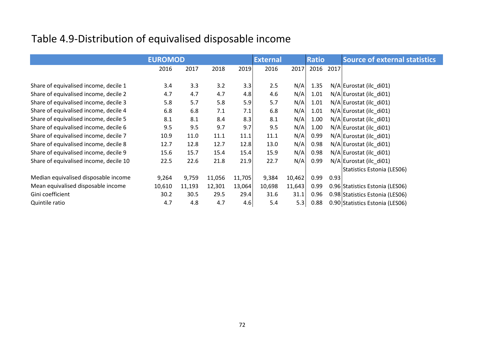### Table 4.9-Distribution of equivalised disposable income

|                                        | <b>EUROMOD</b> |        |        |        | <b>External</b> |        | <b>Ratio</b> |      | <b>Source of external statistics</b> |  |  |  |
|----------------------------------------|----------------|--------|--------|--------|-----------------|--------|--------------|------|--------------------------------------|--|--|--|
|                                        | 2016           | 2017   | 2018   | 2019   | 2016            | 2017   | 2016         | 2017 |                                      |  |  |  |
|                                        |                |        |        |        |                 |        |              |      |                                      |  |  |  |
| Share of equivalised income, decile 1  | 3.4            | 3.3    | 3.2    | 3.3    | 2.5             | N/A    | 1.35         |      | N/A Eurostat (ilc_di01)              |  |  |  |
| Share of equivalised income, decile 2  | 4.7            | 4.7    | 4.7    | 4.8    | 4.6             | N/A    | 1.01         |      | N/A Eurostat (ilc_di01)              |  |  |  |
| Share of equivalised income, decile 3  | 5.8            | 5.7    | 5.8    | 5.9    | 5.7             | N/A    | 1.01         |      | N/A Eurostat (ilc_di01)              |  |  |  |
| Share of equivalised income, decile 4  | 6.8            | 6.8    | 7.1    | 7.1    | 6.8             | N/A    | 1.01         |      | N/A Eurostat (ilc_di01)              |  |  |  |
| Share of equivalised income, decile 5  | 8.1            | 8.1    | 8.4    | 8.3    | 8.1             | N/A    | 1.00         |      | N/A Eurostat (ilc_di01)              |  |  |  |
| Share of equivalised income, decile 6  | 9.5            | 9.5    | 9.7    | 9.7    | 9.5             | N/A    | 1.00         |      | N/A Eurostat (ilc_di01)              |  |  |  |
| Share of equivalised income, decile 7  | 10.9           | 11.0   | 11.1   | 11.1   | 11.1            | N/A    | 0.99         |      | N/A Eurostat (ilc_di01)              |  |  |  |
| Share of equivalised income, decile 8  | 12.7           | 12.8   | 12.7   | 12.8   | 13.0            | N/A    | 0.98         |      | N/A Eurostat (ilc_di01)              |  |  |  |
| Share of equivalised income, decile 9  | 15.6           | 15.7   | 15.4   | 15.4   | 15.9            | N/A    | 0.98         |      | N/A Eurostat (ilc di01)              |  |  |  |
| Share of equivalised income, decile 10 | 22.5           | 22.6   | 21.8   | 21.9   | 22.7            | N/A    | 0.99         |      | N/A Eurostat (ilc_di01)              |  |  |  |
|                                        |                |        |        |        |                 |        |              |      | Statistics Estonia (LESO6)           |  |  |  |
| Median equivalised disposable income   | 9,264          | 9,759  | 11,056 | 11,705 | 9,384           | 10,462 | 0.99         | 0.93 |                                      |  |  |  |
| Mean equivalised disposable income     | 10,610         | 11,193 | 12,301 | 13,064 | 10,698          | 11,643 | 0.99         |      | 0.96 Statistics Estonia (LESO6)      |  |  |  |
| Gini coefficient                       | 30.2           | 30.5   | 29.5   | 29.4   | 31.6            | 31.1   | 0.96         |      | 0.98 Statistics Estonia (LESO6)      |  |  |  |
| Quintile ratio                         | 4.7            | 4.8    | 4.7    | 4.6    | 5.4             | 5.3    | 0.88         |      | 0.90 Statistics Estonia (LESO6)      |  |  |  |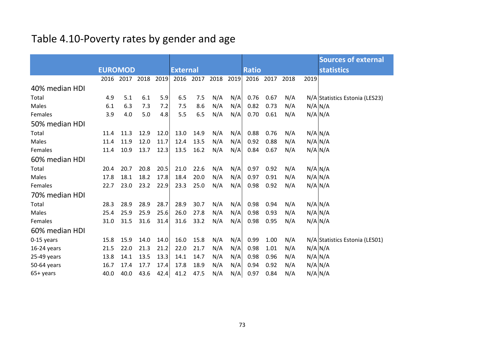### Table 4.10-Poverty rates by gender and age

|                |                |      |      |                 |      |      |              |      |      |                   |      | <b>Sources of external</b>     |
|----------------|----------------|------|------|-----------------|------|------|--------------|------|------|-------------------|------|--------------------------------|
|                | <b>EUROMOD</b> |      |      | <b>External</b> |      |      | <b>Ratio</b> |      |      | <b>statistics</b> |      |                                |
|                | 2016           | 2017 | 2018 | 2019            | 2016 | 2017 | 2018         | 2019 | 2016 | 2017              | 2018 | 2019                           |
| 40% median HDI |                |      |      |                 |      |      |              |      |      |                   |      |                                |
| Total          | 4.9            | 5.1  | 6.1  | 5.9             | 6.5  | 7.5  | N/A          | N/A  | 0.76 | 0.67              | N/A  | N/A Statistics Estonia (LES23) |
| Males          | 6.1            | 6.3  | 7.3  | 7.2             | 7.5  | 8.6  | N/A          | N/A  | 0.82 | 0.73              | N/A  | N/A N/A                        |
| Females        | 3.9            | 4.0  | 5.0  | 4.8             | 5.5  | 6.5  | N/A          | N/A  | 0.70 | 0.61              | N/A  | N/A N/A                        |
| 50% median HDI |                |      |      |                 |      |      |              |      |      |                   |      |                                |
| Total          | 11.4           | 11.3 | 12.9 | 12.0            | 13.0 | 14.9 | N/A          | N/A  | 0.88 | 0.76              | N/A  | N/A N/A                        |
| Males          | 11.4           | 11.9 | 12.0 | 11.7            | 12.4 | 13.5 | N/A          | N/A  | 0.92 | 0.88              | N/A  | N/A N/A                        |
| Females        | 11.4           | 10.9 | 13.7 | 12.3            | 13.5 | 16.2 | N/A          | N/A  | 0.84 | 0.67              | N/A  | N/A N/A                        |
| 60% median HDI |                |      |      |                 |      |      |              |      |      |                   |      |                                |
| Total          | 20.4           | 20.7 | 20.8 | 20.5            | 21.0 | 22.6 | N/A          | N/A  | 0.97 | 0.92              | N/A  | N/A N/A                        |
| Males          | 17.8           | 18.1 | 18.2 | 17.8            | 18.4 | 20.0 | N/A          | N/A  | 0.97 | 0.91              | N/A  | N/A N/A                        |
| Females        | 22.7           | 23.0 | 23.2 | 22.9            | 23.3 | 25.0 | N/A          | N/A  | 0.98 | 0.92              | N/A  | N/A N/A                        |
| 70% median HDI |                |      |      |                 |      |      |              |      |      |                   |      |                                |
| Total          | 28.3           | 28.9 | 28.9 | 28.7            | 28.9 | 30.7 | N/A          | N/A  | 0.98 | 0.94              | N/A  | N/A N/A                        |
| Males          | 25.4           | 25.9 | 25.9 | 25.6            | 26.0 | 27.8 | N/A          | N/A  | 0.98 | 0.93              | N/A  | N/A N/A                        |
| Females        | 31.0           | 31.5 | 31.6 | 31.4            | 31.6 | 33.2 | N/A          | N/A  | 0.98 | 0.95              | N/A  | N/A N/A                        |
| 60% median HDI |                |      |      |                 |      |      |              |      |      |                   |      |                                |
| 0-15 years     | 15.8           | 15.9 | 14.0 | 14.0            | 16.0 | 15.8 | N/A          | N/A  | 0.99 | 1.00              | N/A  | N/A Statistics Estonia (LES01) |
| $16-24$ years  | 21.5           | 22.0 | 21.3 | 21.2            | 22.0 | 21.7 | N/A          | N/A  | 0.98 | 1.01              | N/A  | N/A N/A                        |
| 25-49 years    | 13.8           | 14.1 | 13.5 | 13.3            | 14.1 | 14.7 | N/A          | N/A  | 0.98 | 0.96              | N/A  | N/A N/A                        |
| 50-64 years    | 16.7           | 17.4 | 17.7 | 17.4            | 17.8 | 18.9 | N/A          | N/A  | 0.94 | 0.92              | N/A  | N/A N/A                        |
| 65+ years      | 40.0           | 40.0 | 43.6 | 42.4            | 41.2 | 47.5 | N/A          | N/A  | 0.97 | 0.84              | N/A  | $N/A$ $N/A$                    |